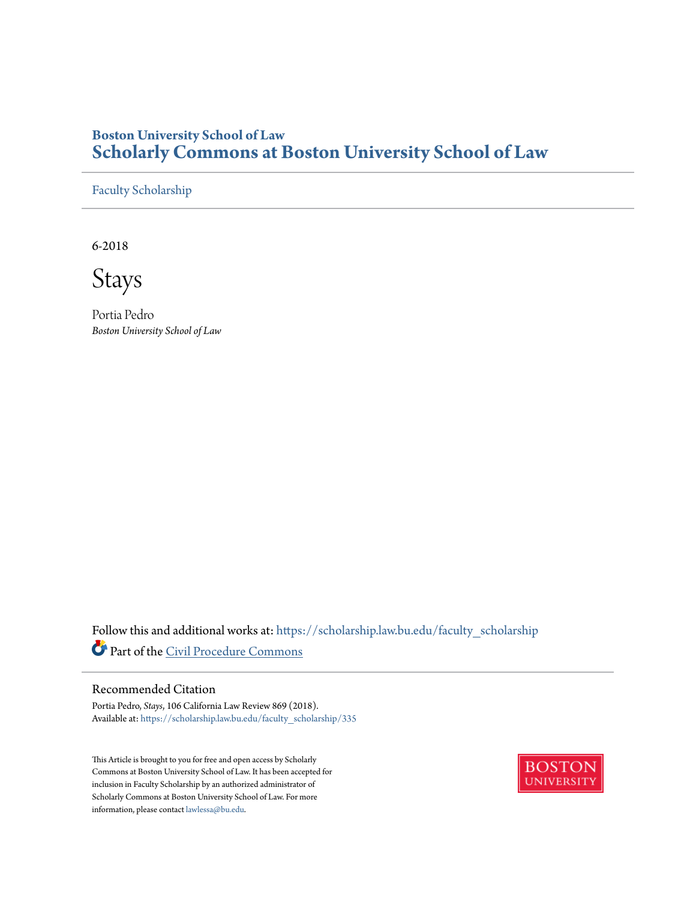## **Boston University School of Law [Scholarly Commons at Boston University School of Law](https://scholarship.law.bu.edu?utm_source=scholarship.law.bu.edu%2Ffaculty_scholarship%2F335&utm_medium=PDF&utm_campaign=PDFCoverPages)**

[Faculty Scholarship](https://scholarship.law.bu.edu/faculty_scholarship?utm_source=scholarship.law.bu.edu%2Ffaculty_scholarship%2F335&utm_medium=PDF&utm_campaign=PDFCoverPages)

6-2018

Stays

Portia Pedro *Boston University School of Law*

Follow this and additional works at: [https://scholarship.law.bu.edu/faculty\\_scholarship](https://scholarship.law.bu.edu/faculty_scholarship?utm_source=scholarship.law.bu.edu%2Ffaculty_scholarship%2F335&utm_medium=PDF&utm_campaign=PDFCoverPages) Part of the [Civil Procedure Commons](http://network.bepress.com/hgg/discipline/584?utm_source=scholarship.law.bu.edu%2Ffaculty_scholarship%2F335&utm_medium=PDF&utm_campaign=PDFCoverPages)

## Recommended Citation

Portia Pedro, *Stays*, 106 California Law Review 869 (2018). Available at: [https://scholarship.law.bu.edu/faculty\\_scholarship/335](https://scholarship.law.bu.edu/faculty_scholarship/335?utm_source=scholarship.law.bu.edu%2Ffaculty_scholarship%2F335&utm_medium=PDF&utm_campaign=PDFCoverPages)

This Article is brought to you for free and open access by Scholarly Commons at Boston University School of Law. It has been accepted for inclusion in Faculty Scholarship by an authorized administrator of Scholarly Commons at Boston University School of Law. For more information, please contact [lawlessa@bu.edu.](mailto:lawlessa@bu.edu)

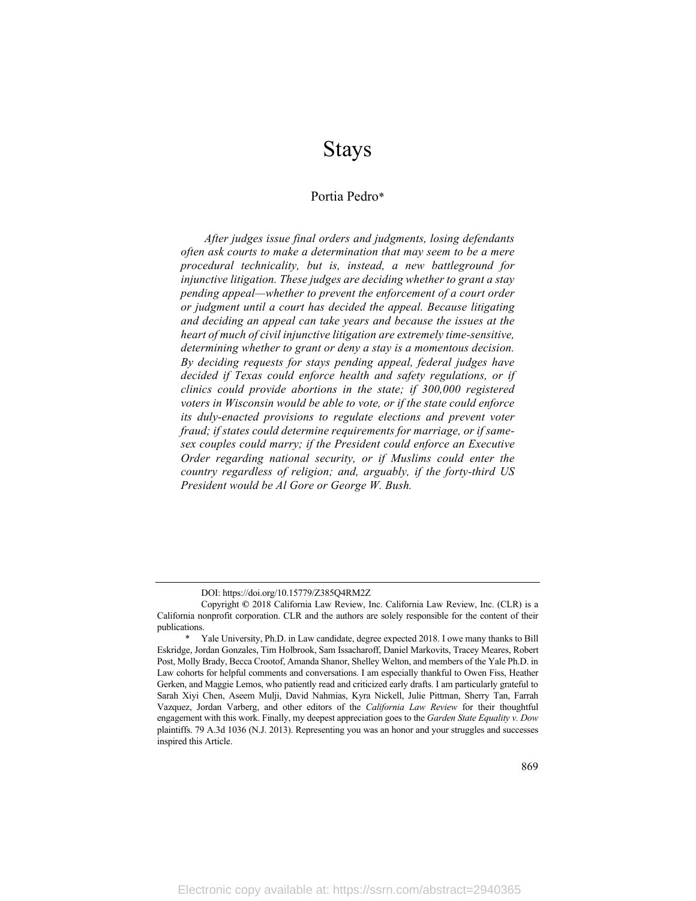# Stays

## Portia Pedro\*

*After judges issue final orders and judgments, losing defendants often ask courts to make a determination that may seem to be a mere procedural technicality, but is, instead, a new battleground for injunctive litigation. These judges are deciding whether to grant a stay pending appeal—whether to prevent the enforcement of a court order or judgment until a court has decided the appeal. Because litigating and deciding an appeal can take years and because the issues at the heart of much of civil injunctive litigation are extremely time-sensitive, determining whether to grant or deny a stay is a momentous decision. By deciding requests for stays pending appeal, federal judges have decided if Texas could enforce health and safety regulations, or if clinics could provide abortions in the state; if 300,000 registered voters in Wisconsin would be able to vote, or if the state could enforce its duly-enacted provisions to regulate elections and prevent voter fraud; if states could determine requirements for marriage, or if samesex couples could marry; if the President could enforce an Executive Order regarding national security, or if Muslims could enter the country regardless of religion; and, arguably, if the forty-third US President would be Al Gore or George W. Bush.*

DOI: https://doi.org/10.15779/Z385Q4RM2Z

Copyright **©** 2018 California Law Review, Inc. California Law Review, Inc. (CLR) is a California nonprofit corporation. CLR and the authors are solely responsible for the content of their publications.

Yale University, Ph.D. in Law candidate, degree expected 2018. I owe many thanks to Bill Eskridge, Jordan Gonzales, Tim Holbrook, Sam Issacharoff, Daniel Markovits, Tracey Meares, Robert Post, Molly Brady, Becca Crootof, Amanda Shanor, Shelley Welton, and members of the Yale Ph.D. in Law cohorts for helpful comments and conversations. I am especially thankful to Owen Fiss, Heather Gerken, and Maggie Lemos, who patiently read and criticized early drafts. I am particularly grateful to Sarah Xiyi Chen, Aseem Mulji, David Nahmias, Kyra Nickell, Julie Pittman, Sherry Tan, Farrah Vazquez, Jordan Varberg, and other editors of the *California Law Review* for their thoughtful engagement with this work. Finally, my deepest appreciation goes to the *Garden State Equality v. Dow* plaintiffs. 79 A.3d 1036 (N.J. 2013). Representing you was an honor and your struggles and successes inspired this Article.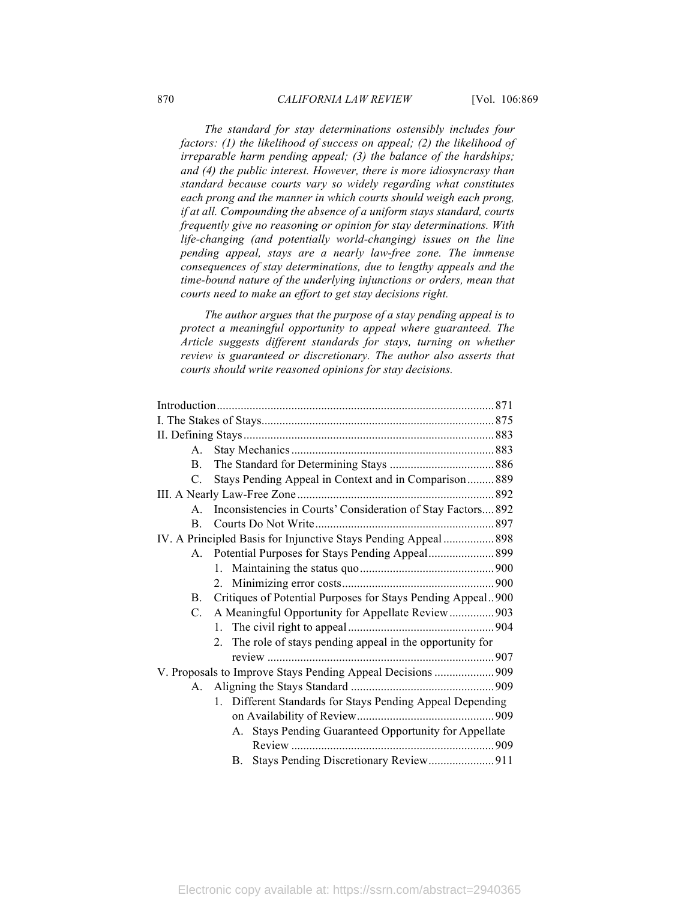*The standard for stay determinations ostensibly includes four factors: (1) the likelihood of success on appeal; (2) the likelihood of irreparable harm pending appeal; (3) the balance of the hardships; and (4) the public interest. However, there is more idiosyncrasy than standard because courts vary so widely regarding what constitutes each prong and the manner in which courts should weigh each prong, if at all. Compounding the absence of a uniform stays standard, courts frequently give no reasoning or opinion for stay determinations. With life-changing (and potentially world-changing) issues on the line pending appeal, stays are a nearly law-free zone. The immense consequences of stay determinations, due to lengthy appeals and the time-bound nature of the underlying injunctions or orders, mean that courts need to make an effort to get stay decisions right.*

*The author argues that the purpose of a stay pending appeal is to protect a meaningful opportunity to appeal where guaranteed. The Article suggests different standards for stays, turning on whether review is guaranteed or discretionary. The author also asserts that courts should write reasoned opinions for stay decisions.*

| $\mathsf{A}$                                                    |                                                                 |  |
|-----------------------------------------------------------------|-----------------------------------------------------------------|--|
| $\mathbf{B}$                                                    |                                                                 |  |
| $C_{\cdot}$                                                     | Stays Pending Appeal in Context and in Comparison 889           |  |
|                                                                 |                                                                 |  |
|                                                                 | A. Inconsistencies in Courts' Consideration of Stay Factors 892 |  |
|                                                                 |                                                                 |  |
| IV. A Principled Basis for Injunctive Stays Pending Appeal  898 |                                                                 |  |
|                                                                 |                                                                 |  |
|                                                                 |                                                                 |  |
|                                                                 |                                                                 |  |
|                                                                 | B. Critiques of Potential Purposes for Stays Pending Appeal900  |  |
| $C_{\cdot}$                                                     | A Meaningful Opportunity for Appellate Review  903              |  |
|                                                                 |                                                                 |  |
|                                                                 | 2. The role of stays pending appeal in the opportunity for      |  |
|                                                                 |                                                                 |  |
|                                                                 | V. Proposals to Improve Stays Pending Appeal Decisions  909     |  |
|                                                                 |                                                                 |  |
|                                                                 | 1. Different Standards for Stays Pending Appeal Depending       |  |
|                                                                 |                                                                 |  |
|                                                                 | A. Stays Pending Guaranteed Opportunity for Appellate           |  |
|                                                                 |                                                                 |  |
|                                                                 | B.                                                              |  |
|                                                                 |                                                                 |  |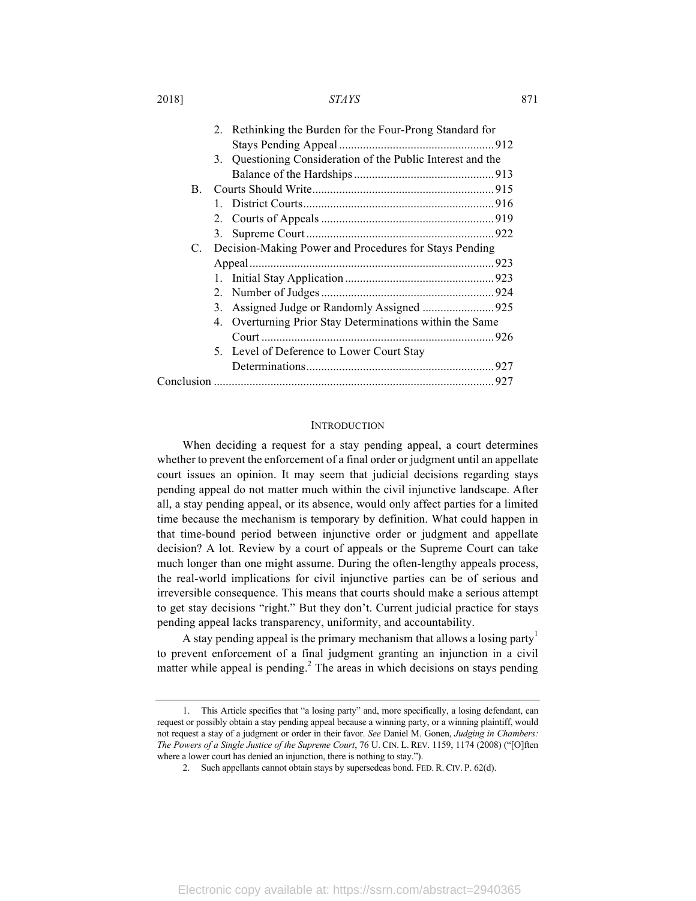2018] *STAYS* 871

|    | Rethinking the Burden for the Four-Prong Standard for<br>2. |  |
|----|-------------------------------------------------------------|--|
|    |                                                             |  |
|    | 3. Questioning Consideration of the Public Interest and the |  |
|    |                                                             |  |
| B. |                                                             |  |
|    |                                                             |  |
|    |                                                             |  |
|    | 3.                                                          |  |
|    | C. Decision-Making Power and Procedures for Stays Pending   |  |
|    |                                                             |  |
|    |                                                             |  |
|    |                                                             |  |
|    | 3.                                                          |  |
|    | 4. Overturning Prior Stay Determinations within the Same    |  |
|    |                                                             |  |
|    | 5. Level of Deference to Lower Court Stay                   |  |
|    |                                                             |  |
|    |                                                             |  |
|    |                                                             |  |

#### INTRODUCTION

When deciding a request for a stay pending appeal, a court determines whether to prevent the enforcement of a final order or judgment until an appellate court issues an opinion. It may seem that judicial decisions regarding stays pending appeal do not matter much within the civil injunctive landscape. After all, a stay pending appeal, or its absence, would only affect parties for a limited time because the mechanism is temporary by definition. What could happen in that time-bound period between injunctive order or judgment and appellate decision? A lot. Review by a court of appeals or the Supreme Court can take much longer than one might assume. During the often-lengthy appeals process, the real-world implications for civil injunctive parties can be of serious and irreversible consequence. This means that courts should make a serious attempt to get stay decisions "right." But they don't. Current judicial practice for stays pending appeal lacks transparency, uniformity, and accountability.

A stay pending appeal is the primary mechanism that allows a losing party<sup>1</sup> to prevent enforcement of a final judgment granting an injunction in a civil matter while appeal is pending. $<sup>2</sup>$  The areas in which decisions on stays pending</sup>

<sup>1.</sup> This Article specifies that "a losing party" and, more specifically, a losing defendant, can request or possibly obtain a stay pending appeal because a winning party, or a winning plaintiff, would not request a stay of a judgment or order in their favor. *See* Daniel M. Gonen, *Judging in Chambers: The Powers of a Single Justice of the Supreme Court*, 76 U. CIN. L. REV. 1159, 1174 (2008) ("[O]ften where a lower court has denied an injunction, there is nothing to stay.").

<sup>2.</sup> Such appellants cannot obtain stays by supersedeas bond. FED. R. CIV. P. 62(d).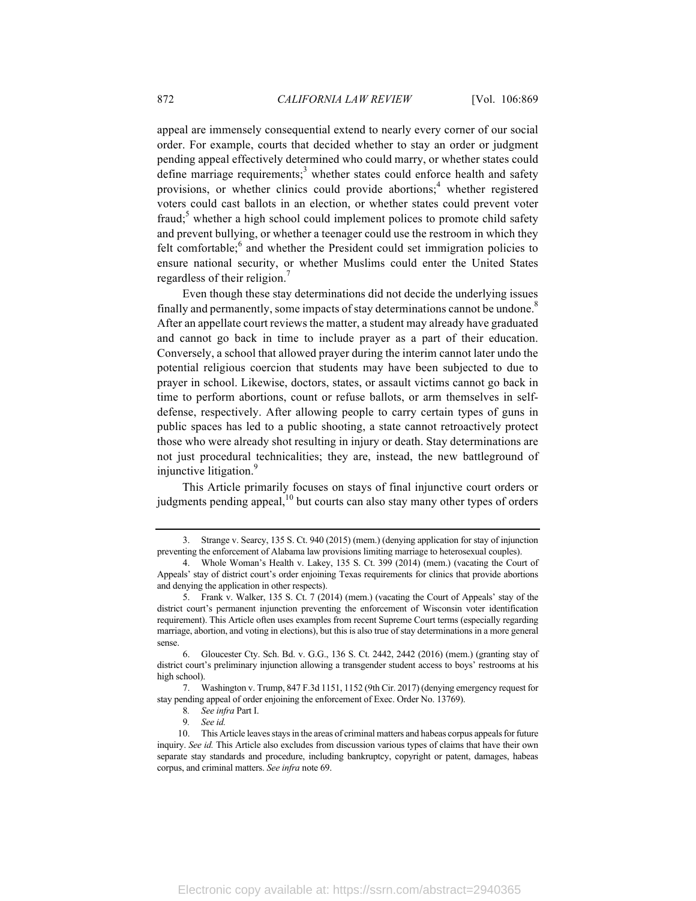appeal are immensely consequential extend to nearly every corner of our social order. For example, courts that decided whether to stay an order or judgment pending appeal effectively determined who could marry, or whether states could define marriage requirements;<sup>3</sup> whether states could enforce health and safety provisions, or whether clinics could provide abortions; $<sup>4</sup>$  whether registered</sup> voters could cast ballots in an election, or whether states could prevent voter fraud; $5$  whether a high school could implement polices to promote child safety and prevent bullying, or whether a teenager could use the restroom in which they felt comfortable; $<sup>6</sup>$  and whether the President could set immigration policies to</sup> ensure national security, or whether Muslims could enter the United States regardless of their religion.<sup>7</sup>

Even though these stay determinations did not decide the underlying issues finally and permanently, some impacts of stay determinations cannot be undone.<sup>8</sup> After an appellate court reviews the matter, a student may already have graduated and cannot go back in time to include prayer as a part of their education. Conversely, a school that allowed prayer during the interim cannot later undo the potential religious coercion that students may have been subjected to due to prayer in school. Likewise, doctors, states, or assault victims cannot go back in time to perform abortions, count or refuse ballots, or arm themselves in selfdefense, respectively. After allowing people to carry certain types of guns in public spaces has led to a public shooting, a state cannot retroactively protect those who were already shot resulting in injury or death. Stay determinations are not just procedural technicalities; they are, instead, the new battleground of injunctive litigation.<sup>9</sup>

This Article primarily focuses on stays of final injunctive court orders or judgments pending appeal, $10$  but courts can also stay many other types of orders

Strange v. Searcy, 135 S. Ct. 940 (2015) (mem.) (denying application for stay of injunction preventing the enforcement of Alabama law provisions limiting marriage to heterosexual couples).

<sup>4.</sup> Whole Woman's Health v. Lakey, 135 S. Ct. 399 (2014) (mem.) (vacating the Court of Appeals' stay of district court's order enjoining Texas requirements for clinics that provide abortions and denying the application in other respects).

<sup>5.</sup> Frank v. Walker, 135 S. Ct. 7 (2014) (mem.) (vacating the Court of Appeals' stay of the district court's permanent injunction preventing the enforcement of Wisconsin voter identification requirement). This Article often uses examples from recent Supreme Court terms (especially regarding marriage, abortion, and voting in elections), but this is also true of stay determinations in a more general sense.

<sup>6.</sup> Gloucester Cty. Sch. Bd. v. G.G., 136 S. Ct. 2442, 2442 (2016) (mem.) (granting stay of district court's preliminary injunction allowing a transgender student access to boys' restrooms at his high school).

<sup>7.</sup> Washington v. Trump, 847 F.3d 1151, 1152 (9th Cir. 2017) (denying emergency request for stay pending appeal of order enjoining the enforcement of Exec. Order No. 13769).

<sup>8</sup>*. See infra* Part I.

<sup>9</sup>*. See id.*

<sup>10.</sup> This Article leaves stays in the areas of criminal matters and habeas corpus appeals for future inquiry. *See id.* This Article also excludes from discussion various types of claims that have their own separate stay standards and procedure, including bankruptcy, copyright or patent, damages, habeas corpus, and criminal matters. *See infra* note 69.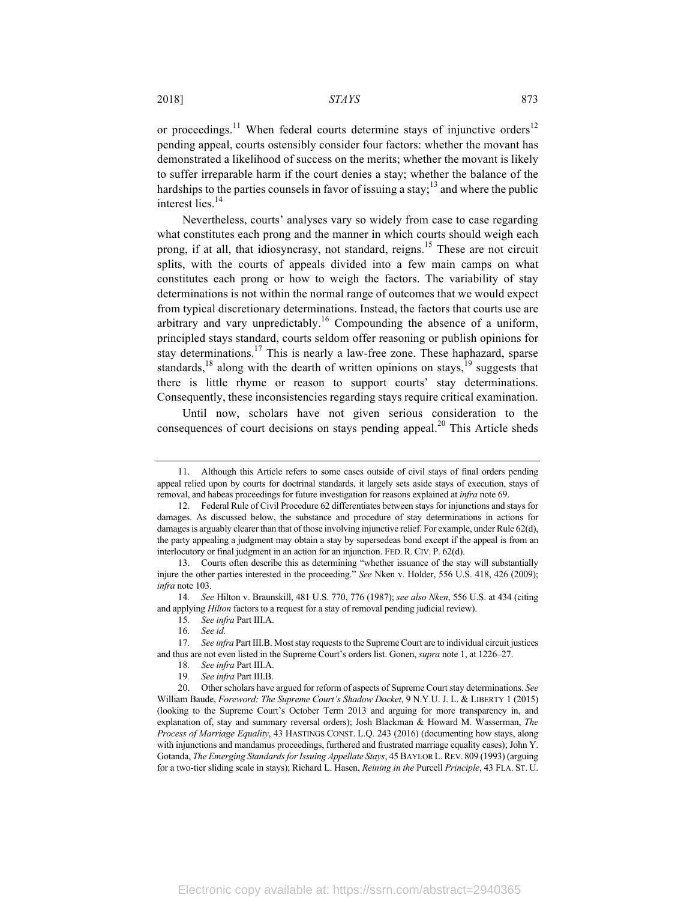or proceedings.<sup>11</sup> When federal courts determine stays of injunctive orders<sup>12</sup> pending appeal, courts ostensibly consider four factors: whether the movant has demonstrated a likelihood of success on the merits; whether the movant is likely to suffer irreparable harm if the court denies a stay; whether the balance of the hardships to the parties counsels in favor of issuing a stay;<sup>13</sup> and where the public interest lies.<sup>14</sup>

Nevertheless, courts' analyses vary so widely from case to case regarding what constitutes each prong and the manner in which courts should weigh each prong, if at all, that idiosyncrasy, not standard, reigns.<sup>15</sup> These are not circuit splits, with the courts of appeals divided into a few main camps on what constitutes each prong or how to weigh the factors. The variability of stay determinations is not within the normal range of outcomes that we would expect from typical discretionary determinations. Instead, the factors that courts use are arbitrary and vary unpredictably.<sup>16</sup> Compounding the absence of a uniform, principled stays standard, courts seldom offer reasoning or publish opinions for stay determinations.<sup>17</sup> This is nearly a law-free zone. These haphazard, sparse standards,<sup>18</sup> along with the dearth of written opinions on stays,<sup>19</sup> suggests that there is little rhyme or reason to support courts' stay determinations. Consequently, these inconsistencies regarding stays require critical examination.

Until now, scholars have not given serious consideration to the consequences of court decisions on stays pending appeal.<sup>20</sup> This Article sheds

14*. See* Hilton v. Braunskill, 481 U.S. 770, 776 (1987); *see also Nken*, 556 U.S. at 434 (citing and applying *Hilton* factors to a request for a stay of removal pending judicial review).

15*. See infra* Part III.A.

19*. See infra* Part III.B.

<sup>11.</sup> Although this Article refers to some cases outside of civil stays of final orders pending appeal relied upon by courts for doctrinal standards, it largely sets aside stays of execution, stays of removal, and habeas proceedings for future investigation for reasons explained at *infra* note 69.

<sup>12.</sup> Federal Rule of Civil Procedure 62 differentiates between stays for injunctions and stays for damages. As discussed below, the substance and procedure of stay determinations in actions for damages is arguably clearer than that of those involving injunctive relief. For example, under Rule 62(d), the party appealing a judgment may obtain a stay by supersedeas bond except if the appeal is from an interlocutory or final judgment in an action for an injunction. FED. R. CIV. P. 62(d).

<sup>13.</sup> Courts often describe this as determining "whether issuance of the stay will substantially injure the other parties interested in the proceeding." *See* Nken v. Holder, 556 U.S. 418, 426 (2009); *infra* note 103.

<sup>16</sup>*. See id.*

<sup>17</sup>*. See infra* Part III.B. Most stay requests to the Supreme Court are to individual circuit justices and thus are not even listed in the Supreme Court's orders list. Gonen, *supra* note 1, at 1226–27.

<sup>18</sup>*. See infra* Part III.A.

<sup>20.</sup> Other scholars have argued for reform of aspects of Supreme Court stay determinations. *See* William Baude, *Foreword: The Supreme Court's Shadow Docket*, 9 N.Y.U. J. L. & LIBERTY 1 (2015) (looking to the Supreme Court's October Term 2013 and arguing for more transparency in, and explanation of, stay and summary reversal orders); Josh Blackman & Howard M. Wasserman, *The Process of Marriage Equality*, 43 HASTINGS CONST. L.Q. 243 (2016) (documenting how stays, along with injunctions and mandamus proceedings, furthered and frustrated marriage equality cases); John Y. Gotanda, *The Emerging Standards for Issuing Appellate Stays*, 45 BAYLOR L.REV. 809 (1993) (arguing for a two-tier sliding scale in stays); Richard L. Hasen, *Reining in the* Purcell *Principle*, 43 FLA. ST. U.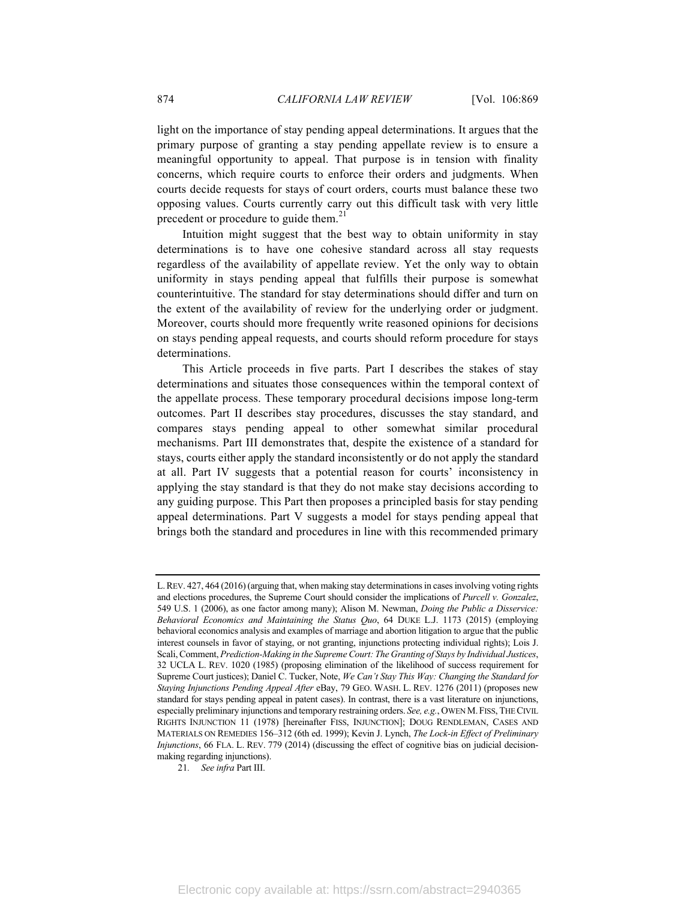light on the importance of stay pending appeal determinations. It argues that the primary purpose of granting a stay pending appellate review is to ensure a meaningful opportunity to appeal. That purpose is in tension with finality concerns, which require courts to enforce their orders and judgments. When courts decide requests for stays of court orders, courts must balance these two opposing values. Courts currently carry out this difficult task with very little precedent or procedure to guide them. $^{21}$ 

Intuition might suggest that the best way to obtain uniformity in stay determinations is to have one cohesive standard across all stay requests regardless of the availability of appellate review. Yet the only way to obtain uniformity in stays pending appeal that fulfills their purpose is somewhat counterintuitive. The standard for stay determinations should differ and turn on the extent of the availability of review for the underlying order or judgment. Moreover, courts should more frequently write reasoned opinions for decisions on stays pending appeal requests, and courts should reform procedure for stays determinations.

This Article proceeds in five parts. Part I describes the stakes of stay determinations and situates those consequences within the temporal context of the appellate process. These temporary procedural decisions impose long-term outcomes. Part II describes stay procedures, discusses the stay standard, and compares stays pending appeal to other somewhat similar procedural mechanisms. Part III demonstrates that, despite the existence of a standard for stays, courts either apply the standard inconsistently or do not apply the standard at all. Part IV suggests that a potential reason for courts' inconsistency in applying the stay standard is that they do not make stay decisions according to any guiding purpose. This Part then proposes a principled basis for stay pending appeal determinations. Part V suggests a model for stays pending appeal that brings both the standard and procedures in line with this recommended primary

21*. See infra* Part III.

L.REV. 427, 464 (2016) (arguing that, when making stay determinations in cases involving voting rights and elections procedures, the Supreme Court should consider the implications of *Purcell v. Gonzalez*, 549 U.S. 1 (2006), as one factor among many); Alison M. Newman, *Doing the Public a Disservice: Behavioral Economics and Maintaining the Status Quo*, 64 DUKE L.J. 1173 (2015) (employing behavioral economics analysis and examples of marriage and abortion litigation to argue that the public interest counsels in favor of staying, or not granting, injunctions protecting individual rights); Lois J. Scali, Comment, *Prediction-Making in the Supreme Court: The Granting of Stays by Individual Justices*, 32 UCLA L. REV. 1020 (1985) (proposing elimination of the likelihood of success requirement for Supreme Court justices); Daniel C. Tucker, Note, *We Can't Stay This Way: Changing the Standard for Staying Injunctions Pending Appeal After* eBay, 79 GEO. WASH. L. REV. 1276 (2011) (proposes new standard for stays pending appeal in patent cases). In contrast, there is a vast literature on injunctions, especially preliminary injunctions and temporary restraining orders. *See, e.g.*, OWEN M.FISS, THE CIVIL RIGHTS INJUNCTION 11 (1978) [hereinafter FISS, INJUNCTION]; DOUG RENDLEMAN, CASES AND MATERIALS ON REMEDIES 156–312 (6th ed. 1999); Kevin J. Lynch, *The Lock-in Effect of Preliminary Injunctions*, 66 FLA. L. REV. 779 (2014) (discussing the effect of cognitive bias on judicial decisionmaking regarding injunctions).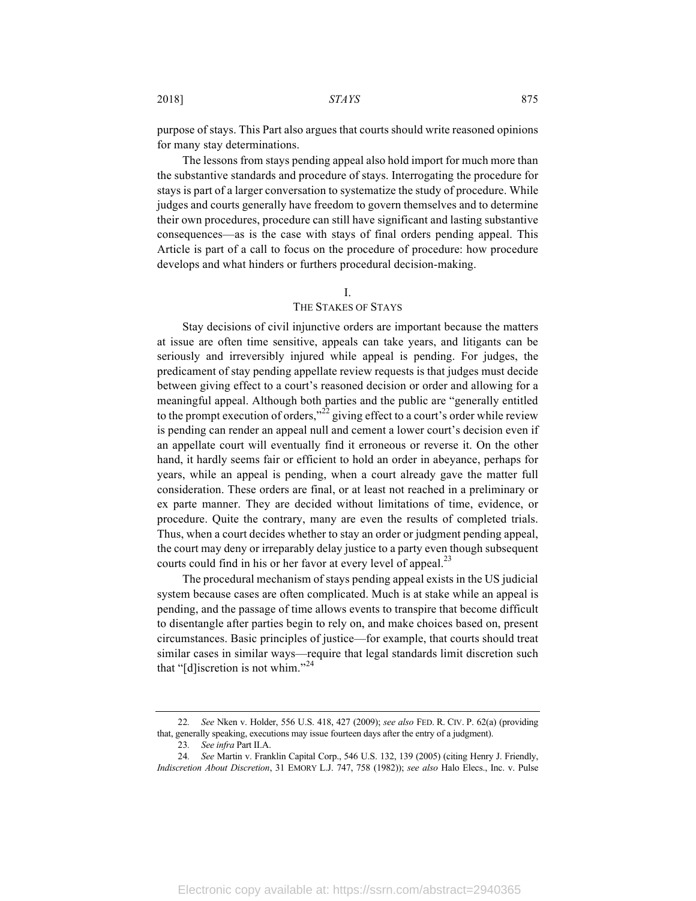purpose of stays. This Part also argues that courts should write reasoned opinions for many stay determinations.

The lessons from stays pending appeal also hold import for much more than the substantive standards and procedure of stays. Interrogating the procedure for stays is part of a larger conversation to systematize the study of procedure. While judges and courts generally have freedom to govern themselves and to determine their own procedures, procedure can still have significant and lasting substantive consequences—as is the case with stays of final orders pending appeal. This Article is part of a call to focus on the procedure of procedure: how procedure develops and what hinders or furthers procedural decision-making.

#### I.

## THE STAKES OF STAYS

Stay decisions of civil injunctive orders are important because the matters at issue are often time sensitive, appeals can take years, and litigants can be seriously and irreversibly injured while appeal is pending. For judges, the predicament of stay pending appellate review requests is that judges must decide between giving effect to a court's reasoned decision or order and allowing for a meaningful appeal. Although both parties and the public are "generally entitled to the prompt execution of orders,"<sup>22</sup> giving effect to a court's order while review is pending can render an appeal null and cement a lower court's decision even if an appellate court will eventually find it erroneous or reverse it. On the other hand, it hardly seems fair or efficient to hold an order in abeyance, perhaps for years, while an appeal is pending, when a court already gave the matter full consideration. These orders are final, or at least not reached in a preliminary or ex parte manner. They are decided without limitations of time, evidence, or procedure. Quite the contrary, many are even the results of completed trials. Thus, when a court decides whether to stay an order or judgment pending appeal, the court may deny or irreparably delay justice to a party even though subsequent courts could find in his or her favor at every level of appeal.<sup>23</sup>

The procedural mechanism of stays pending appeal exists in the US judicial system because cases are often complicated. Much is at stake while an appeal is pending, and the passage of time allows events to transpire that become difficult to disentangle after parties begin to rely on, and make choices based on, present circumstances. Basic principles of justice—for example, that courts should treat similar cases in similar ways—require that legal standards limit discretion such that "[d] iscretion is not whim."<sup>24</sup>

<sup>22</sup>*. See* Nken v. Holder, 556 U.S. 418, 427 (2009); *see also* FED. R. CIV. P. 62(a) (providing that, generally speaking, executions may issue fourteen days after the entry of a judgment).

<sup>23</sup>*. See infra* Part II.A.

<sup>24</sup>*. See* Martin v. Franklin Capital Corp., 546 U.S. 132, 139 (2005) (citing Henry J. Friendly, *Indiscretion About Discretion*, 31 EMORY L.J. 747, 758 (1982)); *see also* Halo Elecs., Inc. v. Pulse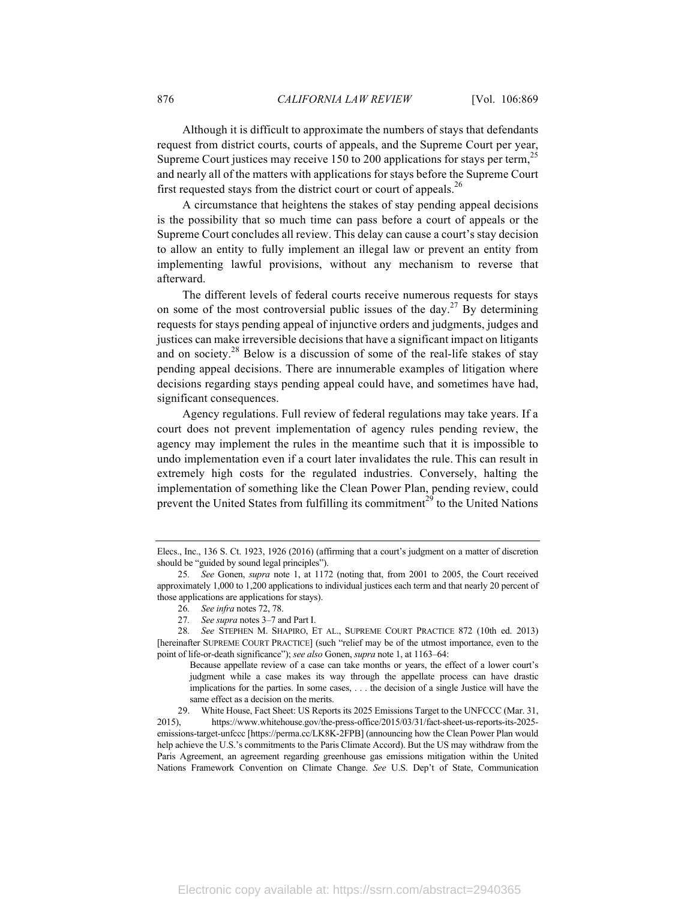Although it is difficult to approximate the numbers of stays that defendants request from district courts, courts of appeals, and the Supreme Court per year, Supreme Court justices may receive 150 to 200 applications for stays per term,  $^{25}$ and nearly all of the matters with applications for stays before the Supreme Court first requested stays from the district court or court of appeals.<sup>26</sup>

A circumstance that heightens the stakes of stay pending appeal decisions is the possibility that so much time can pass before a court of appeals or the Supreme Court concludes all review. This delay can cause a court's stay decision to allow an entity to fully implement an illegal law or prevent an entity from implementing lawful provisions, without any mechanism to reverse that afterward.

The different levels of federal courts receive numerous requests for stays on some of the most controversial public issues of the day.<sup>27</sup> By determining requests for stays pending appeal of injunctive orders and judgments, judges and justices can make irreversible decisions that have a significant impact on litigants and on society.<sup>28</sup> Below is a discussion of some of the real-life stakes of stay pending appeal decisions. There are innumerable examples of litigation where decisions regarding stays pending appeal could have, and sometimes have had, significant consequences.

Agency regulations. Full review of federal regulations may take years. If a court does not prevent implementation of agency rules pending review, the agency may implement the rules in the meantime such that it is impossible to undo implementation even if a court later invalidates the rule. This can result in extremely high costs for the regulated industries. Conversely, halting the implementation of something like the Clean Power Plan, pending review, could prevent the United States from fulfilling its commitment<sup>29</sup> to the United Nations

27*. See supra* notes 3–7 and Part I.

28*. See* STEPHEN M. SHAPIRO, ET AL., SUPREME COURT PRACTICE 872 (10th ed. 2013) [hereinafter SUPREME COURT PRACTICE] (such "relief may be of the utmost importance, even to the point of life-or-death significance"); *see also* Gonen, *supra* note 1, at 1163–64:

29. White House, Fact Sheet: US Reports its 2025 Emissions Target to the UNFCCC (Mar. 31, 2015), https://www.whitehouse.gov/the-press-office/2015/03/31/fact-sheet-us-reports-its-2025 emissions-target-unfccc [https://perma.cc/LK8K-2FPB] (announcing how the Clean Power Plan would help achieve the U.S.'s commitments to the Paris Climate Accord). But the US may withdraw from the Paris Agreement, an agreement regarding greenhouse gas emissions mitigation within the United Nations Framework Convention on Climate Change. *See* U.S. Dep't of State, Communication

Elecs., Inc., 136 S. Ct. 1923, 1926 (2016) (affirming that a court's judgment on a matter of discretion should be "guided by sound legal principles").

<sup>25</sup>*. See* Gonen, *supra* note 1, at 1172 (noting that, from 2001 to 2005, the Court received approximately 1,000 to 1,200 applications to individual justices each term and that nearly 20 percent of those applications are applications for stays).

<sup>26</sup>*. See infra* notes 72, 78.

Because appellate review of a case can take months or years, the effect of a lower court's judgment while a case makes its way through the appellate process can have drastic implications for the parties. In some cases, . . . the decision of a single Justice will have the same effect as a decision on the merits.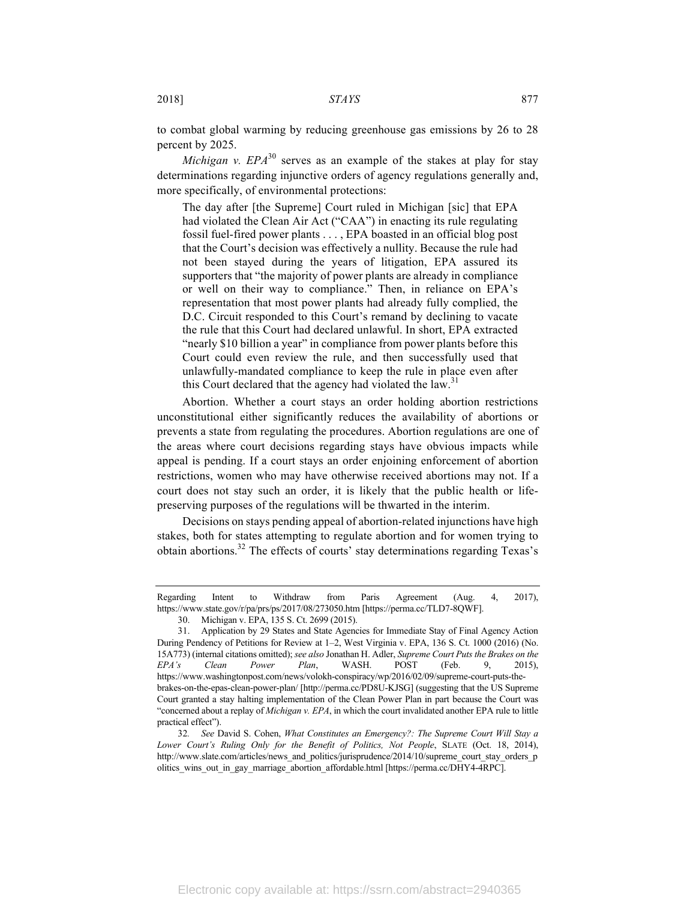to combat global warming by reducing greenhouse gas emissions by 26 to 28 percent by 2025.

*Michigan v.*  $EPA^{30}$  *serves as an example of the stakes at play for stay* determinations regarding injunctive orders of agency regulations generally and, more specifically, of environmental protections:

The day after [the Supreme] Court ruled in Michigan [sic] that EPA had violated the Clean Air Act ("CAA") in enacting its rule regulating fossil fuel-fired power plants . . . , EPA boasted in an official blog post that the Court's decision was effectively a nullity. Because the rule had not been stayed during the years of litigation, EPA assured its supporters that "the majority of power plants are already in compliance or well on their way to compliance." Then, in reliance on EPA's representation that most power plants had already fully complied, the D.C. Circuit responded to this Court's remand by declining to vacate the rule that this Court had declared unlawful. In short, EPA extracted "nearly \$10 billion a year" in compliance from power plants before this Court could even review the rule, and then successfully used that unlawfully-mandated compliance to keep the rule in place even after this Court declared that the agency had violated the law.<sup>31</sup>

Abortion. Whether a court stays an order holding abortion restrictions unconstitutional either significantly reduces the availability of abortions or prevents a state from regulating the procedures. Abortion regulations are one of the areas where court decisions regarding stays have obvious impacts while appeal is pending. If a court stays an order enjoining enforcement of abortion restrictions, women who may have otherwise received abortions may not. If a court does not stay such an order, it is likely that the public health or lifepreserving purposes of the regulations will be thwarted in the interim.

Decisions on stays pending appeal of abortion-related injunctions have high stakes, both for states attempting to regulate abortion and for women trying to obtain abortions.<sup>32</sup> The effects of courts' stay determinations regarding Texas's

Regarding Intent to Withdraw from Paris Agreement (Aug. 4, 2017), https://www.state.gov/r/pa/prs/ps/2017/08/273050.htm [https://perma.cc/TLD7-8QWF].

<sup>30.</sup> Michigan v. EPA, 135 S. Ct. 2699 (2015).

<sup>31.</sup> Application by 29 States and State Agencies for Immediate Stay of Final Agency Action During Pendency of Petitions for Review at 1–2, West Virginia v. EPA, 136 S. Ct. 1000 (2016) (No. 15A773) (internal citations omitted); *see also* Jonathan H. Adler, *Supreme Court Puts the Brakes on the EPA's Clean Power Plan*, WASH. POST (Feb. 9, 2015), https://www.washingtonpost.com/news/volokh-conspiracy/wp/2016/02/09/supreme-court-puts-thebrakes-on-the-epas-clean-power-plan/ [http://perma.cc/PD8U-KJSG] (suggesting that the US Supreme Court granted a stay halting implementation of the Clean Power Plan in part because the Court was "concerned about a replay of *Michigan v. EPA*, in which the court invalidated another EPA rule to little practical effect").

<sup>32</sup>*. See* David S. Cohen, *What Constitutes an Emergency?: The Supreme Court Will Stay a Lower Court's Ruling Only for the Benefit of Politics, Not People*, SLATE (Oct. 18, 2014), http://www.slate.com/articles/news\_and\_politics/jurisprudence/2014/10/supreme\_court\_stay\_orders\_p olitics wins out in gay marriage abortion affordable.html [https://perma.cc/DHY4-4RPC].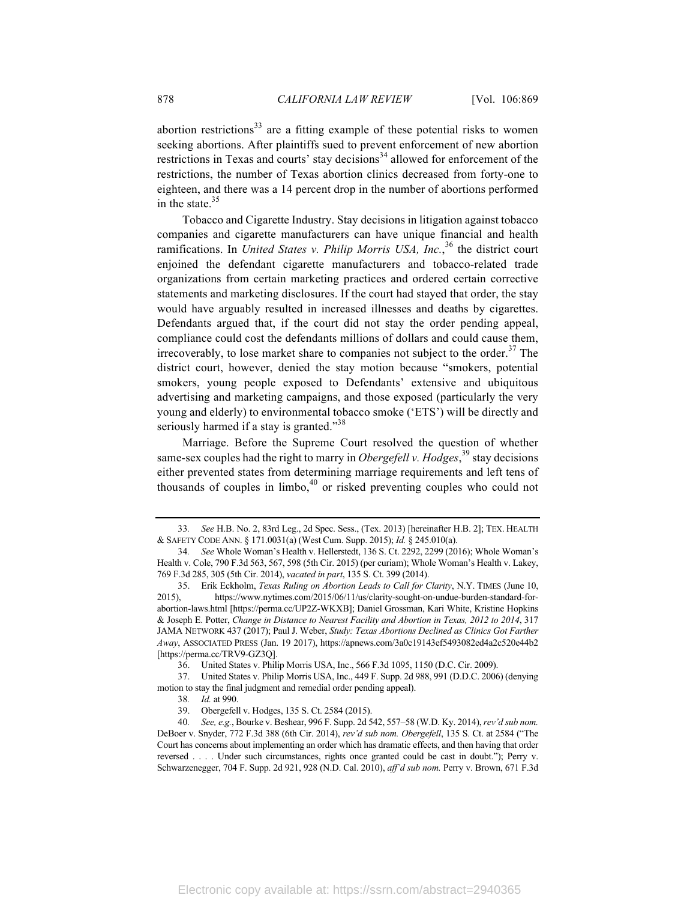abortion restrictions $33$  are a fitting example of these potential risks to women seeking abortions. After plaintiffs sued to prevent enforcement of new abortion restrictions in Texas and courts' stay decisions<sup>34</sup> allowed for enforcement of the restrictions, the number of Texas abortion clinics decreased from forty-one to eighteen, and there was a 14 percent drop in the number of abortions performed in the state. $35$ 

Tobacco and Cigarette Industry. Stay decisions in litigation against tobacco companies and cigarette manufacturers can have unique financial and health ramifications. In *United States v. Philip Morris USA, Inc.*, <sup>36</sup> the district court enjoined the defendant cigarette manufacturers and tobacco-related trade organizations from certain marketing practices and ordered certain corrective statements and marketing disclosures. If the court had stayed that order, the stay would have arguably resulted in increased illnesses and deaths by cigarettes. Defendants argued that, if the court did not stay the order pending appeal, compliance could cost the defendants millions of dollars and could cause them, irrecoverably, to lose market share to companies not subject to the order.<sup>37</sup> The district court, however, denied the stay motion because "smokers, potential smokers, young people exposed to Defendants' extensive and ubiquitous advertising and marketing campaigns, and those exposed (particularly the very young and elderly) to environmental tobacco smoke ('ETS') will be directly and seriously harmed if a stay is granted."<sup>38</sup>

Marriage. Before the Supreme Court resolved the question of whether same-sex couples had the right to marry in *Obergefell v. Hodges*,<sup>39</sup> stay decisions either prevented states from determining marriage requirements and left tens of thousands of couples in limbo, $40$  or risked preventing couples who could not

38*. Id.* at 990.

<sup>33</sup>*. See* H.B. No. 2, 83rd Leg., 2d Spec. Sess., (Tex. 2013) [hereinafter H.B. 2]; TEX. HEALTH & SAFETY CODE ANN. § 171.0031(a) (West Cum. Supp. 2015); *Id.* § 245.010(a).

<sup>34</sup>*. See* Whole Woman's Health v. Hellerstedt, 136 S. Ct. 2292, 2299 (2016); Whole Woman's Health v. Cole, 790 F.3d 563, 567, 598 (5th Cir. 2015) (per curiam); Whole Woman's Health v. Lakey, 769 F.3d 285, 305 (5th Cir. 2014), *vacated in part*, 135 S. Ct. 399 (2014).

<sup>35.</sup> Erik Eckholm, *Texas Ruling on Abortion Leads to Call for Clarity*, N.Y. TIMES (June 10, 2015), https://www.nytimes.com/2015/06/11/us/clarity-sought-on-undue-burden-standard-forabortion-laws.html [https://perma.cc/UP2Z-WKXB]; Daniel Grossman, Kari White, Kristine Hopkins & Joseph E. Potter, *Change in Distance to Nearest Facility and Abortion in Texas, 2012 to 2014*, 317 JAMA NETWORK 437 (2017); Paul J. Weber, *Study: Texas Abortions Declined as Clinics Got Farther Away*, ASSOCIATED PRESS (Jan. 19 2017), https://apnews.com/3a0c19143ef5493082ed4a2c520e44b2 [https://perma.cc/TRV9-GZ3Q].

<sup>36.</sup> United States v. Philip Morris USA, Inc., 566 F.3d 1095, 1150 (D.C. Cir. 2009).

<sup>37.</sup> United States v. Philip Morris USA, Inc., 449 F. Supp. 2d 988, 991 (D.D.C. 2006) (denying motion to stay the final judgment and remedial order pending appeal).

<sup>39.</sup> Obergefell v. Hodges, 135 S. Ct. 2584 (2015).

<sup>40</sup>*. See, e.g.*, Bourke v. Beshear, 996 F. Supp. 2d 542, 557–58 (W.D. Ky. 2014), *rev'd sub nom.* DeBoer v. Snyder, 772 F.3d 388 (6th Cir. 2014), *rev'd sub nom. Obergefell*, 135 S. Ct. at 2584 ("The Court has concerns about implementing an order which has dramatic effects, and then having that order reversed . . . . Under such circumstances, rights once granted could be cast in doubt."); Perry v. Schwarzenegger, 704 F. Supp. 2d 921, 928 (N.D. Cal. 2010), *aff'd sub nom.* Perry v. Brown, 671 F.3d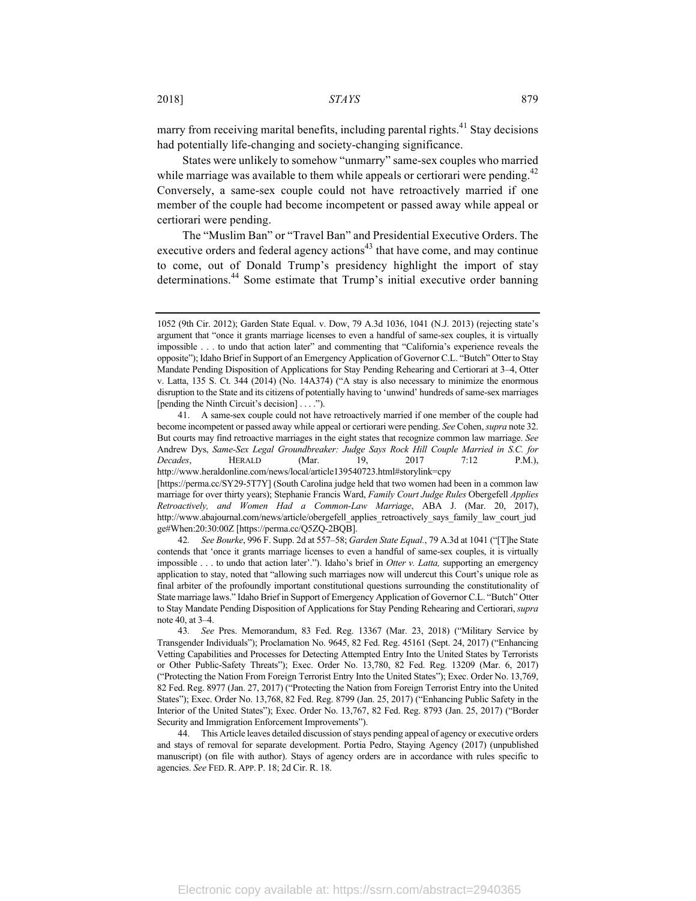marry from receiving marital benefits, including parental rights.<sup>41</sup> Stay decisions had potentially life-changing and society-changing significance.

States were unlikely to somehow "unmarry" same-sex couples who married while marriage was available to them while appeals or certiorari were pending.<sup>42</sup> Conversely, a same-sex couple could not have retroactively married if one member of the couple had become incompetent or passed away while appeal or certiorari were pending.

The "Muslim Ban" or "Travel Ban" and Presidential Executive Orders. The executive orders and federal agency actions<sup> $43$ </sup> that have come, and may continue to come, out of Donald Trump's presidency highlight the import of stay determinations.<sup>44</sup> Some estimate that Trump's initial executive order banning

<sup>1052 (9</sup>th Cir. 2012); Garden State Equal. v. Dow, 79 A.3d 1036, 1041 (N.J. 2013) (rejecting state's argument that "once it grants marriage licenses to even a handful of same-sex couples, it is virtually impossible . . . to undo that action later" and commenting that "California's experience reveals the opposite"); Idaho Brief in Support of an Emergency Application of Governor C.L. "Butch" Otter to Stay Mandate Pending Disposition of Applications for Stay Pending Rehearing and Certiorari at 3–4, Otter v. Latta, 135 S. Ct. 344 (2014) (No. 14A374) ("A stay is also necessary to minimize the enormous disruption to the State and its citizens of potentially having to 'unwind' hundreds of same-sex marriages [pending the Ninth Circuit's decision] . . . .").

<sup>41.</sup> A same-sex couple could not have retroactively married if one member of the couple had become incompetent or passed away while appeal or certiorari were pending. *See* Cohen, *supra* note 32. But courts may find retroactive marriages in the eight states that recognize common law marriage. *See* Andrew Dys, *Same-Sex Legal Groundbreaker: Judge Says Rock Hill Couple Married in S.C. for Decades*, HERALD (Mar. 19, 2017 7:12 P.M.), http://www.heraldonline.com/news/local/article139540723.html#storylink=cpy [https://perma.cc/SY29-5T7Y] (South Carolina judge held that two women had been in a common law

marriage for over thirty years); Stephanie Francis Ward, *Family Court Judge Rules* Obergefell *Applies Retroactively, and Women Had a Common-Law Marriage*, ABA J. (Mar. 20, 2017), http://www.abajournal.com/news/article/obergefell\_applies\_retroactively\_says\_family\_law\_court\_jud ge#When:20:30:00Z [https://perma.cc/Q5ZQ-2BQB].

<sup>42</sup>*. See Bourke*, 996 F. Supp. 2d at 557–58; *Garden State Equal.*, 79 A.3d at 1041 ("[T]he State contends that 'once it grants marriage licenses to even a handful of same-sex couples, it is virtually impossible . . . to undo that action later'."). Idaho's brief in *Otter v. Latta,* supporting an emergency application to stay, noted that "allowing such marriages now will undercut this Court's unique role as final arbiter of the profoundly important constitutional questions surrounding the constitutionality of State marriage laws." Idaho Brief in Support of Emergency Application of Governor C.L. "Butch" Otter to Stay Mandate Pending Disposition of Applications for Stay Pending Rehearing and Certiorari, *supra*  note 40, at 3–4.

<sup>43</sup>*. See* Pres. Memorandum, 83 Fed. Reg. 13367 (Mar. 23, 2018) ("Military Service by Transgender Individuals"); Proclamation No. 9645, 82 Fed. Reg. 45161 (Sept. 24, 2017) ("Enhancing Vetting Capabilities and Processes for Detecting Attempted Entry Into the United States by Terrorists or Other Public-Safety Threats"); Exec. Order No. 13,780, 82 Fed. Reg. 13209 (Mar. 6, 2017) ("Protecting the Nation From Foreign Terrorist Entry Into the United States"); Exec. Order No. 13,769, 82 Fed. Reg. 8977 (Jan. 27, 2017) ("Protecting the Nation from Foreign Terrorist Entry into the United States"); Exec. Order No. 13,768, 82 Fed. Reg. 8799 (Jan. 25, 2017) ("Enhancing Public Safety in the Interior of the United States"); Exec. Order No. 13,767, 82 Fed. Reg. 8793 (Jan. 25, 2017) ("Border Security and Immigration Enforcement Improvements").

<sup>44.</sup> This Article leaves detailed discussion of stays pending appeal of agency or executive orders and stays of removal for separate development. Portia Pedro, Staying Agency (2017) (unpublished manuscript) (on file with author). Stays of agency orders are in accordance with rules specific to agencies. *See* FED. R. APP. P. 18; 2d Cir. R. 18.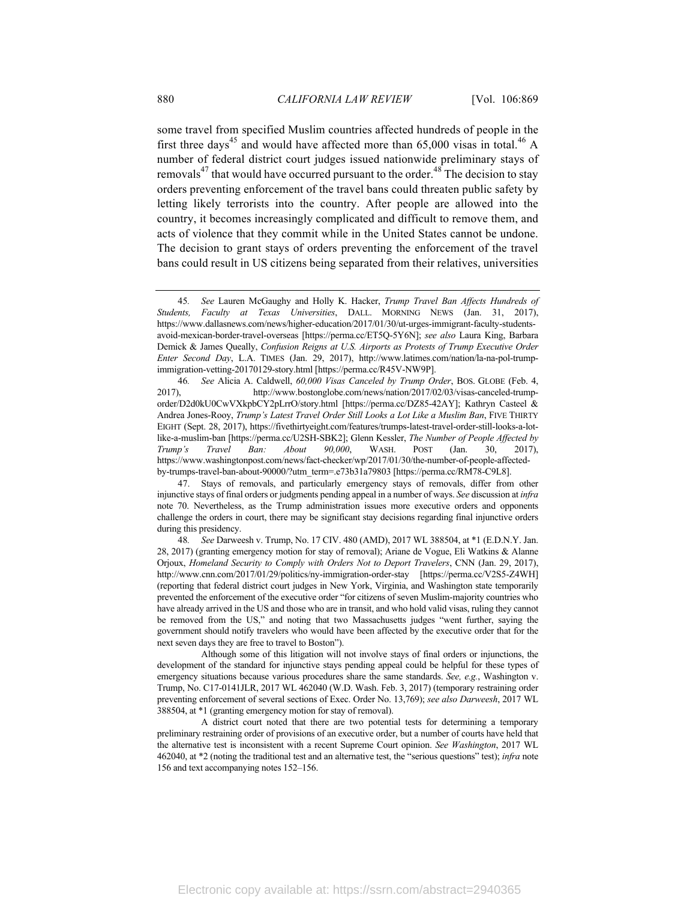some travel from specified Muslim countries affected hundreds of people in the first three days<sup>45</sup> and would have affected more than  $65,000$  visas in total.<sup>46</sup> A number of federal district court judges issued nationwide preliminary stays of removals $47$  that would have occurred pursuant to the order. $48$ <sup>T</sup> The decision to stay orders preventing enforcement of the travel bans could threaten public safety by letting likely terrorists into the country. After people are allowed into the country, it becomes increasingly complicated and difficult to remove them, and acts of violence that they commit while in the United States cannot be undone. The decision to grant stays of orders preventing the enforcement of the travel bans could result in US citizens being separated from their relatives, universities

Although some of this litigation will not involve stays of final orders or injunctions, the development of the standard for injunctive stays pending appeal could be helpful for these types of emergency situations because various procedures share the same standards. *See, e.g.*, Washington v. Trump, No. C17-0141JLR, 2017 WL 462040 (W.D. Wash. Feb. 3, 2017) (temporary restraining order preventing enforcement of several sections of Exec. Order No. 13,769); *see also Darweesh*, 2017 WL 388504, at \*1 (granting emergency motion for stay of removal).

A district court noted that there are two potential tests for determining a temporary preliminary restraining order of provisions of an executive order, but a number of courts have held that the alternative test is inconsistent with a recent Supreme Court opinion. *See Washington*, 2017 WL 462040, at \*2 (noting the traditional test and an alternative test, the "serious questions" test); *infra* note 156 and text accompanying notes 152–156.

<sup>45</sup>*. See* Lauren McGaughy and Holly K. Hacker, *Trump Travel Ban Affects Hundreds of Students, Faculty at Texas Universities*, DALL. MORNING NEWS (Jan. 31, 2017), https://www.dallasnews.com/news/higher-education/2017/01/30/ut-urges-immigrant-faculty-studentsavoid-mexican-border-travel-overseas [https://perma.cc/ET5Q-5Y6N]; *see also* Laura King, Barbara Demick & James Queally, *Confusion Reigns at U.S. Airports as Protests of Trump Executive Order Enter Second Day*, L.A. TIMES (Jan. 29, 2017), http://www.latimes.com/nation/la-na-pol-trumpimmigration-vetting-20170129-story.html [https://perma.cc/R45V-NW9P].

<sup>46.</sup> *See* Alicia A. Caldwell, 60,000 *Visas Canceled by Trump Order*, BOS. GLOBE (Feb. 4, 2017). http://www.bostonglobe.com/news/nation/2017/02/03/visas-canceled-trumphttp://www.bostonglobe.com/news/nation/2017/02/03/visas-canceled-trumporder/D2d0kU0CwVXkpbCY2pLrrO/story.html [https://perma.cc/DZ85-42AY]; Kathryn Casteel & Andrea Jones-Rooy, *Trump's Latest Travel Order Still Looks a Lot Like a Muslim Ban*, FIVE THIRTY EIGHT (Sept. 28, 2017), https://fivethirtyeight.com/features/trumps-latest-travel-order-still-looks-a-lotlike-a-muslim-ban [https://perma.cc/U2SH-SBK2]; Glenn Kessler, *The Number of People Affected by Trump's Travel Ban: About 90,000*, WASH. POST (Jan. 30, 2017), https://www.washingtonpost.com/news/fact-checker/wp/2017/01/30/the-number-of-people-affectedby-trumps-travel-ban-about-90000/?utm\_term=.e73b31a79803 [https://perma.cc/RM78-C9L8].

<sup>47.</sup> Stays of removals, and particularly emergency stays of removals, differ from other injunctive stays of final orders or judgments pending appeal in a number of ways. *See* discussion at *infra* note 70. Nevertheless, as the Trump administration issues more executive orders and opponents challenge the orders in court, there may be significant stay decisions regarding final injunctive orders during this presidency.

<sup>48</sup>*. See* Darweesh v. Trump, No. 17 CIV. 480 (AMD), 2017 WL 388504, at \*1 (E.D.N.Y. Jan. 28, 2017) (granting emergency motion for stay of removal); Ariane de Vogue, Eli Watkins & Alanne Orjoux, *Homeland Security to Comply with Orders Not to Deport Travelers*, CNN (Jan. 29, 2017), http://www.cnn.com/2017/01/29/politics/ny-immigration-order-stay [https://perma.cc/V2S5-Z4WH] (reporting that federal district court judges in New York, Virginia, and Washington state temporarily prevented the enforcement of the executive order "for citizens of seven Muslim-majority countries who have already arrived in the US and those who are in transit, and who hold valid visas, ruling they cannot be removed from the US," and noting that two Massachusetts judges "went further, saying the government should notify travelers who would have been affected by the executive order that for the next seven days they are free to travel to Boston").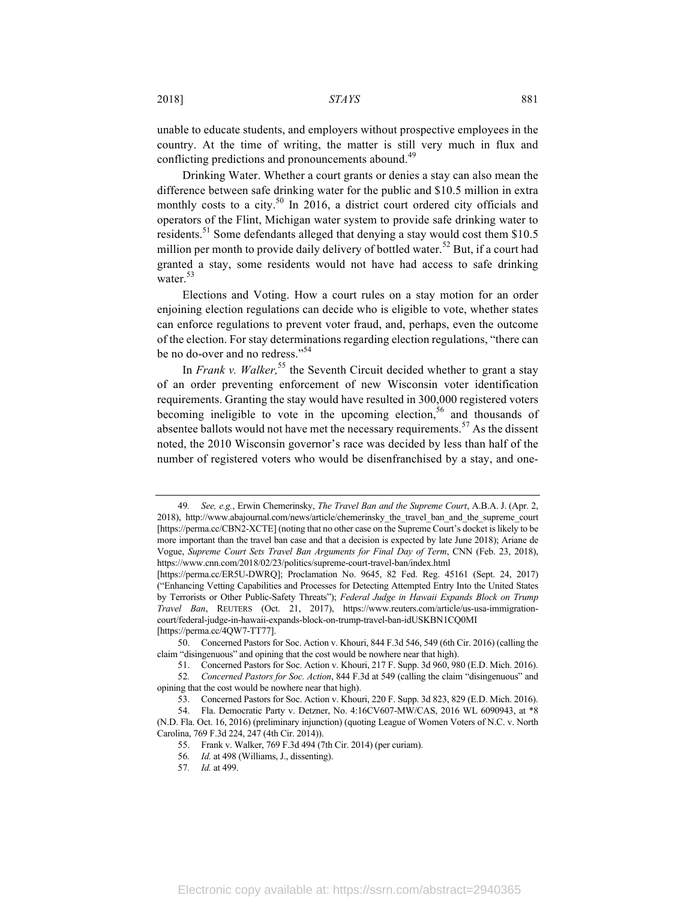unable to educate students, and employers without prospective employees in the country. At the time of writing, the matter is still very much in flux and conflicting predictions and pronouncements abound.<sup>49</sup>

Drinking Water. Whether a court grants or denies a stay can also mean the difference between safe drinking water for the public and \$10.5 million in extra monthly costs to a city.<sup>50</sup> In 2016, a district court ordered city officials and operators of the Flint, Michigan water system to provide safe drinking water to residents.<sup>51</sup> Some defendants alleged that denying a stay would cost them \$10.5 million per month to provide daily delivery of bottled water.<sup>52</sup> But, if a court had granted a stay, some residents would not have had access to safe drinking water.<sup>53</sup>

Elections and Voting. How a court rules on a stay motion for an order enjoining election regulations can decide who is eligible to vote, whether states can enforce regulations to prevent voter fraud, and, perhaps, even the outcome of the election. For stay determinations regarding election regulations, "there can be no do-over and no redress."<sup>54</sup>

In *Frank v. Walker*,<sup>55</sup> the Seventh Circuit decided whether to grant a stay of an order preventing enforcement of new Wisconsin voter identification requirements. Granting the stay would have resulted in 300,000 registered voters becoming ineligible to vote in the upcoming election,<sup>56</sup> and thousands of absentee ballots would not have met the necessary requirements.<sup>57</sup> As the dissent noted, the 2010 Wisconsin governor's race was decided by less than half of the number of registered voters who would be disenfranchised by a stay, and one-

<sup>49</sup>*. See, e.g.*, Erwin Chemerinsky, *The Travel Ban and the Supreme Court*, A.B.A. J. (Apr. 2, 2018), http://www.abajournal.com/news/article/chemerinsky the travel ban and the supreme court [https://perma.cc/CBN2-XCTE] (noting that no other case on the Supreme Court's docket is likely to be more important than the travel ban case and that a decision is expected by late June 2018); Ariane de Vogue, *Supreme Court Sets Travel Ban Arguments for Final Day of Term*, CNN (Feb. 23, 2018), https://www.cnn.com/2018/02/23/politics/supreme-court-travel-ban/index.html

<sup>[</sup>https://perma.cc/ER5U-DWRQ]; Proclamation No. 9645, 82 Fed. Reg. 45161 (Sept. 24, 2017) ("Enhancing Vetting Capabilities and Processes for Detecting Attempted Entry Into the United States by Terrorists or Other Public-Safety Threats"); *Federal Judge in Hawaii Expands Block on Trump Travel Ban*, REUTERS (Oct. 21, 2017), https://www.reuters.com/article/us-usa-immigrationcourt/federal-judge-in-hawaii-expands-block-on-trump-travel-ban-idUSKBN1CQ0MI [https://perma.cc/4QW7-TT77].

<sup>50.</sup> Concerned Pastors for Soc. Action v. Khouri, 844 F.3d 546, 549 (6th Cir. 2016) (calling the claim "disingenuous" and opining that the cost would be nowhere near that high).

<sup>51.</sup> Concerned Pastors for Soc. Action v. Khouri, 217 F. Supp. 3d 960, 980 (E.D. Mich. 2016).

<sup>52</sup>*. Concerned Pastors for Soc. Action*, 844 F.3d at 549 (calling the claim "disingenuous" and opining that the cost would be nowhere near that high).

<sup>53.</sup> Concerned Pastors for Soc. Action v. Khouri, 220 F. Supp. 3d 823, 829 (E.D. Mich. 2016).

<sup>54.</sup> Fla. Democratic Party v. Detzner, No. 4:16CV607-MW/CAS, 2016 WL 6090943, at \*8 (N.D. Fla. Oct. 16, 2016) (preliminary injunction) (quoting League of Women Voters of N.C. v. North Carolina, 769 F.3d 224, 247 (4th Cir. 2014)).

<sup>55.</sup> Frank v. Walker, 769 F.3d 494 (7th Cir. 2014) (per curiam).

<sup>56</sup>*. Id.* at 498 (Williams, J., dissenting).

<sup>57</sup>*. Id.* at 499.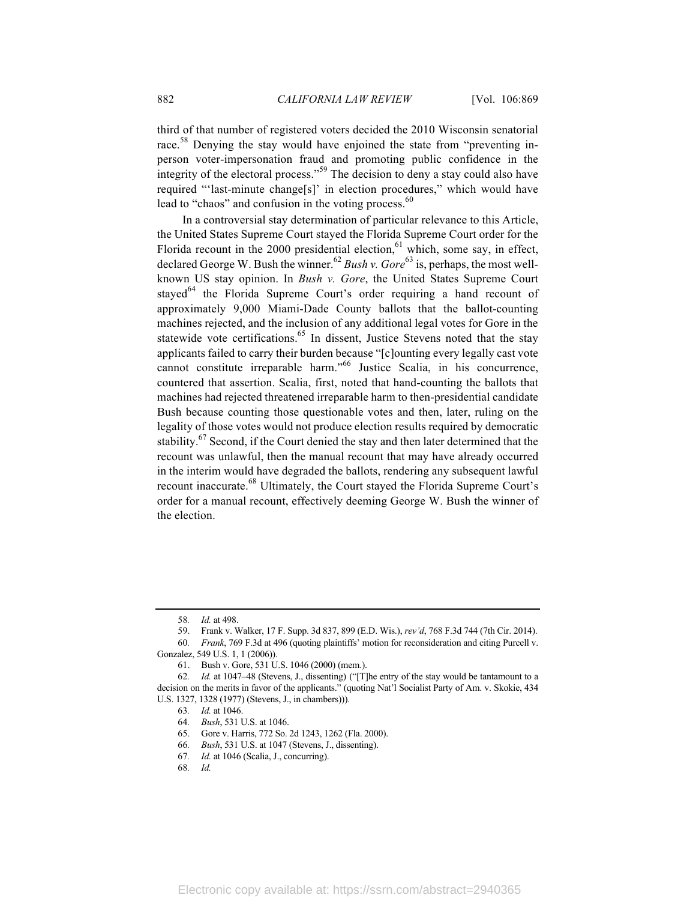third of that number of registered voters decided the 2010 Wisconsin senatorial race.<sup>58</sup> Denying the stay would have enjoined the state from "preventing inperson voter-impersonation fraud and promoting public confidence in the integrity of the electoral process."<sup>59</sup> The decision to deny a stay could also have required "'last-minute change[s]' in election procedures," which would have lead to "chaos" and confusion in the voting process.<sup>60</sup>

In a controversial stay determination of particular relevance to this Article, the United States Supreme Court stayed the Florida Supreme Court order for the Florida recount in the 2000 presidential election,  $61$  which, some say, in effect, declared George W. Bush the winner.<sup>62</sup> *Bush v. Gore*<sup>63</sup> is, perhaps, the most wellknown US stay opinion. In *Bush v. Gore*, the United States Supreme Court stayed<sup>64</sup> the Florida Supreme Court's order requiring a hand recount of approximately 9,000 Miami-Dade County ballots that the ballot-counting machines rejected, and the inclusion of any additional legal votes for Gore in the statewide vote certifications.<sup>65</sup> In dissent, Justice Stevens noted that the stay applicants failed to carry their burden because "[c]ounting every legally cast vote cannot constitute irreparable harm."<sup>66</sup> Justice Scalia, in his concurrence, countered that assertion. Scalia, first, noted that hand-counting the ballots that machines had rejected threatened irreparable harm to then-presidential candidate Bush because counting those questionable votes and then, later, ruling on the legality of those votes would not produce election results required by democratic stability.<sup>67</sup> Second, if the Court denied the stay and then later determined that the recount was unlawful, then the manual recount that may have already occurred in the interim would have degraded the ballots, rendering any subsequent lawful recount inaccurate.<sup>68</sup> Ultimately, the Court stayed the Florida Supreme Court's order for a manual recount, effectively deeming George W. Bush the winner of the election.

<sup>58</sup>*. Id.* at 498.

<sup>59.</sup> Frank v. Walker, 17 F. Supp. 3d 837, 899 (E.D. Wis.), *rev'd*, 768 F.3d 744 (7th Cir. 2014). 60*. Frank*, 769 F.3d at 496 (quoting plaintiffs' motion for reconsideration and citing Purcell v.

Gonzalez, 549 U.S. 1, 1 (2006)).

<sup>61.</sup> Bush v. Gore, 531 U.S. 1046 (2000) (mem.).

<sup>62</sup>*. Id.* at 1047–48 (Stevens, J., dissenting) ("[T]he entry of the stay would be tantamount to a decision on the merits in favor of the applicants." (quoting Nat'l Socialist Party of Am. v. Skokie, 434 U.S. 1327, 1328 (1977) (Stevens, J., in chambers))).

<sup>63</sup>*. Id.* at 1046.

<sup>64</sup>*. Bush*, 531 U.S. at 1046.

<sup>65.</sup> Gore v. Harris, 772 So. 2d 1243, 1262 (Fla. 2000).

<sup>66</sup>*. Bush*, 531 U.S. at 1047 (Stevens, J., dissenting).

<sup>67</sup>*. Id.* at 1046 (Scalia, J., concurring).

<sup>68</sup>*. Id.*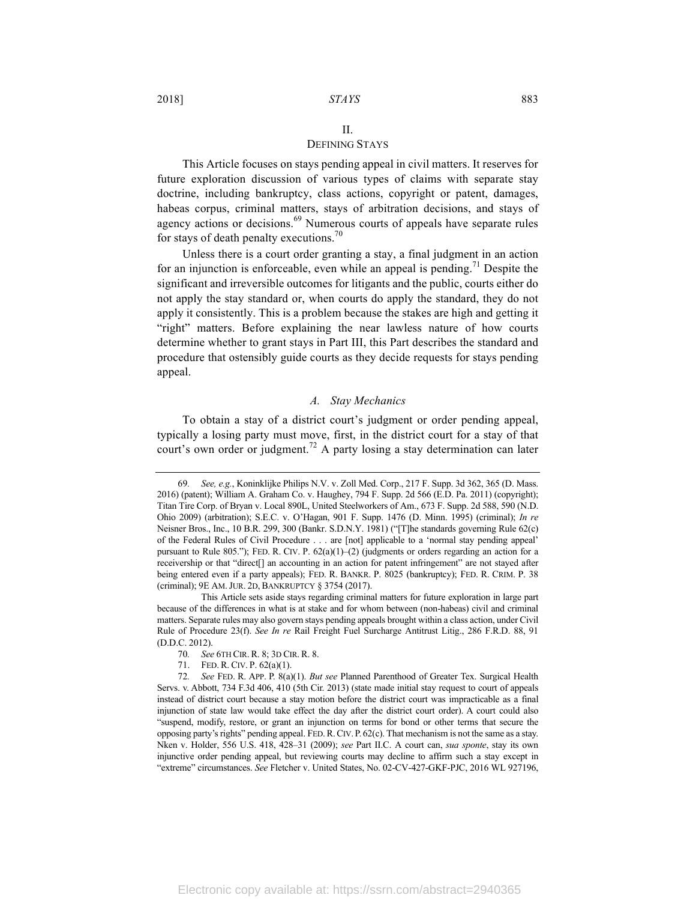## II.

#### DEFINING STAYS

This Article focuses on stays pending appeal in civil matters. It reserves for future exploration discussion of various types of claims with separate stay doctrine, including bankruptcy, class actions, copyright or patent, damages, habeas corpus, criminal matters, stays of arbitration decisions, and stays of agency actions or decisions.<sup>69</sup> Numerous courts of appeals have separate rules for stays of death penalty executions.<sup>70</sup>

Unless there is a court order granting a stay, a final judgment in an action for an injunction is enforceable, even while an appeal is pending.<sup>71</sup> Despite the significant and irreversible outcomes for litigants and the public, courts either do not apply the stay standard or, when courts do apply the standard, they do not apply it consistently. This is a problem because the stakes are high and getting it "right" matters. Before explaining the near lawless nature of how courts determine whether to grant stays in Part III, this Part describes the standard and procedure that ostensibly guide courts as they decide requests for stays pending appeal.

#### *A. Stay Mechanics*

To obtain a stay of a district court's judgment or order pending appeal, typically a losing party must move, first, in the district court for a stay of that court's own order or judgment.<sup>72</sup> A party losing a stay determination can later

<sup>69</sup>*. See, e.g.*, Koninklijke Philips N.V. v. Zoll Med. Corp., 217 F. Supp. 3d 362, 365 (D. Mass. 2016) (patent); William A. Graham Co. v. Haughey, 794 F. Supp. 2d 566 (E.D. Pa. 2011) (copyright); Titan Tire Corp. of Bryan v. Local 890L, United Steelworkers of Am., 673 F. Supp. 2d 588, 590 (N.D. Ohio 2009) (arbitration); S.E.C. v. O'Hagan, 901 F. Supp. 1476 (D. Minn. 1995) (criminal); *In re* Neisner Bros., Inc., 10 B.R. 299, 300 (Bankr. S.D.N.Y. 1981) ("[T]he standards governing Rule 62(c) of the Federal Rules of Civil Procedure . . . are [not] applicable to a 'normal stay pending appeal' pursuant to Rule 805."); FED. R. CIV. P.  $62(a)(1)-(2)$  (judgments or orders regarding an action for a receivership or that "direct[] an accounting in an action for patent infringement" are not stayed after being entered even if a party appeals); FED. R. BANKR. P. 8025 (bankruptcy); FED. R. CRIM. P. 38 (criminal); 9E AM.JUR. 2D, BANKRUPTCY § 3754 (2017).

This Article sets aside stays regarding criminal matters for future exploration in large part because of the differences in what is at stake and for whom between (non-habeas) civil and criminal matters. Separate rules may also govern stays pending appeals brought within a class action, under Civil Rule of Procedure 23(f). *See In re* Rail Freight Fuel Surcharge Antitrust Litig., 286 F.R.D. 88, 91 (D.D.C. 2012).

<sup>70</sup>*. See* 6TH CIR. R. 8; 3D CIR. R. 8.

<sup>71.</sup> FED. R. CIV. P. 62(a)(1).

<sup>72</sup>*. See* FED. R. APP. P. 8(a)(1). *But see* Planned Parenthood of Greater Tex. Surgical Health Servs. v. Abbott, 734 F.3d 406, 410 (5th Cir. 2013) (state made initial stay request to court of appeals instead of district court because a stay motion before the district court was impracticable as a final injunction of state law would take effect the day after the district court order). A court could also "suspend, modify, restore, or grant an injunction on terms for bond or other terms that secure the opposing party's rights" pending appeal. FED.R.CIV. P. 62(c). That mechanism is not the same as a stay. Nken v. Holder, 556 U.S. 418, 428–31 (2009); *see* Part II.C. A court can, *sua sponte*, stay its own injunctive order pending appeal, but reviewing courts may decline to affirm such a stay except in "extreme" circumstances. *See* Fletcher v. United States, No. 02-CV-427-GKF-PJC, 2016 WL 927196,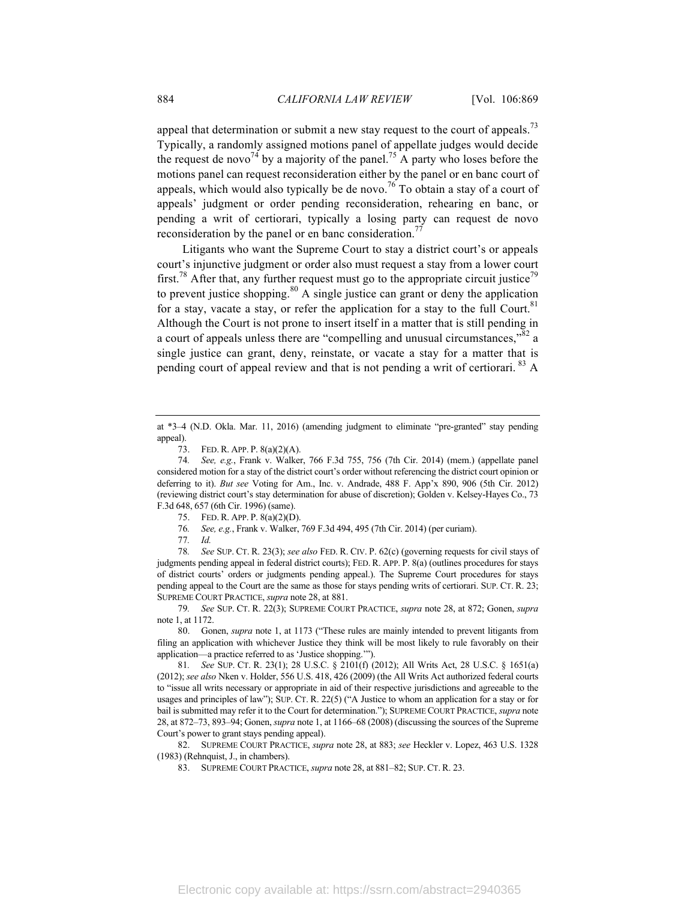appeal that determination or submit a new stay request to the court of appeals.<sup>73</sup> Typically, a randomly assigned motions panel of appellate judges would decide the request de novo<sup>74</sup> by a majority of the panel.<sup>75</sup> A party who loses before the motions panel can request reconsideration either by the panel or en banc court of appeals, which would also typically be de novo.<sup>76</sup> To obtain a stay of a court of appeals' judgment or order pending reconsideration, rehearing en banc, or pending a writ of certiorari, typically a losing party can request de novo reconsideration by the panel or en banc consideration.<sup>77</sup>

Litigants who want the Supreme Court to stay a district court's or appeals court's injunctive judgment or order also must request a stay from a lower court first.<sup>78</sup> After that, any further request must go to the appropriate circuit justice<sup>79</sup> to prevent justice shopping.<sup>80</sup> A single justice can grant or deny the application for a stay, vacate a stay, or refer the application for a stay to the full Court.<sup>81</sup> Although the Court is not prone to insert itself in a matter that is still pending in a court of appeals unless there are "compelling and unusual circumstances," $\frac{3}{2}$  a single justice can grant, deny, reinstate, or vacate a stay for a matter that is pending court of appeal review and that is not pending a writ of certiorari. <sup>83</sup> A

- 75. FED. R. APP. P. 8(a)(2)(D).
- 76*. See, e.g.*, Frank v. Walker, 769 F.3d 494, 495 (7th Cir. 2014) (per curiam).

78*. See* SUP. CT. R. 23(3); *see also* FED. R. CIV. P. 62(c) (governing requests for civil stays of judgments pending appeal in federal district courts); FED. R. APP. P. 8(a) (outlines procedures for stays of district courts' orders or judgments pending appeal.). The Supreme Court procedures for stays pending appeal to the Court are the same as those for stays pending writs of certiorari. SUP. CT. R. 23; SUPREME COURT PRACTICE, *supra* note 28, at 881.

at \*3–4 (N.D. Okla. Mar. 11, 2016) (amending judgment to eliminate "pre-granted" stay pending appeal).

<sup>73.</sup> FED. R. APP. P. 8(a)(2)(A).

<sup>74</sup>*. See, e.g.*, Frank v. Walker, 766 F.3d 755, 756 (7th Cir. 2014) (mem.) (appellate panel considered motion for a stay of the district court's order without referencing the district court opinion or deferring to it). *But see* Voting for Am., Inc. v. Andrade, 488 F. App'x 890, 906 (5th Cir. 2012) (reviewing district court's stay determination for abuse of discretion); Golden v. Kelsey-Hayes Co., 73 F.3d 648, 657 (6th Cir. 1996) (same).

<sup>77</sup>*. Id.*

<sup>79</sup>*. See* SUP. CT. R. 22(3); SUPREME COURT PRACTICE, *supra* note 28, at 872; Gonen, *supra* note 1, at 1172.

<sup>80.</sup> Gonen, *supra* note 1, at 1173 ("These rules are mainly intended to prevent litigants from filing an application with whichever Justice they think will be most likely to rule favorably on their application—a practice referred to as 'Justice shopping.'").

<sup>81</sup>*. See* SUP. CT. R. 23(1); 28 U.S.C. § 2101(f) (2012); All Writs Act, 28 U.S.C. § 1651(a) (2012); *see also* Nken v. Holder, 556 U.S. 418, 426 (2009) (the All Writs Act authorized federal courts to "issue all writs necessary or appropriate in aid of their respective jurisdictions and agreeable to the usages and principles of law"); SUP. CT. R. 22(5) ("A Justice to whom an application for a stay or for bail is submitted may refer it to the Court for determination."); SUPREME COURT PRACTICE, *supra* note 28, at 872–73, 893–94; Gonen, *supra* note 1, at 1166–68 (2008) (discussing the sources of the Supreme Court's power to grant stays pending appeal).

<sup>82.</sup> SUPREME COURT PRACTICE, *supra* note 28, at 883; *see* Heckler v. Lopez, 463 U.S. 1328 (1983) (Rehnquist, J., in chambers).

<sup>83.</sup> SUPREME COURT PRACTICE, *supra* note 28, at 881–82; SUP. CT. R. 23.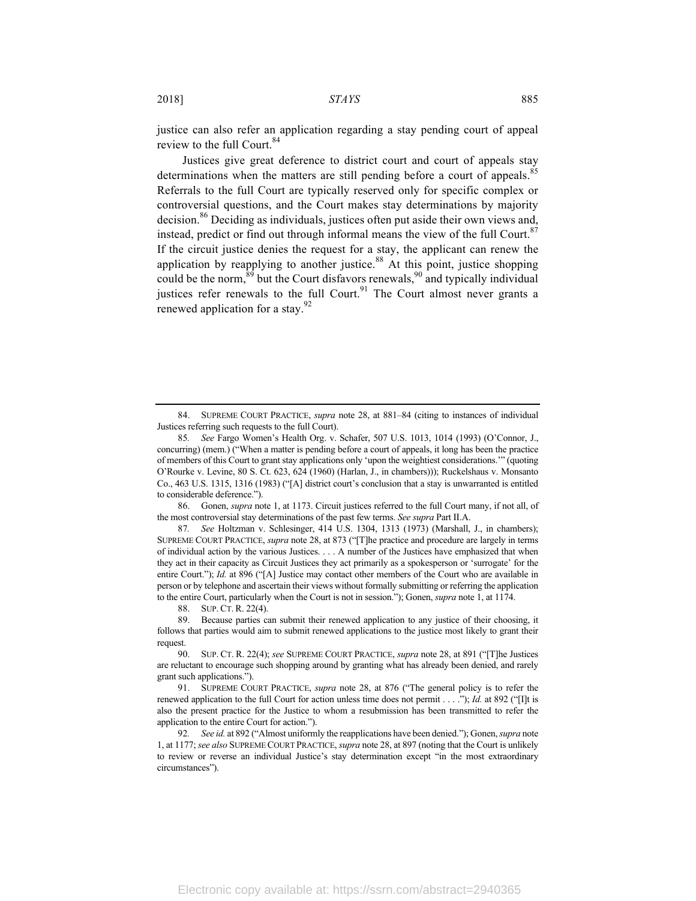justice can also refer an application regarding a stay pending court of appeal review to the full Court.<sup>84</sup>

Justices give great deference to district court and court of appeals stay determinations when the matters are still pending before a court of appeals.<sup>85</sup> Referrals to the full Court are typically reserved only for specific complex or controversial questions, and the Court makes stay determinations by majority decision.<sup>86</sup> Deciding as individuals, justices often put aside their own views and, instead, predict or find out through informal means the view of the full Court. $87$ If the circuit justice denies the request for a stay, the applicant can renew the application by reapplying to another justice.<sup>88</sup> At this point, justice shopping could be the norm,  $89$  but the Court disfavors renewals,  $90$  and typically individual justices refer renewals to the full Court.<sup>91</sup> The Court almost never grants a renewed application for a stay.<sup>92</sup>

86. Gonen, *supra* note 1, at 1173. Circuit justices referred to the full Court many, if not all, of the most controversial stay determinations of the past few terms. *See supra* Part II.A.

87*. See* Holtzman v. Schlesinger, 414 U.S. 1304, 1313 (1973) (Marshall, J., in chambers); SUPREME COURT PRACTICE, *supra* note 28, at 873 ("[T]he practice and procedure are largely in terms of individual action by the various Justices. . . . A number of the Justices have emphasized that when they act in their capacity as Circuit Justices they act primarily as a spokesperson or 'surrogate' for the entire Court."); *Id.* at 896 ("[A] Justice may contact other members of the Court who are available in person or by telephone and ascertain their views without formally submitting or referring the application to the entire Court, particularly when the Court is not in session."); Gonen, *supra* note 1, at 1174.

88. SUP. CT. R. 22(4).

89. Because parties can submit their renewed application to any justice of their choosing, it follows that parties would aim to submit renewed applications to the justice most likely to grant their request.

<sup>84.</sup> SUPREME COURT PRACTICE, *supra* note 28, at 881–84 (citing to instances of individual Justices referring such requests to the full Court).

<sup>85</sup>*. See* Fargo Women's Health Org. v. Schafer, 507 U.S. 1013, 1014 (1993) (O'Connor, J., concurring) (mem.) ("When a matter is pending before a court of appeals, it long has been the practice of members of this Court to grant stay applications only 'upon the weightiest considerations.'" (quoting O'Rourke v. Levine, 80 S. Ct. 623, 624 (1960) (Harlan, J., in chambers))); Ruckelshaus v. Monsanto Co., 463 U.S. 1315, 1316 (1983) ("[A] district court's conclusion that a stay is unwarranted is entitled to considerable deference.").

<sup>90.</sup> SUP. CT. R. 22(4); *see* SUPREME COURT PRACTICE, *supra* note 28, at 891 ("[T]he Justices are reluctant to encourage such shopping around by granting what has already been denied, and rarely grant such applications.").

<sup>91.</sup> SUPREME COURT PRACTICE, *supra* note 28, at 876 ("The general policy is to refer the renewed application to the full Court for action unless time does not permit . . . ."); *Id.* at 892 ("[I]t is also the present practice for the Justice to whom a resubmission has been transmitted to refer the application to the entire Court for action.").

<sup>92</sup>*. See id.* at 892 ("Almost uniformly the reapplications have been denied."); Gonen, *supra* note 1, at 1177; *see also* SUPREME COURT PRACTICE, *supra* note 28, at 897 (noting that the Court is unlikely to review or reverse an individual Justice's stay determination except "in the most extraordinary circumstances").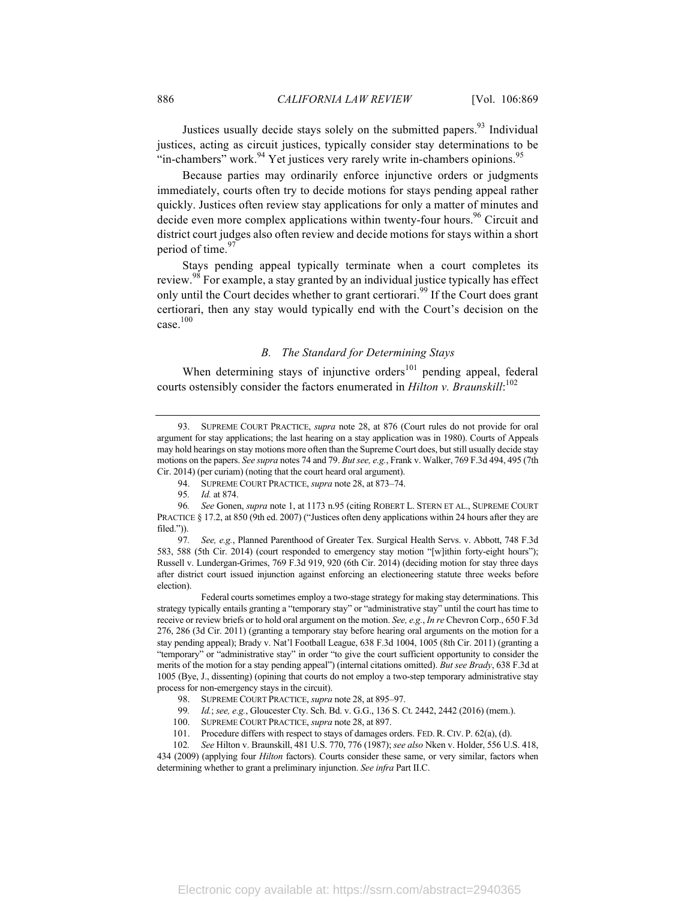Justices usually decide stays solely on the submitted papers.<sup>93</sup> Individual justices, acting as circuit justices, typically consider stay determinations to be "in-chambers" work.<sup>94</sup> Yet justices very rarely write in-chambers opinions.<sup>95</sup>

Because parties may ordinarily enforce injunctive orders or judgments immediately, courts often try to decide motions for stays pending appeal rather quickly. Justices often review stay applications for only a matter of minutes and decide even more complex applications within twenty-four hours.<sup>96</sup> Circuit and district court judges also often review and decide motions for stays within a short period of time.<sup>97</sup>

Stays pending appeal typically terminate when a court completes its review.<sup>98</sup> For example, a stay granted by an individual justice typically has effect only until the Court decides whether to grant certiorari.<sup>99</sup> If the Court does grant certiorari, then any stay would typically end with the Court's decision on the case. 100

#### *B. The Standard for Determining Stays*

When determining stays of injunctive orders $101$  pending appeal, federal courts ostensibly consider the factors enumerated in *Hilton v. Braunskill*: 102

94. SUPREME COURT PRACTICE, *supra* note 28, at 873–74.

<sup>93.</sup> SUPREME COURT PRACTICE, *supra* note 28, at 876 (Court rules do not provide for oral argument for stay applications; the last hearing on a stay application was in 1980). Courts of Appeals may hold hearings on stay motions more often than the Supreme Court does, but still usually decide stay motions on the papers. *See supra* notes 74 and 79. *But see, e.g.*, Frank v. Walker, 769 F.3d 494, 495 (7th Cir. 2014) (per curiam) (noting that the court heard oral argument).

<sup>95</sup>*. Id.* at 874.

<sup>96</sup>*. See* Gonen, *supra* note 1, at 1173 n.95 (citing ROBERT L. STERN ET AL., SUPREME COURT PRACTICE § 17.2, at 850 (9th ed. 2007) ("Justices often deny applications within 24 hours after they are filed.")).

<sup>97</sup>*. See, e.g.*, Planned Parenthood of Greater Tex. Surgical Health Servs. v. Abbott, 748 F.3d 583, 588 (5th Cir. 2014) (court responded to emergency stay motion "[w]ithin forty-eight hours"); Russell v. Lundergan-Grimes, 769 F.3d 919, 920 (6th Cir. 2014) (deciding motion for stay three days after district court issued injunction against enforcing an electioneering statute three weeks before election).

Federal courts sometimes employ a two-stage strategy for making stay determinations. This strategy typically entails granting a "temporary stay" or "administrative stay" until the court has time to receive or review briefs or to hold oral argument on the motion. *See, e.g.*, *In re* Chevron Corp., 650 F.3d 276, 286 (3d Cir. 2011) (granting a temporary stay before hearing oral arguments on the motion for a stay pending appeal); Brady v. Nat'l Football League, 638 F.3d 1004, 1005 (8th Cir. 2011) (granting a "temporary" or "administrative stay" in order "to give the court sufficient opportunity to consider the merits of the motion for a stay pending appeal") (internal citations omitted). *But see Brady*, 638 F.3d at 1005 (Bye, J., dissenting) (opining that courts do not employ a two-step temporary administrative stay process for non-emergency stays in the circuit).

<sup>98.</sup> SUPREME COURT PRACTICE, *supra* note 28, at 895–97.

<sup>99</sup>*. Id.*; *see, e.g.*, Gloucester Cty. Sch. Bd. v. G.G., 136 S. Ct. 2442, 2442 (2016) (mem.).

<sup>100.</sup> SUPREME COURT PRACTICE, *supra* note 28, at 897.

<sup>101.</sup> Procedure differs with respect to stays of damages orders. FED. R. CIV. P. 62(a), (d).

<sup>102</sup>*. See* Hilton v. Braunskill, 481 U.S. 770, 776 (1987); *see also* Nken v. Holder, 556 U.S. 418, 434 (2009) (applying four *Hilton* factors). Courts consider these same, or very similar, factors when determining whether to grant a preliminary injunction. *See infra* Part II.C.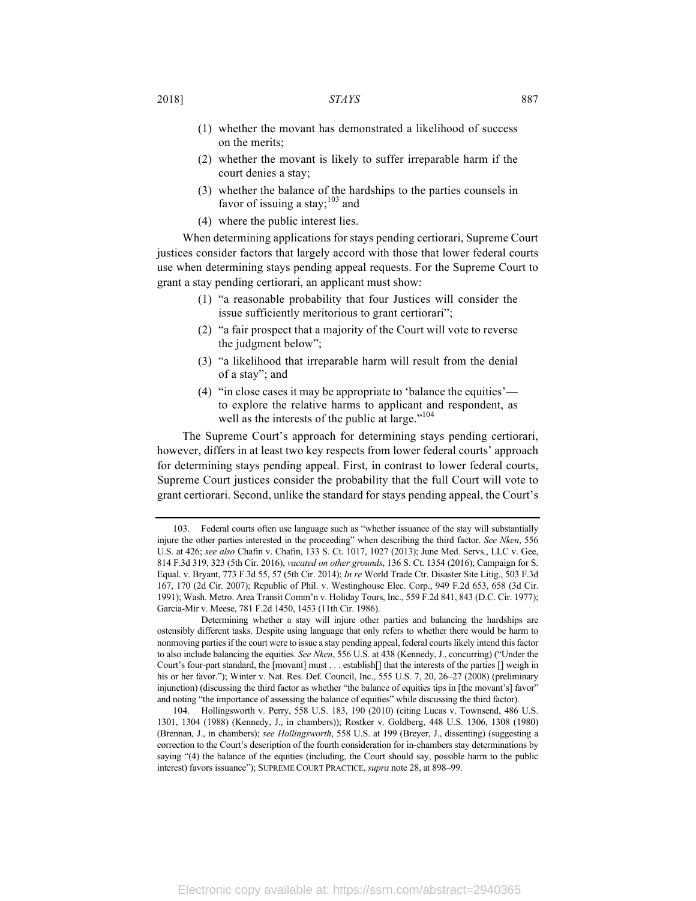#### 2018] *STAYS* 887

- (1) whether the movant has demonstrated a likelihood of success on the merits;
- (2) whether the movant is likely to suffer irreparable harm if the court denies a stay;
- (3) whether the balance of the hardships to the parties counsels in favor of issuing a stay; $^{103}$  and
- (4) where the public interest lies.

When determining applications for stays pending certiorari, Supreme Court justices consider factors that largely accord with those that lower federal courts use when determining stays pending appeal requests. For the Supreme Court to grant a stay pending certiorari, an applicant must show:

- (1) "a reasonable probability that four Justices will consider the issue sufficiently meritorious to grant certiorari";
- (2) "a fair prospect that a majority of the Court will vote to reverse the judgment below";
- (3) "a likelihood that irreparable harm will result from the denial of a stay"; and
- (4) "in close cases it may be appropriate to 'balance the equities' to explore the relative harms to applicant and respondent, as well as the interests of the public at large."<sup>104</sup>

The Supreme Court's approach for determining stays pending certiorari, however, differs in at least two key respects from lower federal courts' approach for determining stays pending appeal. First, in contrast to lower federal courts, Supreme Court justices consider the probability that the full Court will vote to grant certiorari. Second, unlike the standard for stays pending appeal, the Court's

<sup>103.</sup> Federal courts often use language such as "whether issuance of the stay will substantially injure the other parties interested in the proceeding" when describing the third factor. *See Nken*, 556 U.S. at 426; *see also* Chafin v. Chafin, 133 S. Ct. 1017, 1027 (2013); June Med. Servs., LLC v. Gee, 814 F.3d 319, 323 (5th Cir. 2016), *vacated on other grounds*, 136 S. Ct. 1354 (2016); Campaign for S. Equal. v. Bryant, 773 F.3d 55, 57 (5th Cir. 2014); *In re* World Trade Ctr. Disaster Site Litig., 503 F.3d 167, 170 (2d Cir. 2007); Republic of Phil. v. Westinghouse Elec. Corp., 949 F.2d 653, 658 (3d Cir. 1991); Wash. Metro. Area Transit Comm'n v. Holiday Tours, Inc., 559 F.2d 841, 843 (D.C. Cir. 1977); Garcia-Mir v. Meese, 781 F.2d 1450, 1453 (11th Cir. 1986).

Determining whether a stay will injure other parties and balancing the hardships are ostensibly different tasks. Despite using language that only refers to whether there would be harm to nonmoving parties if the court were to issue a stay pending appeal, federal courts likely intend this factor to also include balancing the equities. *See Nken*, 556 U.S. at 438 (Kennedy, J., concurring) ("Under the Court's four-part standard, the [movant] must . . . establish[] that the interests of the parties [] weigh in his or her favor."); Winter v. Nat. Res. Def. Council, Inc., 555 U.S. 7, 20, 26-27 (2008) (preliminary injunction) (discussing the third factor as whether "the balance of equities tips in [the movant's] favor" and noting "the importance of assessing the balance of equities" while discussing the third factor).

<sup>104.</sup> Hollingsworth v. Perry, 558 U.S. 183, 190 (2010) (citing Lucas v. Townsend, 486 U.S. 1301, 1304 (1988) (Kennedy, J., in chambers)); Rostker v. Goldberg, 448 U.S. 1306, 1308 (1980) (Brennan, J., in chambers); *see Hollingsworth*, 558 U.S. at 199 (Breyer, J., dissenting) (suggesting a correction to the Court's description of the fourth consideration for in-chambers stay determinations by saying "(4) the balance of the equities (including, the Court should say, possible harm to the public interest) favors issuance"); SUPREME COURT PRACTICE, *supra* note 28, at 898–99.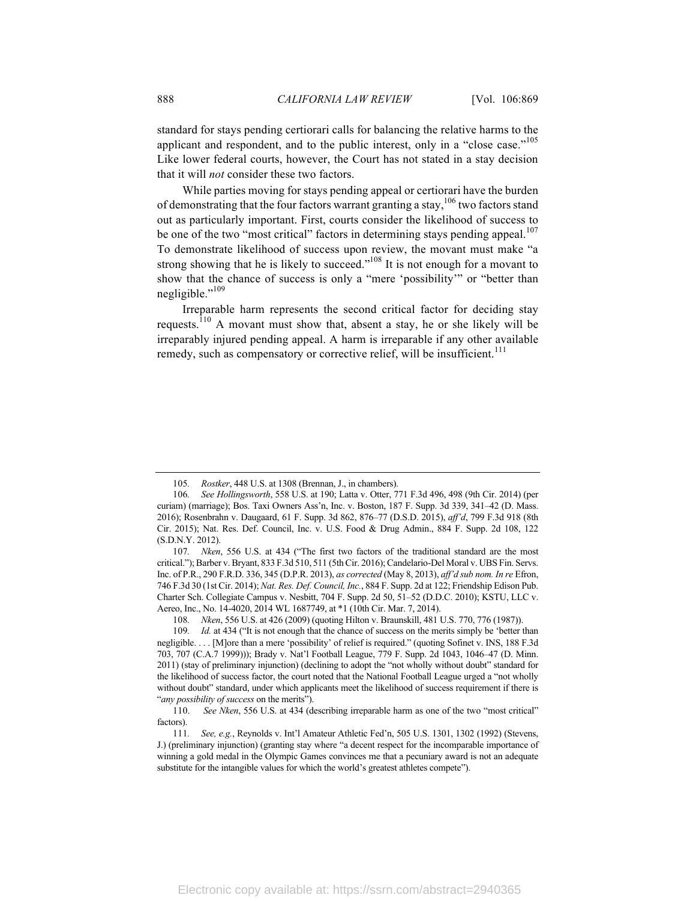standard for stays pending certiorari calls for balancing the relative harms to the applicant and respondent, and to the public interest, only in a "close case."<sup>105</sup> Like lower federal courts, however, the Court has not stated in a stay decision that it will *not* consider these two factors.

While parties moving for stays pending appeal or certiorari have the burden of demonstrating that the four factors warrant granting a stay,  $106$  two factors stand out as particularly important. First, courts consider the likelihood of success to be one of the two "most critical" factors in determining stays pending appeal.<sup>107</sup> To demonstrate likelihood of success upon review, the movant must make "a strong showing that he is likely to succeed."<sup>108</sup> It is not enough for a movant to show that the chance of success is only a "mere 'possibility'" or "better than negligible."<sup>109</sup>

Irreparable harm represents the second critical factor for deciding stay requests.<sup>110</sup> A movant must show that, absent a stay, he or she likely will be irreparably injured pending appeal. A harm is irreparable if any other available remedy, such as compensatory or corrective relief, will be insufficient.<sup>111</sup>

<sup>105</sup>*. Rostker*, 448 U.S. at 1308 (Brennan, J., in chambers).

<sup>106</sup>*. See Hollingsworth*, 558 U.S. at 190; Latta v. Otter, 771 F.3d 496, 498 (9th Cir. 2014) (per curiam) (marriage); Bos. Taxi Owners Ass'n, Inc. v. Boston, 187 F. Supp. 3d 339, 341–42 (D. Mass. 2016); Rosenbrahn v. Daugaard, 61 F. Supp. 3d 862, 876–77 (D.S.D. 2015), *aff'd*, 799 F.3d 918 (8th Cir. 2015); Nat. Res. Def. Council, Inc. v. U.S. Food & Drug Admin., 884 F. Supp. 2d 108, 122 (S.D.N.Y. 2012).

<sup>107</sup>*. Nken*, 556 U.S. at 434 ("The first two factors of the traditional standard are the most critical."); Barber v. Bryant, 833 F.3d 510, 511 (5th Cir. 2016); Candelario-Del Moral v. UBS Fin. Servs. Inc. of P.R., 290 F.R.D. 336, 345 (D.P.R. 2013), *as corrected* (May 8, 2013), *aff'd sub nom. In re* Efron, 746 F.3d 30 (1st Cir. 2014); *Nat. Res. Def. Council, Inc.*, 884 F. Supp. 2d at 122; Friendship Edison Pub. Charter Sch. Collegiate Campus v. Nesbitt, 704 F. Supp. 2d 50, 51–52 (D.D.C. 2010); KSTU, LLC v. Aereo, Inc., No. 14-4020, 2014 WL 1687749, at \*1 (10th Cir. Mar. 7, 2014).

<sup>108</sup>*. Nken*, 556 U.S. at 426 (2009) (quoting Hilton v. Braunskill, 481 U.S. 770, 776 (1987)).

<sup>109.</sup> *Id.* at 434 ("It is not enough that the chance of success on the merits simply be 'better than negligible. . . . [M]ore than a mere 'possibility' of relief is required." (quoting Sofinet v. INS, 188 F.3d 703, 707 (C.A.7 1999))); Brady v. Nat'l Football League, 779 F. Supp. 2d 1043, 1046–47 (D. Minn. 2011) (stay of preliminary injunction) (declining to adopt the "not wholly without doubt" standard for the likelihood of success factor, the court noted that the National Football League urged a "not wholly without doubt" standard, under which applicants meet the likelihood of success requirement if there is "*any possibility of success* on the merits").

<sup>110.</sup> *See Nken*, 556 U.S. at 434 (describing irreparable harm as one of the two "most critical" factors).

<sup>111</sup>*. See, e.g.*, Reynolds v. Int'l Amateur Athletic Fed'n, 505 U.S. 1301, 1302 (1992) (Stevens, J.) (preliminary injunction) (granting stay where "a decent respect for the incomparable importance of winning a gold medal in the Olympic Games convinces me that a pecuniary award is not an adequate substitute for the intangible values for which the world's greatest athletes compete").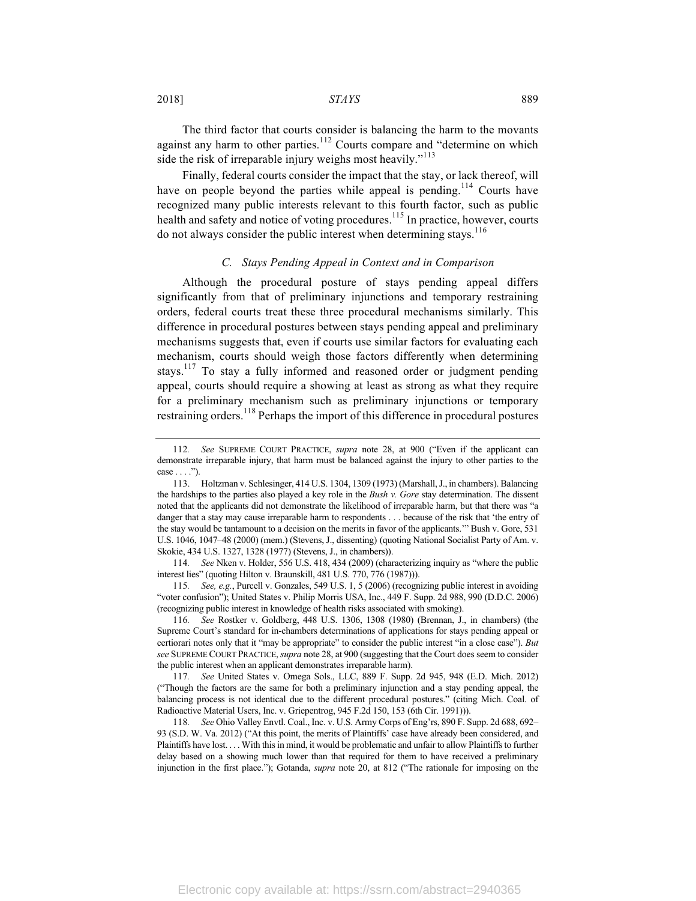2018] *STAYS* 889

The third factor that courts consider is balancing the harm to the movants against any harm to other parties. $112$  Courts compare and "determine on which side the risk of irreparable injury weighs most heavily."<sup>113</sup>

Finally, federal courts consider the impact that the stay, or lack thereof, will have on people beyond the parties while appeal is pending.<sup>114</sup> Courts have recognized many public interests relevant to this fourth factor, such as public health and safety and notice of voting procedures.<sup>115</sup> In practice, however, courts do not always consider the public interest when determining stays.<sup>116</sup>

#### *C. Stays Pending Appeal in Context and in Comparison*

Although the procedural posture of stays pending appeal differs significantly from that of preliminary injunctions and temporary restraining orders, federal courts treat these three procedural mechanisms similarly. This difference in procedural postures between stays pending appeal and preliminary mechanisms suggests that, even if courts use similar factors for evaluating each mechanism, courts should weigh those factors differently when determining stays.<sup>117</sup> To stay a fully informed and reasoned order or judgment pending appeal, courts should require a showing at least as strong as what they require for a preliminary mechanism such as preliminary injunctions or temporary restraining orders.<sup>118</sup> Perhaps the import of this difference in procedural postures

115*. See, e.g.*, Purcell v. Gonzales, 549 U.S. 1, 5 (2006) (recognizing public interest in avoiding "voter confusion"); United States v. Philip Morris USA, Inc., 449 F. Supp. 2d 988, 990 (D.D.C. 2006) (recognizing public interest in knowledge of health risks associated with smoking).

116*. See* Rostker v. Goldberg, 448 U.S. 1306, 1308 (1980) (Brennan, J., in chambers) (the Supreme Court's standard for in-chambers determinations of applications for stays pending appeal or certiorari notes only that it "may be appropriate" to consider the public interest "in a close case"). *But see* SUPREME COURT PRACTICE, *supra* note 28, at 900 (suggesting that the Court does seem to consider the public interest when an applicant demonstrates irreparable harm).

117*. See* United States v. Omega Sols., LLC, 889 F. Supp. 2d 945, 948 (E.D. Mich. 2012) ("Though the factors are the same for both a preliminary injunction and a stay pending appeal, the balancing process is not identical due to the different procedural postures." (citing Mich. Coal. of Radioactive Material Users, Inc. v. Griepentrog, 945 F.2d 150, 153 (6th Cir. 1991))).

<sup>112</sup>*. See* SUPREME COURT PRACTICE, *supra* note 28, at 900 ("Even if the applicant can demonstrate irreparable injury, that harm must be balanced against the injury to other parties to the  $case \ldots$ ").

<sup>113.</sup> Holtzman v. Schlesinger, 414 U.S. 1304, 1309 (1973) (Marshall, J., in chambers). Balancing the hardships to the parties also played a key role in the *Bush v. Gore* stay determination. The dissent noted that the applicants did not demonstrate the likelihood of irreparable harm, but that there was "a danger that a stay may cause irreparable harm to respondents . . . because of the risk that 'the entry of the stay would be tantamount to a decision on the merits in favor of the applicants.'" Bush v. Gore, 531 U.S. 1046, 1047–48 (2000) (mem.) (Stevens, J., dissenting) (quoting National Socialist Party of Am. v. Skokie, 434 U.S. 1327, 1328 (1977) (Stevens, J., in chambers)).

<sup>114</sup>*. See* Nken v. Holder, 556 U.S. 418, 434 (2009) (characterizing inquiry as "where the public interest lies" (quoting Hilton v. Braunskill, 481 U.S. 770, 776 (1987))).

<sup>118</sup>*. See* Ohio Valley Envtl. Coal., Inc. v. U.S. Army Corps of Eng'rs, 890 F. Supp. 2d 688, 692– 93 (S.D. W. Va. 2012) ("At this point, the merits of Plaintiffs' case have already been considered, and Plaintiffs have lost. . . . With this in mind, it would be problematic and unfair to allow Plaintiffs to further delay based on a showing much lower than that required for them to have received a preliminary injunction in the first place."); Gotanda, *supra* note 20, at 812 ("The rationale for imposing on the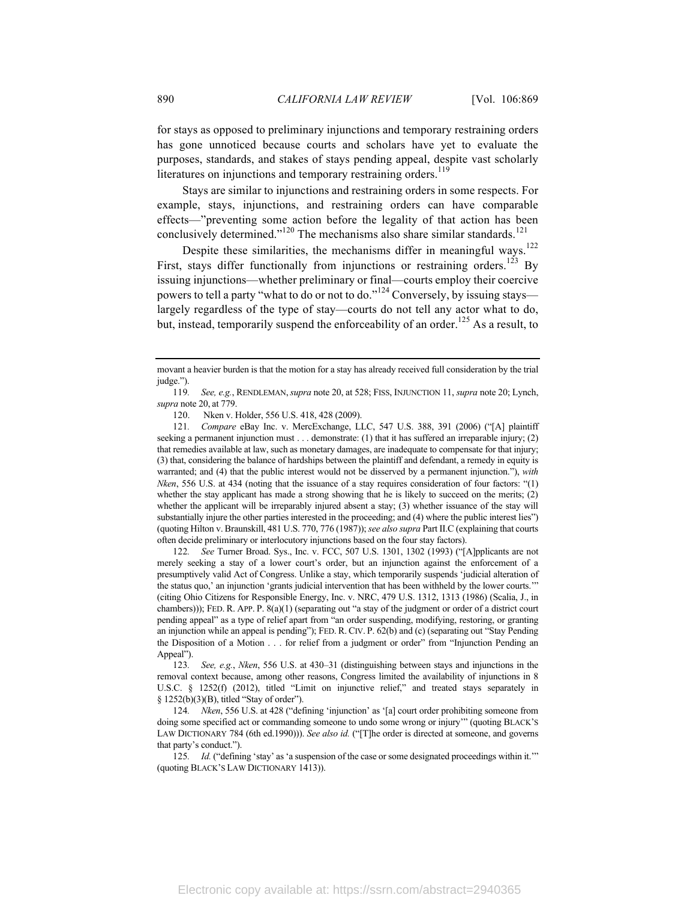for stays as opposed to preliminary injunctions and temporary restraining orders has gone unnoticed because courts and scholars have yet to evaluate the purposes, standards, and stakes of stays pending appeal, despite vast scholarly literatures on injunctions and temporary restraining orders.<sup>119</sup>

Stays are similar to injunctions and restraining orders in some respects. For example, stays, injunctions, and restraining orders can have comparable effects—"preventing some action before the legality of that action has been conclusively determined."<sup>120</sup> The mechanisms also share similar standards.<sup>121</sup>

Despite these similarities, the mechanisms differ in meaningful ways.<sup>122</sup> First, stays differ functionally from injunctions or restraining orders.<sup>123</sup> By issuing injunctions—whether preliminary or final—courts employ their coercive powers to tell a party "what to do or not to do."<sup>124</sup> Conversely, by issuing stays largely regardless of the type of stay—courts do not tell any actor what to do, but, instead, temporarily suspend the enforceability of an order.<sup>125</sup> As a result, to

120. Nken v. Holder, 556 U.S. 418, 428 (2009).

121*. Compare* eBay Inc. v. MercExchange, LLC, 547 U.S. 388, 391 (2006) ("[A] plaintiff seeking a permanent injunction must . . . demonstrate: (1) that it has suffered an irreparable injury; (2) that remedies available at law, such as monetary damages, are inadequate to compensate for that injury; (3) that, considering the balance of hardships between the plaintiff and defendant, a remedy in equity is warranted; and (4) that the public interest would not be disserved by a permanent injunction."), *with Nken*, 556 U.S. at 434 (noting that the issuance of a stay requires consideration of four factors: "(1) whether the stay applicant has made a strong showing that he is likely to succeed on the merits; (2) whether the applicant will be irreparably injured absent a stay; (3) whether issuance of the stay will substantially injure the other parties interested in the proceeding; and (4) where the public interest lies") (quoting Hilton v. Braunskill, 481 U.S. 770, 776 (1987)); *see also supra* Part II.C (explaining that courts often decide preliminary or interlocutory injunctions based on the four stay factors).

122*. See* Turner Broad. Sys., Inc. v. FCC, 507 U.S. 1301, 1302 (1993) ("[A]pplicants are not merely seeking a stay of a lower court's order, but an injunction against the enforcement of a presumptively valid Act of Congress. Unlike a stay, which temporarily suspends 'judicial alteration of the status quo,' an injunction 'grants judicial intervention that has been withheld by the lower courts.'" (citing Ohio Citizens for Responsible Energy, Inc. v. NRC, 479 U.S. 1312, 1313 (1986) (Scalia, J., in chambers))); FED. R. APP. P. 8(a)(1) (separating out "a stay of the judgment or order of a district court pending appeal" as a type of relief apart from "an order suspending, modifying, restoring, or granting an injunction while an appeal is pending"); FED. R. CIV. P. 62(b) and (c) (separating out "Stay Pending the Disposition of a Motion . . . for relief from a judgment or order" from "Injunction Pending an Appeal").

123*. See, e.g.*, *Nken*, 556 U.S. at 430–31 (distinguishing between stays and injunctions in the removal context because, among other reasons, Congress limited the availability of injunctions in 8 U.S.C. § 1252(f) (2012), titled "Limit on injunctive relief," and treated stays separately in § 1252(b)(3)(B), titled "Stay of order").

124*. Nken*, 556 U.S. at 428 ("defining 'injunction' as '[a] court order prohibiting someone from doing some specified act or commanding someone to undo some wrong or injury'" (quoting BLACK'S LAW DICTIONARY 784 (6th ed.1990))). *See also id.* ("[T]he order is directed at someone, and governs that party's conduct.").

125*. Id.* ("defining 'stay' as 'a suspension of the case or some designated proceedings within it.'" (quoting BLACK'S LAW DICTIONARY 1413)).

movant a heavier burden is that the motion for a stay has already received full consideration by the trial judge.").

<sup>119</sup>*. See, e.g.*, RENDLEMAN,*supra* note 20, at 528; FISS, INJUNCTION 11, *supra* note 20; Lynch, *supra* note 20, at 779.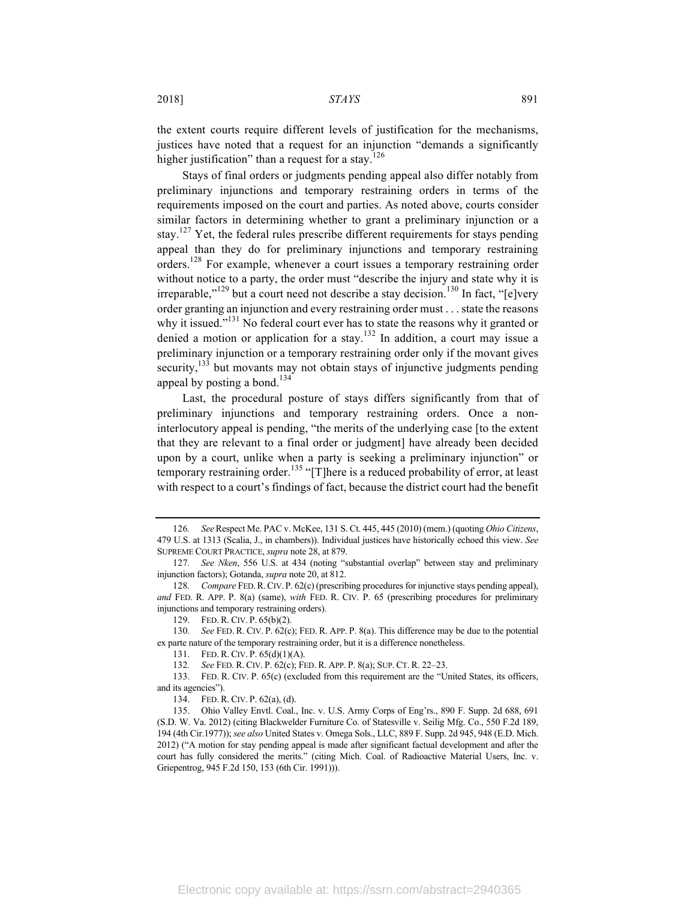the extent courts require different levels of justification for the mechanisms, justices have noted that a request for an injunction "demands a significantly higher justification" than a request for a stay.<sup>126</sup>

Stays of final orders or judgments pending appeal also differ notably from preliminary injunctions and temporary restraining orders in terms of the requirements imposed on the court and parties. As noted above, courts consider similar factors in determining whether to grant a preliminary injunction or a stay.<sup>127</sup> Yet, the federal rules prescribe different requirements for stays pending appeal than they do for preliminary injunctions and temporary restraining orders.128 For example, whenever a court issues a temporary restraining order without notice to a party, the order must "describe the injury and state why it is irreparable,"<sup>129</sup> but a court need not describe a stay decision.<sup>130</sup> In fact, "[e]very order granting an injunction and every restraining order must . . . state the reasons why it issued."<sup>131</sup> No federal court ever has to state the reasons why it granted or denied a motion or application for a stay.<sup>132</sup> In addition, a court may issue a preliminary injunction or a temporary restraining order only if the movant gives security,<sup>133</sup> but movants may not obtain stays of injunctive judgments pending appeal by posting a bond.<sup>134</sup>

Last, the procedural posture of stays differs significantly from that of preliminary injunctions and temporary restraining orders. Once a noninterlocutory appeal is pending, "the merits of the underlying case [to the extent that they are relevant to a final order or judgment] have already been decided upon by a court, unlike when a party is seeking a preliminary injunction" or temporary restraining order.<sup>135</sup> "[T]here is a reduced probability of error, at least with respect to a court's findings of fact, because the district court had the benefit

129. FED. R. CIV. P. 65(b)(2).

130*. See* FED. R. CIV. P. 62(c); FED. R. APP. P. 8(a). This difference may be due to the potential ex parte nature of the temporary restraining order, but it is a difference nonetheless.

131. FED. R. CIV. P. 65(d)(1)(A).

132*. See* FED. R. CIV. P. 62(c); FED. R. APP. P. 8(a); SUP. CT. R. 22–23.

133. FED. R. CIV. P. 65(c) (excluded from this requirement are the "United States, its officers, and its agencies").

134. FED. R. CIV. P. 62(a), (d).

135. Ohio Valley Envtl. Coal., Inc. v. U.S. Army Corps of Eng'rs., 890 F. Supp. 2d 688, 691 (S.D. W. Va. 2012) (citing Blackwelder Furniture Co. of Statesville v. Seilig Mfg. Co., 550 F.2d 189, 194 (4th Cir.1977)); *see also* United States v. Omega Sols., LLC, 889 F. Supp. 2d 945, 948 (E.D. Mich. 2012) ("A motion for stay pending appeal is made after significant factual development and after the court has fully considered the merits." (citing Mich. Coal. of Radioactive Material Users, Inc. v. Griepentrog, 945 F.2d 150, 153 (6th Cir. 1991))).

<sup>126</sup>*. See*Respect Me. PAC v. McKee, 131 S. Ct. 445, 445 (2010) (mem.) (quoting *Ohio Citizens*, 479 U.S. at 1313 (Scalia, J., in chambers)). Individual justices have historically echoed this view. *See* SUPREME COURT PRACTICE, *supra* note 28, at 879.

<sup>127</sup>*. See Nken*, 556 U.S. at 434 (noting "substantial overlap" between stay and preliminary injunction factors); Gotanda, *supra* note 20, at 812.

<sup>128</sup>*. Compare* FED.R.CIV. P. 62(c) (prescribing procedures for injunctive stays pending appeal), *and* FED. R. APP. P. 8(a) (same), *with* FED. R. CIV. P. 65 (prescribing procedures for preliminary injunctions and temporary restraining orders).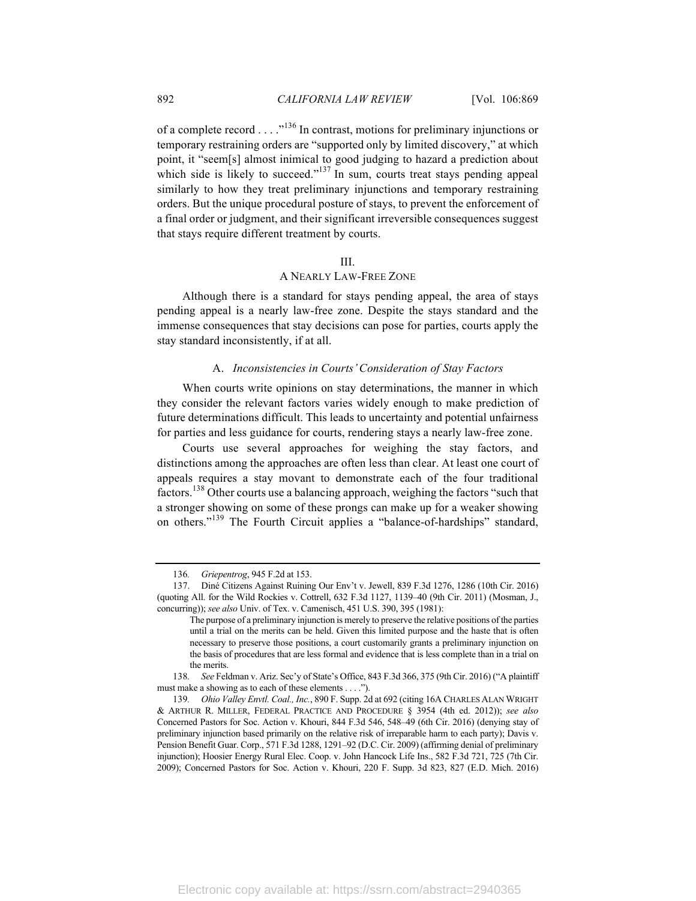of a complete record . . . .  $\cdot$ <sup>136</sup> In contrast, motions for preliminary injunctions or temporary restraining orders are "supported only by limited discovery," at which point, it "seem[s] almost inimical to good judging to hazard a prediction about which side is likely to succeed."<sup>137</sup> In sum, courts treat stays pending appeal similarly to how they treat preliminary injunctions and temporary restraining orders. But the unique procedural posture of stays, to prevent the enforcement of a final order or judgment, and their significant irreversible consequences suggest that stays require different treatment by courts.

#### III.

#### A NEARLY LAW-FREE ZONE

Although there is a standard for stays pending appeal, the area of stays pending appeal is a nearly law-free zone. Despite the stays standard and the immense consequences that stay decisions can pose for parties, courts apply the stay standard inconsistently, if at all.

#### A. *Inconsistencies in Courts' Consideration of Stay Factors*

When courts write opinions on stay determinations, the manner in which they consider the relevant factors varies widely enough to make prediction of future determinations difficult. This leads to uncertainty and potential unfairness for parties and less guidance for courts, rendering stays a nearly law-free zone.

Courts use several approaches for weighing the stay factors, and distinctions among the approaches are often less than clear. At least one court of appeals requires a stay movant to demonstrate each of the four traditional factors.<sup>138</sup> Other courts use a balancing approach, weighing the factors "such that a stronger showing on some of these prongs can make up for a weaker showing on others."<sup>139</sup> The Fourth Circuit applies a "balance-of-hardships" standard,

<sup>136</sup>*. Griepentrog*, 945 F.2d at 153.

<sup>137.</sup> Diné Citizens Against Ruining Our Env't v. Jewell, 839 F.3d 1276, 1286 (10th Cir. 2016) (quoting All. for the Wild Rockies v. Cottrell, 632 F.3d 1127, 1139–40 (9th Cir. 2011) (Mosman, J., concurring)); *see also* Univ. of Tex. v. Camenisch, 451 U.S. 390, 395 (1981):

The purpose of a preliminary injunction is merely to preserve the relative positions of the parties until a trial on the merits can be held. Given this limited purpose and the haste that is often necessary to preserve those positions, a court customarily grants a preliminary injunction on the basis of procedures that are less formal and evidence that is less complete than in a trial on the merits.

<sup>138</sup>*. See* Feldman v. Ariz. Sec'y of State's Office, 843 F.3d 366, 375 (9th Cir. 2016) ("A plaintiff must make a showing as to each of these elements . . . .").

<sup>139</sup>*. Ohio Valley Envtl. Coal., Inc.*, 890 F. Supp. 2d at 692 (citing 16A CHARLES ALAN WRIGHT & ARTHUR R. MILLER, FEDERAL PRACTICE AND PROCEDURE § 3954 (4th ed. 2012)); *see also* Concerned Pastors for Soc. Action v. Khouri, 844 F.3d 546, 548–49 (6th Cir. 2016) (denying stay of preliminary injunction based primarily on the relative risk of irreparable harm to each party); Davis v. Pension Benefit Guar. Corp., 571 F.3d 1288, 1291–92 (D.C. Cir. 2009) (affirming denial of preliminary injunction); Hoosier Energy Rural Elec. Coop. v. John Hancock Life Ins., 582 F.3d 721, 725 (7th Cir. 2009); Concerned Pastors for Soc. Action v. Khouri, 220 F. Supp. 3d 823, 827 (E.D. Mich. 2016)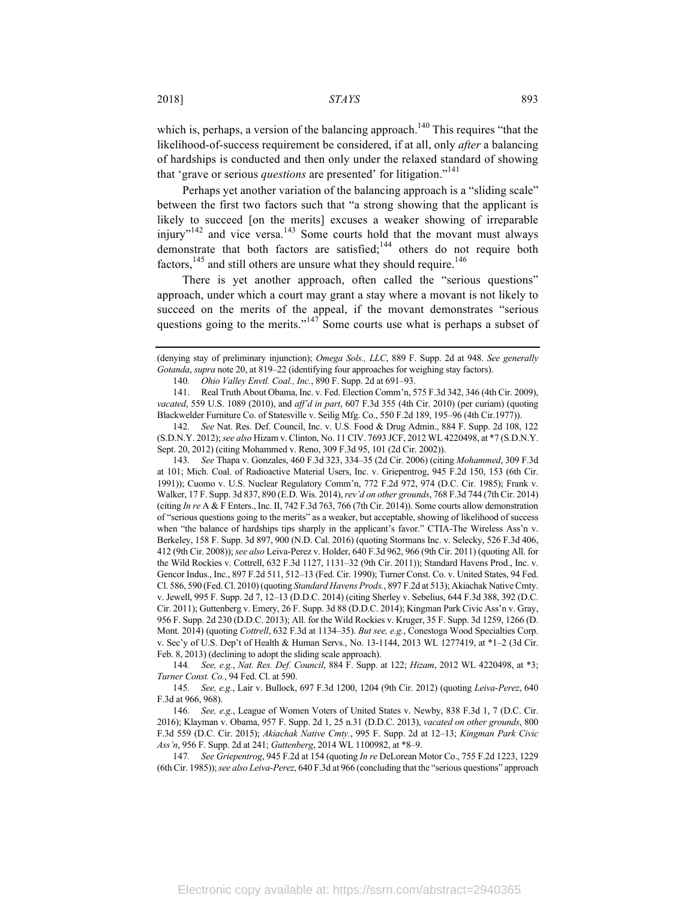which is, perhaps, a version of the balancing approach.<sup>140</sup> This requires "that the likelihood-of-success requirement be considered, if at all, only *after* a balancing of hardships is conducted and then only under the relaxed standard of showing that 'grave or serious *questions* are presented' for litigation."<sup>141</sup>

Perhaps yet another variation of the balancing approach is a "sliding scale" between the first two factors such that "a strong showing that the applicant is likely to succeed [on the merits] excuses a weaker showing of irreparable injury"<sup>142</sup> and vice versa.<sup>143</sup> Some courts hold that the movant must always demonstrate that both factors are satisfied;<sup>144</sup> others do not require both factors,  $145$  and still others are unsure what they should require.<sup>146</sup>

There is yet another approach, often called the "serious questions" approach, under which a court may grant a stay where a movant is not likely to succeed on the merits of the appeal, if the movant demonstrates "serious questions going to the merits."<sup>147</sup> Some courts use what is perhaps a subset of

143*. See* Thapa v. Gonzales, 460 F.3d 323, 334–35 (2d Cir. 2006) (citing *Mohammed*, 309 F.3d at 101; Mich. Coal. of Radioactive Material Users, Inc. v. Griepentrog, 945 F.2d 150, 153 (6th Cir. 1991)); Cuomo v. U.S. Nuclear Regulatory Comm'n, 772 F.2d 972, 974 (D.C. Cir. 1985); Frank v. Walker, 17 F. Supp. 3d 837, 890 (E.D. Wis. 2014), *rev'd on other grounds*, 768 F.3d 744 (7th Cir. 2014) (citing *In re* A & F Enters., Inc. II, 742 F.3d 763, 766 (7th Cir. 2014)). Some courts allow demonstration of "serious questions going to the merits" as a weaker, but acceptable, showing of likelihood of success when "the balance of hardships tips sharply in the applicant's favor." CTIA-The Wireless Ass'n v. Berkeley, 158 F. Supp. 3d 897, 900 (N.D. Cal. 2016) (quoting Stormans Inc. v. Selecky, 526 F.3d 406, 412 (9th Cir. 2008)); *see also* Leiva-Perez v. Holder, 640 F.3d 962, 966 (9th Cir. 2011) (quoting All. for the Wild Rockies v. Cottrell, 632 F.3d 1127, 1131–32 (9th Cir. 2011)); Standard Havens Prod., Inc. v. Gencor Indus., Inc., 897 F.2d 511, 512–13 (Fed. Cir. 1990); Turner Const. Co. v. United States, 94 Fed. Cl. 586, 590 (Fed. Cl. 2010) (quoting *Standard Havens Prods.*, 897 F.2d at 513); Akiachak Native Cmty. v. Jewell, 995 F. Supp. 2d 7, 12–13 (D.D.C. 2014) (citing Sherley v. Sebelius, 644 F.3d 388, 392 (D.C. Cir. 2011); Guttenberg v. Emery, 26 F. Supp. 3d 88 (D.D.C. 2014); Kingman Park Civic Ass'n v. Gray, 956 F. Supp. 2d 230 (D.D.C. 2013); All. for the Wild Rockies v. Kruger, 35 F. Supp. 3d 1259, 1266 (D. Mont. 2014) (quoting *Cottrell*, 632 F.3d at 1134–35). *But see, e.g.*, Conestoga Wood Specialties Corp. v. Sec'y of U.S. Dep't of Health & Human Servs., No. 13-1144, 2013 WL 1277419, at \*1–2 (3d Cir. Feb. 8, 2013) (declining to adopt the sliding scale approach).

144*. See, e.g.*, *Nat. Res. Def. Council*, 884 F. Supp. at 122; *Hizam*, 2012 WL 4220498, at \*3; *Turner Const. Co.*, 94 Fed. Cl. at 590.

145*. See, e.g.*, Lair v. Bullock, 697 F.3d 1200, 1204 (9th Cir. 2012) (quoting *Leiva-Perez*, 640 F.3d at 966, 968).

146*. See, e.g.*, League of Women Voters of United States v. Newby, 838 F.3d 1, 7 (D.C. Cir. 2016); Klayman v. Obama, 957 F. Supp. 2d 1, 25 n.31 (D.D.C. 2013), *vacated on other grounds*, 800 F.3d 559 (D.C. Cir. 2015); *Akiachak Native Cmty.*, 995 F. Supp. 2d at 12–13; *Kingman Park Civic Ass'n*, 956 F. Supp. 2d at 241; *Guttenberg*, 2014 WL 1100982, at \*8–9.

147*. See Griepentrog*, 945 F.2d at 154 (quoting *In re* DeLorean Motor Co., 755 F.2d 1223, 1229 (6th Cir. 1985)); *see also Leiva-Perez*, 640 F.3d at 966 (concluding that the "serious questions" approach

<sup>(</sup>denying stay of preliminary injunction); *Omega Sols., LLC*, 889 F. Supp. 2d at 948. *See generally Gotanda*, *supra* note 20, at 819–22 (identifying four approaches for weighing stay factors).

<sup>140</sup>*. Ohio Valley Envtl. Coal., Inc.*, 890 F. Supp. 2d at 691–93.

<sup>141.</sup> Real Truth About Obama, Inc. v. Fed. Election Comm'n, 575 F.3d 342, 346 (4th Cir. 2009), *vacated*, 559 U.S. 1089 (2010), and *aff'd in part*, 607 F.3d 355 (4th Cir. 2010) (per curiam) (quoting Blackwelder Furniture Co. of Statesville v. Seilig Mfg. Co., 550 F.2d 189, 195–96 (4th Cir.1977)).

<sup>142</sup>*. See* Nat. Res. Def. Council, Inc. v. U.S. Food & Drug Admin., 884 F. Supp. 2d 108, 122 (S.D.N.Y. 2012); *see also* Hizam v. Clinton, No. 11 CIV. 7693 JCF, 2012 WL 4220498, at \*7 (S.D.N.Y. Sept. 20, 2012) (citing Mohammed v. Reno, 309 F.3d 95, 101 (2d Cir. 2002)).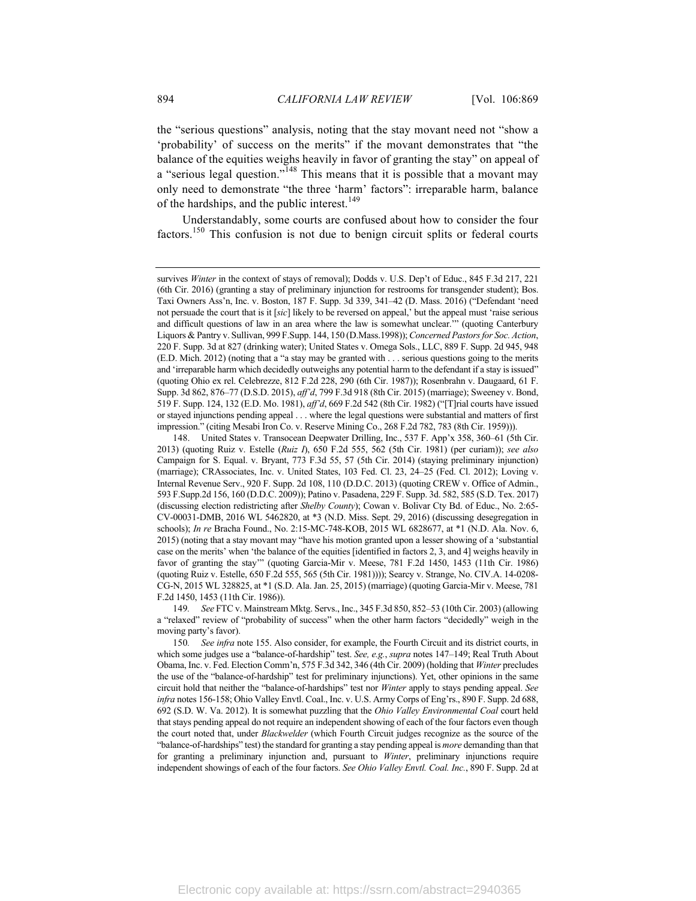the "serious questions" analysis, noting that the stay movant need not "show a 'probability' of success on the merits" if the movant demonstrates that "the balance of the equities weighs heavily in favor of granting the stay" on appeal of a "serious legal question."<sup>148</sup> This means that it is possible that a movant may only need to demonstrate "the three 'harm' factors": irreparable harm, balance of the hardships, and the public interest.<sup>149</sup>

Understandably, some courts are confused about how to consider the four factors.<sup>150</sup> This confusion is not due to benign circuit splits or federal courts

149*. See* FTC v. Mainstream Mktg. Servs., Inc., 345 F.3d 850, 852–53 (10th Cir. 2003) (allowing a "relaxed" review of "probability of success" when the other harm factors "decidedly" weigh in the moving party's favor).

150*. See infra* note 155. Also consider, for example, the Fourth Circuit and its district courts, in which some judges use a "balance-of-hardship" test. *See, e.g.*, *supra* notes 147–149; Real Truth About Obama, Inc. v. Fed. Election Comm'n, 575 F.3d 342, 346 (4th Cir. 2009) (holding that *Winter* precludes the use of the "balance-of-hardship" test for preliminary injunctions). Yet, other opinions in the same circuit hold that neither the "balance-of-hardships" test nor *Winter* apply to stays pending appeal. *See infra* notes 156-158; Ohio Valley Envtl. Coal., Inc. v. U.S. Army Corps of Eng'rs., 890 F. Supp. 2d 688, 692 (S.D. W. Va. 2012). It is somewhat puzzling that the *Ohio Valley Environmental Coal* court held that stays pending appeal do not require an independent showing of each of the four factors even though the court noted that, under *Blackwelder* (which Fourth Circuit judges recognize as the source of the "balance-of-hardships" test) the standard for granting a stay pending appeal is *more* demanding than that for granting a preliminary injunction and, pursuant to *Winter*, preliminary injunctions require independent showings of each of the four factors. *See Ohio Valley Envtl. Coal. Inc.*, 890 F. Supp. 2d at

survives *Winter* in the context of stays of removal); Dodds v. U.S. Dep't of Educ., 845 F.3d 217, 221 (6th Cir. 2016) (granting a stay of preliminary injunction for restrooms for transgender student); Bos. Taxi Owners Ass'n, Inc. v. Boston, 187 F. Supp. 3d 339, 341–42 (D. Mass. 2016) ("Defendant 'need not persuade the court that is it [*sic*] likely to be reversed on appeal,' but the appeal must 'raise serious and difficult questions of law in an area where the law is somewhat unclear.'" (quoting Canterbury Liquors & Pantry v. Sullivan, 999 F.Supp. 144, 150 (D.Mass.1998)); *Concerned Pastors for Soc. Action*, 220 F. Supp. 3d at 827 (drinking water); United States v. Omega Sols., LLC, 889 F. Supp. 2d 945, 948 (E.D. Mich. 2012) (noting that a "a stay may be granted with . . . serious questions going to the merits and 'irreparable harm which decidedly outweighs any potential harm to the defendant if a stay is issued" (quoting Ohio ex rel. Celebrezze, 812 F.2d 228, 290 (6th Cir. 1987)); Rosenbrahn v. Daugaard, 61 F. Supp. 3d 862, 876–77 (D.S.D. 2015), *aff'd*, 799 F.3d 918 (8th Cir. 2015) (marriage); Sweeney v. Bond, 519 F. Supp. 124, 132 (E.D. Mo. 1981), *aff'd*, 669 F.2d 542 (8th Cir. 1982) ("[T]rial courts have issued or stayed injunctions pending appeal . . . where the legal questions were substantial and matters of first impression." (citing Mesabi Iron Co. v. Reserve Mining Co., 268 F.2d 782, 783 (8th Cir. 1959))).

United States v. Transocean Deepwater Drilling, Inc., 537 F. App'x 358, 360–61 (5th Cir. 2013) (quoting Ruiz v. Estelle (*Ruiz I*), 650 F.2d 555, 562 (5th Cir. 1981) (per curiam)); *see also* Campaign for S. Equal. v. Bryant, 773 F.3d 55, 57 (5th Cir. 2014) (staying preliminary injunction) (marriage); CRAssociates, Inc. v. United States, 103 Fed. Cl. 23, 24–25 (Fed. Cl. 2012); Loving v. Internal Revenue Serv., 920 F. Supp. 2d 108, 110 (D.D.C. 2013) (quoting CREW v. Office of Admin., 593 F.Supp.2d 156, 160 (D.D.C. 2009)); Patino v. Pasadena, 229 F. Supp. 3d. 582, 585 (S.D. Tex. 2017) (discussing election redistricting after *Shelby County*); Cowan v. Bolivar Cty Bd. of Educ., No. 2:65- CV-00031-DMB, 2016 WL 5462820, at \*3 (N.D. Miss. Sept. 29, 2016) (discussing desegregation in schools); *In re* Bracha Found., No. 2:15-MC-748-KOB, 2015 WL 6828677, at \*1 (N.D. Ala. Nov. 6, 2015) (noting that a stay movant may "have his motion granted upon a lesser showing of a 'substantial case on the merits' when 'the balance of the equities [identified in factors 2, 3, and 4] weighs heavily in favor of granting the stay'" (quoting Garcia-Mir v. Meese, 781 F.2d 1450, 1453 (11th Cir. 1986) (quoting Ruiz v. Estelle, 650 F.2d 555, 565 (5th Cir. 1981)))); Searcy v. Strange, No. CIV.A. 14-0208- CG-N, 2015 WL 328825, at \*1 (S.D. Ala. Jan. 25, 2015) (marriage) (quoting Garcia-Mir v. Meese, 781 F.2d 1450, 1453 (11th Cir. 1986)).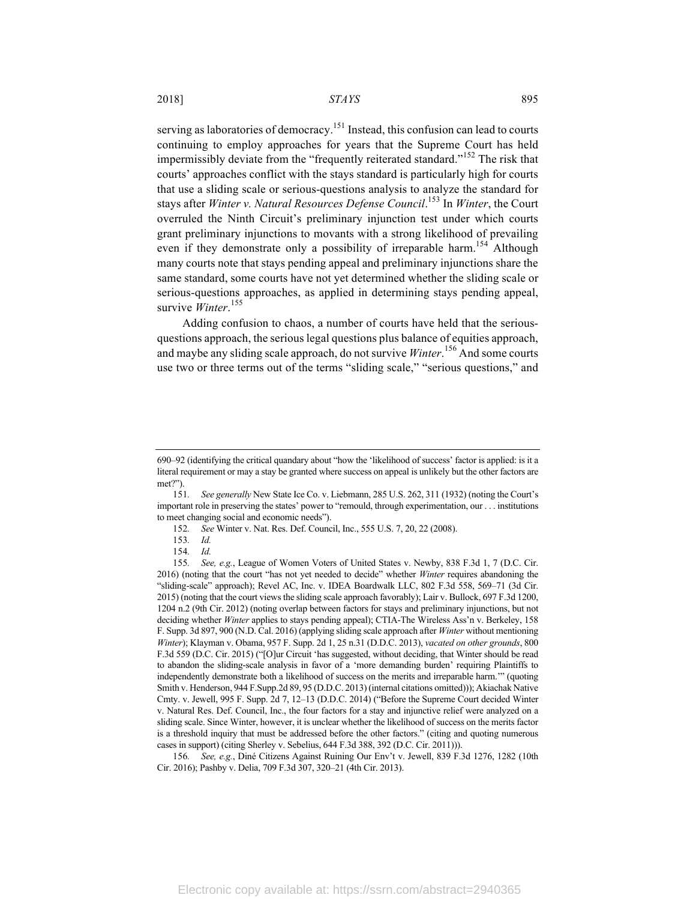serving as laboratories of democracy.<sup>151</sup> Instead, this confusion can lead to courts continuing to employ approaches for years that the Supreme Court has held impermissibly deviate from the "frequently reiterated standard."<sup>152</sup> The risk that courts' approaches conflict with the stays standard is particularly high for courts that use a sliding scale or serious-questions analysis to analyze the standard for stays after *Winter v. Natural Resources Defense Council*. <sup>153</sup> In *Winter*, the Court overruled the Ninth Circuit's preliminary injunction test under which courts grant preliminary injunctions to movants with a strong likelihood of prevailing even if they demonstrate only a possibility of irreparable harm.<sup>154</sup> Although many courts note that stays pending appeal and preliminary injunctions share the same standard, some courts have not yet determined whether the sliding scale or serious-questions approaches, as applied in determining stays pending appeal, survive *Winter*. 155

Adding confusion to chaos, a number of courts have held that the seriousquestions approach, the serious legal questions plus balance of equities approach, and maybe any sliding scale approach, do not survive *Winter*. <sup>156</sup> And some courts use two or three terms out of the terms "sliding scale," "serious questions," and

156*. See, e.g.*, Diné Citizens Against Ruining Our Env't v. Jewell, 839 F.3d 1276, 1282 (10th Cir. 2016); Pashby v. Delia, 709 F.3d 307, 320–21 (4th Cir. 2013).

<sup>690–92 (</sup>identifying the critical quandary about "how the 'likelihood of success' factor is applied: is it a literal requirement or may a stay be granted where success on appeal is unlikely but the other factors are met?").

<sup>151</sup>*. See generally* New State Ice Co. v. Liebmann, 285 U.S. 262, 311 (1932) (noting the Court's important role in preserving the states' power to "remould, through experimentation, our . . . institutions to meet changing social and economic needs").

<sup>152</sup>*. See* Winter v. Nat. Res. Def. Council, Inc., 555 U.S. 7, 20, 22 (2008).

<sup>153</sup>*. Id.*

<sup>154</sup>*. Id.*

<sup>155</sup>*. See, e.g.*, League of Women Voters of United States v. Newby, 838 F.3d 1, 7 (D.C. Cir. 2016) (noting that the court "has not yet needed to decide" whether *Winter* requires abandoning the "sliding-scale" approach); Revel AC, Inc. v. IDEA Boardwalk LLC, 802 F.3d 558, 569–71 (3d Cir. 2015) (noting that the court views the sliding scale approach favorably); Lair v. Bullock, 697 F.3d 1200, 1204 n.2 (9th Cir. 2012) (noting overlap between factors for stays and preliminary injunctions, but not deciding whether *Winter* applies to stays pending appeal); CTIA-The Wireless Ass'n v. Berkeley, 158 F. Supp. 3d 897, 900 (N.D. Cal. 2016) (applying sliding scale approach after *Winter* without mentioning *Winter*); Klayman v. Obama, 957 F. Supp. 2d 1, 25 n.31 (D.D.C. 2013), *vacated on other grounds*, 800 F.3d 559 (D.C. Cir. 2015) ("[O]ur Circuit 'has suggested, without deciding, that Winter should be read to abandon the sliding-scale analysis in favor of a 'more demanding burden' requiring Plaintiffs to independently demonstrate both a likelihood of success on the merits and irreparable harm.'" (quoting Smith v. Henderson, 944 F.Supp.2d 89, 95 (D.D.C. 2013) (internal citations omitted))); Akiachak Native Cmty. v. Jewell, 995 F. Supp. 2d 7, 12–13 (D.D.C. 2014) ("Before the Supreme Court decided Winter v. Natural Res. Def. Council, Inc., the four factors for a stay and injunctive relief were analyzed on a sliding scale. Since Winter, however, it is unclear whether the likelihood of success on the merits factor is a threshold inquiry that must be addressed before the other factors." (citing and quoting numerous cases in support) (citing Sherley v. Sebelius, 644 F.3d 388, 392 (D.C. Cir. 2011))).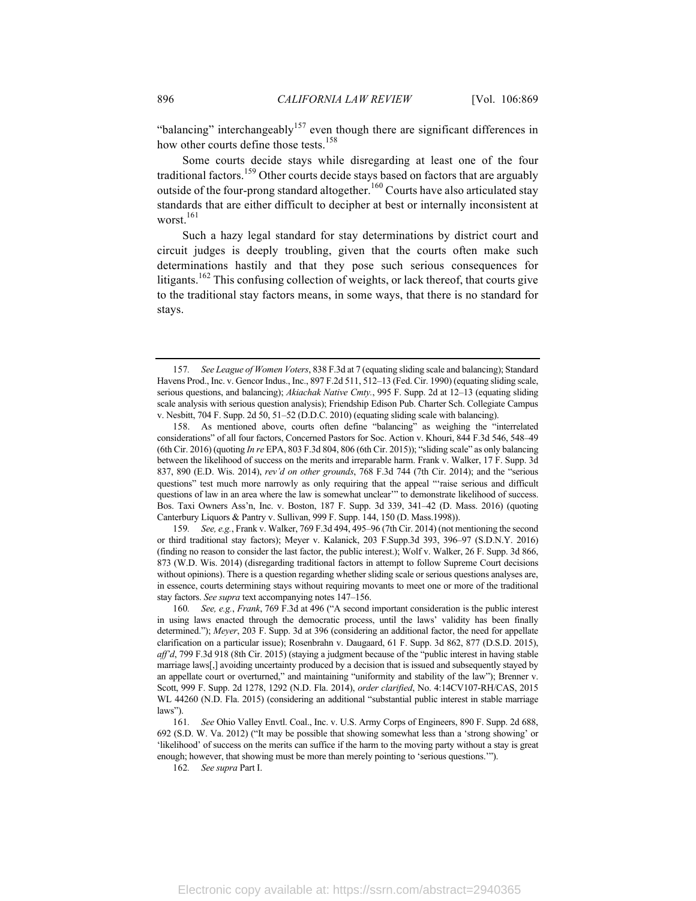"balancing" interchangeably<sup>157</sup> even though there are significant differences in how other courts define those tests.<sup>158</sup>

Some courts decide stays while disregarding at least one of the four traditional factors.<sup>159</sup> Other courts decide stays based on factors that are arguably outside of the four-prong standard altogether.<sup>160</sup> Courts have also articulated stay standards that are either difficult to decipher at best or internally inconsistent at worst.<sup>161</sup>

Such a hazy legal standard for stay determinations by district court and circuit judges is deeply troubling, given that the courts often make such determinations hastily and that they pose such serious consequences for litigants.<sup>162</sup> This confusing collection of weights, or lack thereof, that courts give to the traditional stay factors means, in some ways, that there is no standard for stays.

159*. See, e.g.*, Frank v. Walker, 769 F.3d 494, 495–96 (7th Cir. 2014) (not mentioning the second or third traditional stay factors); Meyer v. Kalanick, 203 F.Supp.3d 393, 396–97 (S.D.N.Y. 2016) (finding no reason to consider the last factor, the public interest.); Wolf v. Walker, 26 F. Supp. 3d 866, 873 (W.D. Wis. 2014) (disregarding traditional factors in attempt to follow Supreme Court decisions without opinions). There is a question regarding whether sliding scale or serious questions analyses are, in essence, courts determining stays without requiring movants to meet one or more of the traditional stay factors. *See supra* text accompanying notes 147–156.

162*. See supra* Part I.

<sup>157</sup>*. See League of Women Voters*, 838 F.3d at 7 (equating sliding scale and balancing); Standard Havens Prod., Inc. v. Gencor Indus., Inc., 897 F.2d 511, 512–13 (Fed. Cir. 1990) (equating sliding scale, serious questions, and balancing); *Akiachak Native Cmty.*, 995 F. Supp. 2d at 12–13 (equating sliding scale analysis with serious question analysis); Friendship Edison Pub. Charter Sch. Collegiate Campus v. Nesbitt, 704 F. Supp. 2d 50, 51–52 (D.D.C. 2010) (equating sliding scale with balancing).

<sup>158.</sup> As mentioned above, courts often define "balancing" as weighing the "interrelated considerations" of all four factors, Concerned Pastors for Soc. Action v. Khouri, 844 F.3d 546, 548–49 (6th Cir. 2016) (quoting *In re* EPA, 803 F.3d 804, 806 (6th Cir. 2015)); "sliding scale" as only balancing between the likelihood of success on the merits and irreparable harm. Frank v. Walker, 17 F. Supp. 3d 837, 890 (E.D. Wis. 2014), *rev'd on other grounds*, 768 F.3d 744 (7th Cir. 2014); and the "serious questions" test much more narrowly as only requiring that the appeal "'raise serious and difficult questions of law in an area where the law is somewhat unclear'" to demonstrate likelihood of success. Bos. Taxi Owners Ass'n, Inc. v. Boston, 187 F. Supp. 3d 339, 341–42 (D. Mass. 2016) (quoting Canterbury Liquors & Pantry v. Sullivan, 999 F. Supp. 144, 150 (D. Mass.1998)).

<sup>160</sup>*. See, e.g.*, *Frank*, 769 F.3d at 496 ("A second important consideration is the public interest in using laws enacted through the democratic process, until the laws' validity has been finally determined."); *Meyer*, 203 F. Supp. 3d at 396 (considering an additional factor, the need for appellate clarification on a particular issue); Rosenbrahn v. Daugaard, 61 F. Supp. 3d 862, 877 (D.S.D. 2015), *aff'd*, 799 F.3d 918 (8th Cir. 2015) (staying a judgment because of the "public interest in having stable marriage laws[,] avoiding uncertainty produced by a decision that is issued and subsequently stayed by an appellate court or overturned," and maintaining "uniformity and stability of the law"); Brenner v. Scott, 999 F. Supp. 2d 1278, 1292 (N.D. Fla. 2014), *order clarified*, No. 4:14CV107-RH/CAS, 2015 WL 44260 (N.D. Fla. 2015) (considering an additional "substantial public interest in stable marriage laws").

<sup>161</sup>*. See* Ohio Valley Envtl. Coal., Inc. v. U.S. Army Corps of Engineers, 890 F. Supp. 2d 688, 692 (S.D. W. Va. 2012) ("It may be possible that showing somewhat less than a 'strong showing' or 'likelihood' of success on the merits can suffice if the harm to the moving party without a stay is great enough; however, that showing must be more than merely pointing to 'serious questions.'").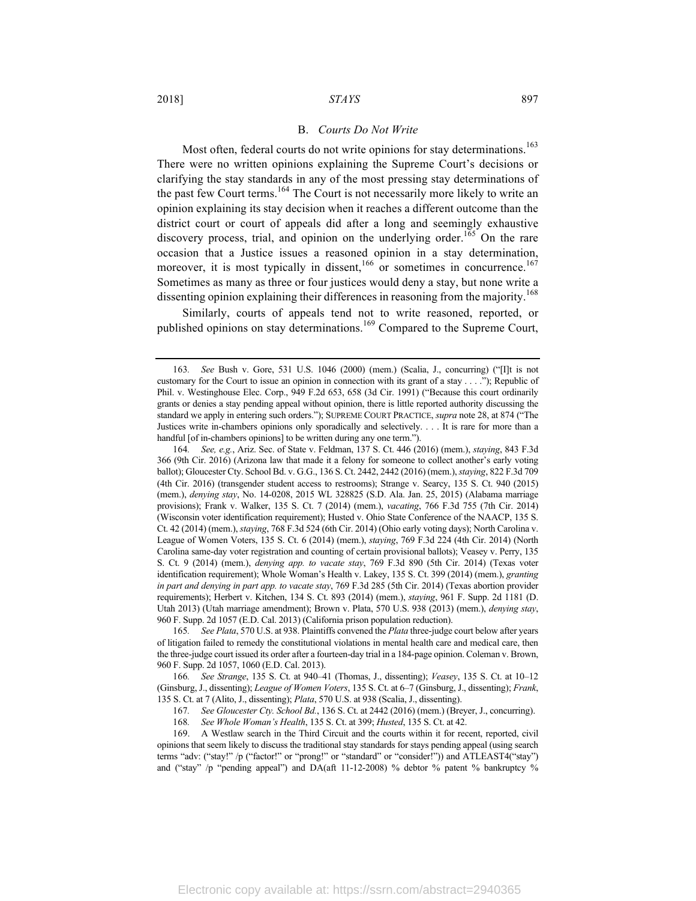#### B. *Courts Do Not Write*

Most often, federal courts do not write opinions for stay determinations.<sup>163</sup> There were no written opinions explaining the Supreme Court's decisions or clarifying the stay standards in any of the most pressing stay determinations of the past few Court terms.<sup>164</sup> The Court is not necessarily more likely to write an opinion explaining its stay decision when it reaches a different outcome than the district court or court of appeals did after a long and seemingly exhaustive discovery process, trial, and opinion on the underlying order.<sup>165</sup> On the rare occasion that a Justice issues a reasoned opinion in a stay determination, moreover, it is most typically in dissent, $166 \text{ or sometimes in concurrence}.$ <sup>167</sup> Sometimes as many as three or four justices would deny a stay, but none write a dissenting opinion explaining their differences in reasoning from the majority.<sup>168</sup>

Similarly, courts of appeals tend not to write reasoned, reported, or published opinions on stay determinations.<sup>169</sup> Compared to the Supreme Court,

164*. See, e.g.*, Ariz. Sec. of State v. Feldman, 137 S. Ct. 446 (2016) (mem.), *staying*, 843 F.3d 366 (9th Cir. 2016) (Arizona law that made it a felony for someone to collect another's early voting ballot); Gloucester Cty. School Bd. v. G.G., 136 S. Ct. 2442, 2442 (2016) (mem.), *staying*, 822 F.3d 709 (4th Cir. 2016) (transgender student access to restrooms); Strange v. Searcy, 135 S. Ct. 940 (2015) (mem.), *denying stay*, No. 14-0208, 2015 WL 328825 (S.D. Ala. Jan. 25, 2015) (Alabama marriage provisions); Frank v. Walker, 135 S. Ct. 7 (2014) (mem.), *vacating*, 766 F.3d 755 (7th Cir. 2014) (Wisconsin voter identification requirement); Husted v. Ohio State Conference of the NAACP, 135 S. Ct. 42 (2014) (mem.), *staying*, 768 F.3d 524 (6th Cir. 2014) (Ohio early voting days); North Carolina v. League of Women Voters, 135 S. Ct. 6 (2014) (mem.), *staying*, 769 F.3d 224 (4th Cir. 2014) (North Carolina same-day voter registration and counting of certain provisional ballots); Veasey v. Perry, 135 S. Ct. 9 (2014) (mem.), *denying app. to vacate stay*, 769 F.3d 890 (5th Cir. 2014) (Texas voter identification requirement); Whole Woman's Health v. Lakey, 135 S. Ct. 399 (2014) (mem.), *granting in part and denying in part app. to vacate stay*, 769 F.3d 285 (5th Cir. 2014) (Texas abortion provider requirements); Herbert v. Kitchen, 134 S. Ct. 893 (2014) (mem.), *staying*, 961 F. Supp. 2d 1181 (D. Utah 2013) (Utah marriage amendment); Brown v. Plata, 570 U.S. 938 (2013) (mem.), *denying stay*, 960 F. Supp. 2d 1057 (E.D. Cal. 2013) (California prison population reduction).

165*. See Plata*, 570 U.S. at 938. Plaintiffs convened the *Plata* three-judge court below after years of litigation failed to remedy the constitutional violations in mental health care and medical care, then the three-judge court issued its order after a fourteen-day trial in a 184-page opinion. Coleman v. Brown, 960 F. Supp. 2d 1057, 1060 (E.D. Cal. 2013).

166*. See Strange*, 135 S. Ct. at 940–41 (Thomas, J., dissenting); *Veasey*, 135 S. Ct. at 10–12 (Ginsburg, J., dissenting); *League of Women Voters*, 135 S. Ct. at 6–7 (Ginsburg, J., dissenting); *Frank*, 135 S. Ct. at 7 (Alito, J., dissenting); *Plata*, 570 U.S. at 938 (Scalia, J., dissenting).

169. A Westlaw search in the Third Circuit and the courts within it for recent, reported, civil opinions that seem likely to discuss the traditional stay standards for stays pending appeal (using search terms "adv: ("stay!" /p ("factor!" or "prong!" or "standard" or "consider!")) and ATLEAST4("stay") and ("stay" /p "pending appeal") and DA(aft  $11-12-2008$ ) % debtor % patent % bankruptcy %

<sup>163</sup>*. See* Bush v. Gore, 531 U.S. 1046 (2000) (mem.) (Scalia, J., concurring) ("[I]t is not customary for the Court to issue an opinion in connection with its grant of a stay . . . ."); Republic of Phil. v. Westinghouse Elec. Corp., 949 F.2d 653, 658 (3d Cir. 1991) ("Because this court ordinarily grants or denies a stay pending appeal without opinion, there is little reported authority discussing the standard we apply in entering such orders."); SUPREME COURT PRACTICE, *supra* note 28, at 874 ("The Justices write in-chambers opinions only sporadically and selectively. . . . It is rare for more than a handful [of in-chambers opinions] to be written during any one term.").

<sup>167</sup>*. See Gloucester Cty. School Bd.*, 136 S. Ct. at 2442 (2016) (mem.) (Breyer, J., concurring).

<sup>168</sup>*. See Whole Woman's Health*, 135 S. Ct. at 399; *Husted*, 135 S. Ct. at 42.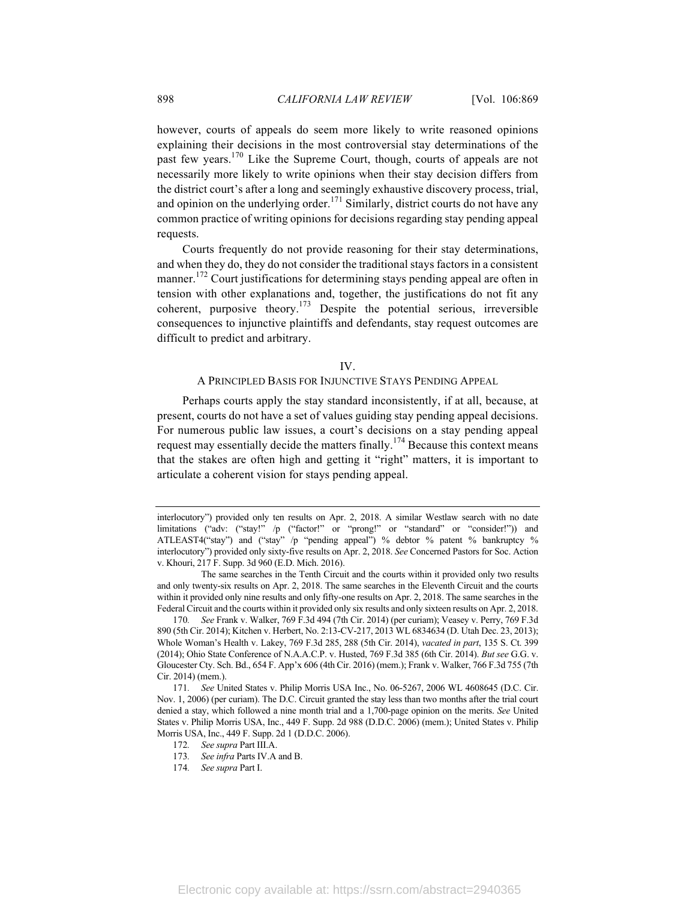however, courts of appeals do seem more likely to write reasoned opinions explaining their decisions in the most controversial stay determinations of the past few years.<sup>170</sup> Like the Supreme Court, though, courts of appeals are not necessarily more likely to write opinions when their stay decision differs from the district court's after a long and seemingly exhaustive discovery process, trial, and opinion on the underlying order.<sup>171</sup> Similarly, district courts do not have any common practice of writing opinions for decisions regarding stay pending appeal requests.

Courts frequently do not provide reasoning for their stay determinations, and when they do, they do not consider the traditional stays factors in a consistent manner.<sup>172</sup> Court justifications for determining stays pending appeal are often in tension with other explanations and, together, the justifications do not fit any coherent, purposive theory.<sup>173</sup> Despite the potential serious, irreversible consequences to injunctive plaintiffs and defendants, stay request outcomes are difficult to predict and arbitrary.

#### IV.

## A PRINCIPLED BASIS FOR INJUNCTIVE STAYS PENDING APPEAL

Perhaps courts apply the stay standard inconsistently, if at all, because, at present, courts do not have a set of values guiding stay pending appeal decisions. For numerous public law issues, a court's decisions on a stay pending appeal request may essentially decide the matters finally.<sup>174</sup> Because this context means that the stakes are often high and getting it "right" matters, it is important to articulate a coherent vision for stays pending appeal.

interlocutory") provided only ten results on Apr. 2, 2018. A similar Westlaw search with no date limitations ("adv: ("stay!" /p ("factor!" or "prong!" or "standard" or "consider!")) and ATLEAST4("stay") and ("stay" /p "pending appeal") % debtor % patent % bankruptcy % interlocutory") provided only sixty-five results on Apr. 2, 2018. *See* Concerned Pastors for Soc. Action v. Khouri, 217 F. Supp. 3d 960 (E.D. Mich. 2016).

The same searches in the Tenth Circuit and the courts within it provided only two results and only twenty-six results on Apr. 2, 2018. The same searches in the Eleventh Circuit and the courts within it provided only nine results and only fifty-one results on Apr. 2, 2018. The same searches in the Federal Circuit and the courts within it provided only six results and only sixteen results on Apr. 2, 2018.

<sup>170</sup>*. See* Frank v. Walker, 769 F.3d 494 (7th Cir. 2014) (per curiam); Veasey v. Perry, 769 F.3d 890 (5th Cir. 2014); Kitchen v. Herbert, No. 2:13-CV-217, 2013 WL 6834634 (D. Utah Dec. 23, 2013); Whole Woman's Health v. Lakey, 769 F.3d 285, 288 (5th Cir. 2014), *vacated in part*, 135 S. Ct. 399 (2014); Ohio State Conference of N.A.A.C.P. v. Husted, 769 F.3d 385 (6th Cir. 2014). *But see* G.G. v. Gloucester Cty. Sch. Bd., 654 F. App'x 606 (4th Cir. 2016) (mem.); Frank v. Walker, 766 F.3d 755 (7th Cir. 2014) (mem.).

<sup>171</sup>*. See* United States v. Philip Morris USA Inc., No. 06-5267, 2006 WL 4608645 (D.C. Cir. Nov. 1, 2006) (per curiam). The D.C. Circuit granted the stay less than two months after the trial court denied a stay, which followed a nine month trial and a 1,700-page opinion on the merits. *See* United States v. Philip Morris USA, Inc., 449 F. Supp. 2d 988 (D.D.C. 2006) (mem.); United States v. Philip Morris USA, Inc., 449 F. Supp. 2d 1 (D.D.C. 2006).

<sup>172</sup>*. See supra* Part III.A.

<sup>173</sup>*. See infra* Parts IV.A and B.

<sup>174</sup>*. See supra* Part I.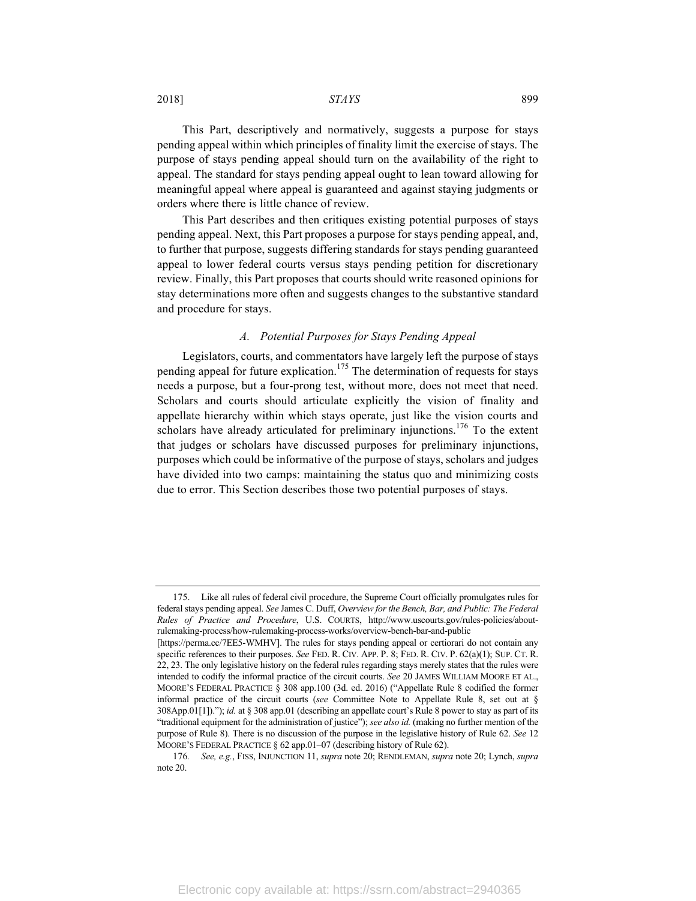2018] *STAYS* 899

This Part, descriptively and normatively, suggests a purpose for stays pending appeal within which principles of finality limit the exercise of stays. The purpose of stays pending appeal should turn on the availability of the right to appeal. The standard for stays pending appeal ought to lean toward allowing for meaningful appeal where appeal is guaranteed and against staying judgments or orders where there is little chance of review.

This Part describes and then critiques existing potential purposes of stays pending appeal. Next, this Part proposes a purpose for stays pending appeal, and, to further that purpose, suggests differing standards for stays pending guaranteed appeal to lower federal courts versus stays pending petition for discretionary review. Finally, this Part proposes that courts should write reasoned opinions for stay determinations more often and suggests changes to the substantive standard and procedure for stays.

#### *A. Potential Purposes for Stays Pending Appeal*

Legislators, courts, and commentators have largely left the purpose of stays pending appeal for future explication.<sup>175</sup> The determination of requests for stays needs a purpose, but a four-prong test, without more, does not meet that need. Scholars and courts should articulate explicitly the vision of finality and appellate hierarchy within which stays operate, just like the vision courts and scholars have already articulated for preliminary injunctions.<sup>176</sup> To the extent that judges or scholars have discussed purposes for preliminary injunctions, purposes which could be informative of the purpose of stays, scholars and judges have divided into two camps: maintaining the status quo and minimizing costs due to error. This Section describes those two potential purposes of stays.

<sup>175.</sup> Like all rules of federal civil procedure, the Supreme Court officially promulgates rules for federal stays pending appeal. *See* James C. Duff, *Overview for the Bench, Bar, and Public: The Federal Rules of Practice and Procedure*, U.S. COURTS, http://www.uscourts.gov/rules-policies/aboutrulemaking-process/how-rulemaking-process-works/overview-bench-bar-and-public

<sup>[</sup>https://perma.cc/7EE5-WMHV]. The rules for stays pending appeal or certiorari do not contain any specific references to their purposes. *See* FED. R. CIV. APP. P. 8; FED. R. CIV. P. 62(a)(1); SUP. CT. R. 22, 23. The only legislative history on the federal rules regarding stays merely states that the rules were intended to codify the informal practice of the circuit courts. *See* 20 JAMES WILLIAM MOORE ET AL., MOORE'S FEDERAL PRACTICE § 308 app.100 (3d. ed. 2016) ("Appellate Rule 8 codified the former informal practice of the circuit courts (*see* Committee Note to Appellate Rule 8, set out at § 308App.01[1])."); *id.* at § 308 app.01 (describing an appellate court's Rule 8 power to stay as part of its "traditional equipment for the administration of justice"); *see also id.* (making no further mention of the purpose of Rule 8). There is no discussion of the purpose in the legislative history of Rule 62. *See* 12 MOORE'S FEDERAL PRACTICE § 62 app.01–07 (describing history of Rule 62).

<sup>176</sup>*. See, e.g.*, FISS, INJUNCTION 11, *supra* note 20; RENDLEMAN, *supra* note 20; Lynch, *supra* note 20.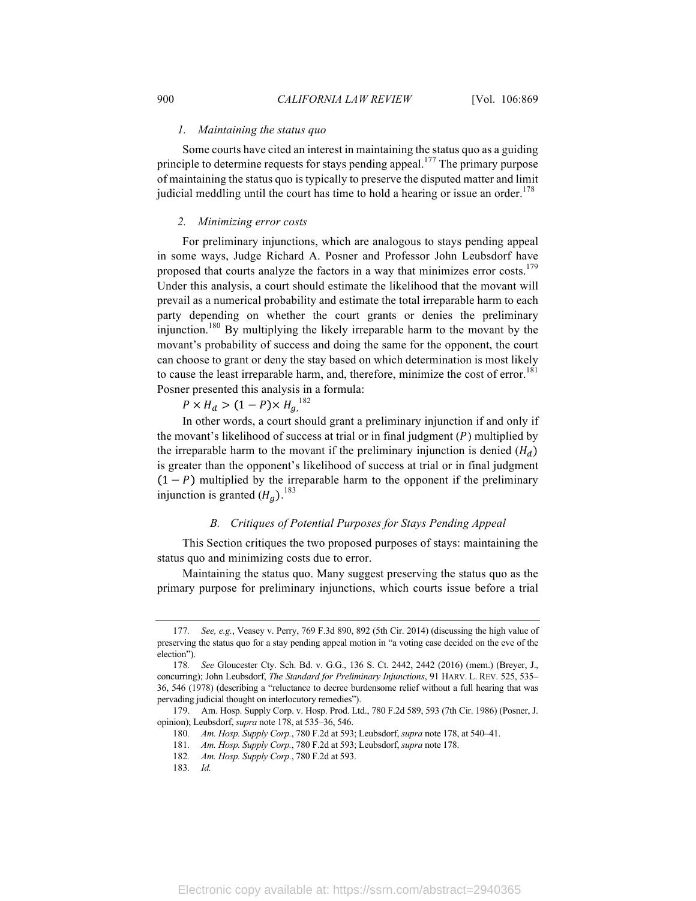#### *1. Maintaining the status quo*

Some courts have cited an interest in maintaining the status quo as a guiding principle to determine requests for stays pending appeal.<sup>177</sup> The primary purpose of maintaining the status quo is typically to preserve the disputed matter and limit judicial meddling until the court has time to hold a hearing or issue an order.<sup>178</sup>

#### *2. Minimizing error costs*

For preliminary injunctions, which are analogous to stays pending appeal in some ways, Judge Richard A. Posner and Professor John Leubsdorf have proposed that courts analyze the factors in a way that minimizes error costs.<sup>179</sup> Under this analysis, a court should estimate the likelihood that the movant will prevail as a numerical probability and estimate the total irreparable harm to each party depending on whether the court grants or denies the preliminary injunction.180 By multiplying the likely irreparable harm to the movant by the movant's probability of success and doing the same for the opponent, the court can choose to grant or deny the stay based on which determination is most likely to cause the least irreparable harm, and, therefore, minimize the cost of error.<sup>181</sup> Posner presented this analysis in a formula:

 $P \times H_d > (1 - P) \times H_{g}^{182}$ 

In other words, a court should grant a preliminary injunction if and only if the movant's likelihood of success at trial or in final judgment  $(P)$  multiplied by the irreparable harm to the movant if the preliminary injunction is denied  $(H_d)$ is greater than the opponent's likelihood of success at trial or in final judgment  $(1 - P)$  multiplied by the irreparable harm to the opponent if the preliminary injunction is granted  $(H<sub>g</sub>)$ .<sup>183</sup>

#### *B. Critiques of Potential Purposes for Stays Pending Appeal*

This Section critiques the two proposed purposes of stays: maintaining the status quo and minimizing costs due to error.

Maintaining the status quo. Many suggest preserving the status quo as the primary purpose for preliminary injunctions, which courts issue before a trial

179. Am. Hosp. Supply Corp. v. Hosp. Prod. Ltd., 780 F.2d 589, 593 (7th Cir. 1986) (Posner, J. opinion); Leubsdorf, *supra* note 178, at 535–36, 546.

183*. Id.*

<sup>177</sup>*. See, e.g.*, Veasey v. Perry, 769 F.3d 890, 892 (5th Cir. 2014) (discussing the high value of preserving the status quo for a stay pending appeal motion in "a voting case decided on the eve of the election").

<sup>178</sup>*. See* Gloucester Cty. Sch. Bd. v. G.G., 136 S. Ct. 2442, 2442 (2016) (mem.) (Breyer, J., concurring); John Leubsdorf, *The Standard for Preliminary Injunctions*, 91 HARV. L. REV. 525, 535– 36, 546 (1978) (describing a "reluctance to decree burdensome relief without a full hearing that was pervading judicial thought on interlocutory remedies").

<sup>180</sup>*. Am. Hosp. Supply Corp.*, 780 F.2d at 593; Leubsdorf, *supra* note 178, at 540–41.

<sup>181</sup>*. Am. Hosp. Supply Corp.*, 780 F.2d at 593; Leubsdorf, *supra* note 178.

<sup>182</sup>*. Am. Hosp. Supply Corp.*, 780 F.2d at 593.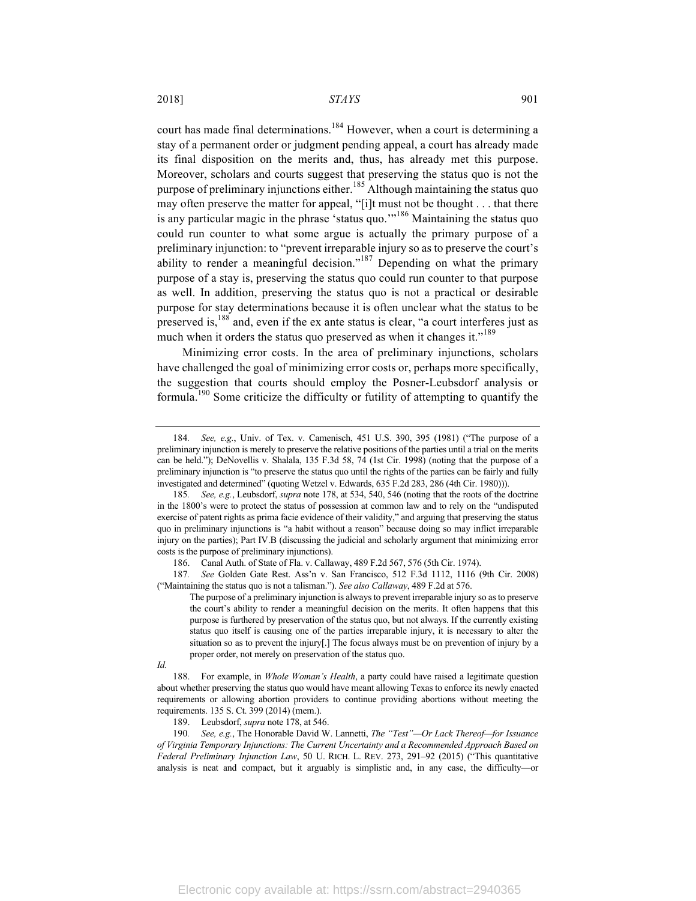court has made final determinations.<sup>184</sup> However, when a court is determining a stay of a permanent order or judgment pending appeal, a court has already made its final disposition on the merits and, thus, has already met this purpose. Moreover, scholars and courts suggest that preserving the status quo is not the purpose of preliminary injunctions either.<sup>185</sup> Although maintaining the status quo may often preserve the matter for appeal, "[i]t must not be thought . . . that there is any particular magic in the phrase 'status quo. $10^{186}$  Maintaining the status quo could run counter to what some argue is actually the primary purpose of a preliminary injunction: to "prevent irreparable injury so as to preserve the court's ability to render a meaningful decision."<sup>187</sup> Depending on what the primary purpose of a stay is, preserving the status quo could run counter to that purpose as well. In addition, preserving the status quo is not a practical or desirable purpose for stay determinations because it is often unclear what the status to be preserved is,<sup>188</sup> and, even if the ex ante status is clear, "a court interferes just as much when it orders the status quo preserved as when it changes it."<sup>189</sup>

Minimizing error costs. In the area of preliminary injunctions, scholars have challenged the goal of minimizing error costs or, perhaps more specifically, the suggestion that courts should employ the Posner-Leubsdorf analysis or formula.190 Some criticize the difficulty or futility of attempting to quantify the

187*. See* Golden Gate Rest. Ass'n v. San Francisco, 512 F.3d 1112, 1116 (9th Cir. 2008) ("Maintaining the status quo is not a talisman."). *See also Callaway*, 489 F.2d at 576.

189. Leubsdorf, *supra* note 178, at 546.

190*. See, e.g.*, The Honorable David W. Lannetti, *The "Test"—Or Lack Thereof—for Issuance of Virginia Temporary Injunctions: The Current Uncertainty and a Recommended Approach Based on Federal Preliminary Injunction Law*, 50 U. RICH. L. REV. 273, 291–92 (2015) ("This quantitative analysis is neat and compact, but it arguably is simplistic and, in any case, the difficulty—or

<sup>184</sup>*. See, e.g.*, Univ. of Tex. v. Camenisch, 451 U.S. 390, 395 (1981) ("The purpose of a preliminary injunction is merely to preserve the relative positions of the parties until a trial on the merits can be held."); DeNovellis v. Shalala, 135 F.3d 58, 74 (1st Cir. 1998) (noting that the purpose of a preliminary injunction is "to preserve the status quo until the rights of the parties can be fairly and fully investigated and determined" (quoting Wetzel v. Edwards, 635 F.2d 283, 286 (4th Cir. 1980))).

<sup>185</sup>*. See, e.g.*, Leubsdorf, *supra* note 178, at 534, 540, 546 (noting that the roots of the doctrine in the 1800's were to protect the status of possession at common law and to rely on the "undisputed exercise of patent rights as prima facie evidence of their validity," and arguing that preserving the status quo in preliminary injunctions is "a habit without a reason" because doing so may inflict irreparable injury on the parties); Part IV.B (discussing the judicial and scholarly argument that minimizing error costs is the purpose of preliminary injunctions).

<sup>186.</sup> Canal Auth. of State of Fla. v. Callaway, 489 F.2d 567, 576 (5th Cir. 1974).

The purpose of a preliminary injunction is always to prevent irreparable injury so as to preserve the court's ability to render a meaningful decision on the merits. It often happens that this purpose is furthered by preservation of the status quo, but not always. If the currently existing status quo itself is causing one of the parties irreparable injury, it is necessary to alter the situation so as to prevent the injury[.] The focus always must be on prevention of injury by a proper order, not merely on preservation of the status quo.

*Id.*

<sup>188.</sup> For example, in *Whole Woman's Health*, a party could have raised a legitimate question about whether preserving the status quo would have meant allowing Texas to enforce its newly enacted requirements or allowing abortion providers to continue providing abortions without meeting the requirements. 135 S. Ct. 399 (2014) (mem.).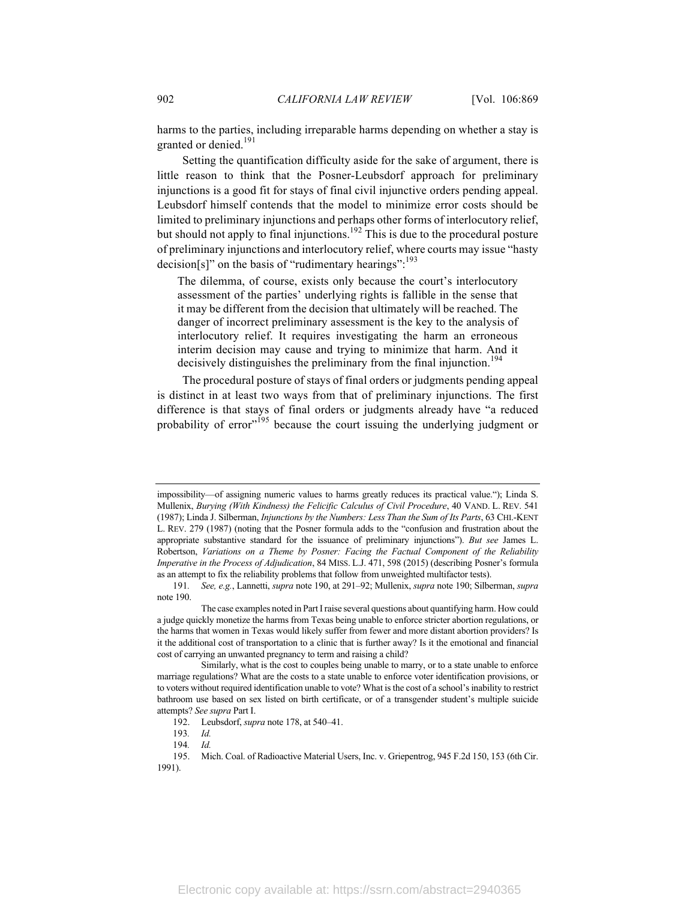harms to the parties, including irreparable harms depending on whether a stay is granted or denied.<sup>191</sup>

Setting the quantification difficulty aside for the sake of argument, there is little reason to think that the Posner-Leubsdorf approach for preliminary injunctions is a good fit for stays of final civil injunctive orders pending appeal. Leubsdorf himself contends that the model to minimize error costs should be limited to preliminary injunctions and perhaps other forms of interlocutory relief, but should not apply to final injunctions.<sup>192</sup> This is due to the procedural posture of preliminary injunctions and interlocutory relief, where courts may issue "hasty decision[s]" on the basis of "rudimentary hearings":<sup>193</sup>

The dilemma, of course, exists only because the court's interlocutory assessment of the parties' underlying rights is fallible in the sense that it may be different from the decision that ultimately will be reached. The danger of incorrect preliminary assessment is the key to the analysis of interlocutory relief. It requires investigating the harm an erroneous interim decision may cause and trying to minimize that harm. And it decisively distinguishes the preliminary from the final injunction.<sup>194</sup>

The procedural posture of stays of final orders or judgments pending appeal is distinct in at least two ways from that of preliminary injunctions. The first difference is that stays of final orders or judgments already have "a reduced probability of error<sup>195</sup> because the court issuing the underlying judgment or

impossibility—of assigning numeric values to harms greatly reduces its practical value."); Linda S. Mullenix, *Burying (With Kindness) the Felicific Calculus of Civil Procedure*, 40 VAND. L. REV. 541 (1987); Linda J. Silberman, *Injunctions by the Numbers: Less Than the Sum of Its Parts*, 63 CHI.-KENT L. REV. 279 (1987) (noting that the Posner formula adds to the "confusion and frustration about the appropriate substantive standard for the issuance of preliminary injunctions"). *But see* James L. Robertson, *Variations on a Theme by Posner: Facing the Factual Component of the Reliability Imperative in the Process of Adjudication*, 84 MISS. L.J. 471, 598 (2015) (describing Posner's formula as an attempt to fix the reliability problems that follow from unweighted multifactor tests).

<sup>191</sup>*. See, e.g.*, Lannetti, *supra* note 190, at 291–92; Mullenix, *supra* note 190; Silberman, *supra*  note 190.

The case examples noted in Part Iraise several questions about quantifying harm. How could a judge quickly monetize the harms from Texas being unable to enforce stricter abortion regulations, or the harms that women in Texas would likely suffer from fewer and more distant abortion providers? Is it the additional cost of transportation to a clinic that is further away? Is it the emotional and financial cost of carrying an unwanted pregnancy to term and raising a child?

Similarly, what is the cost to couples being unable to marry, or to a state unable to enforce marriage regulations? What are the costs to a state unable to enforce voter identification provisions, or to voters without required identification unable to vote? What is the cost of a school's inability to restrict bathroom use based on sex listed on birth certificate, or of a transgender student's multiple suicide attempts? *See supra* Part I.

<sup>192.</sup> Leubsdorf, *supra* note 178, at 540–41.

<sup>193</sup>*. Id.*

<sup>194</sup>*. Id.*

<sup>195.</sup> Mich. Coal. of Radioactive Material Users, Inc. v. Griepentrog, 945 F.2d 150, 153 (6th Cir. 1991).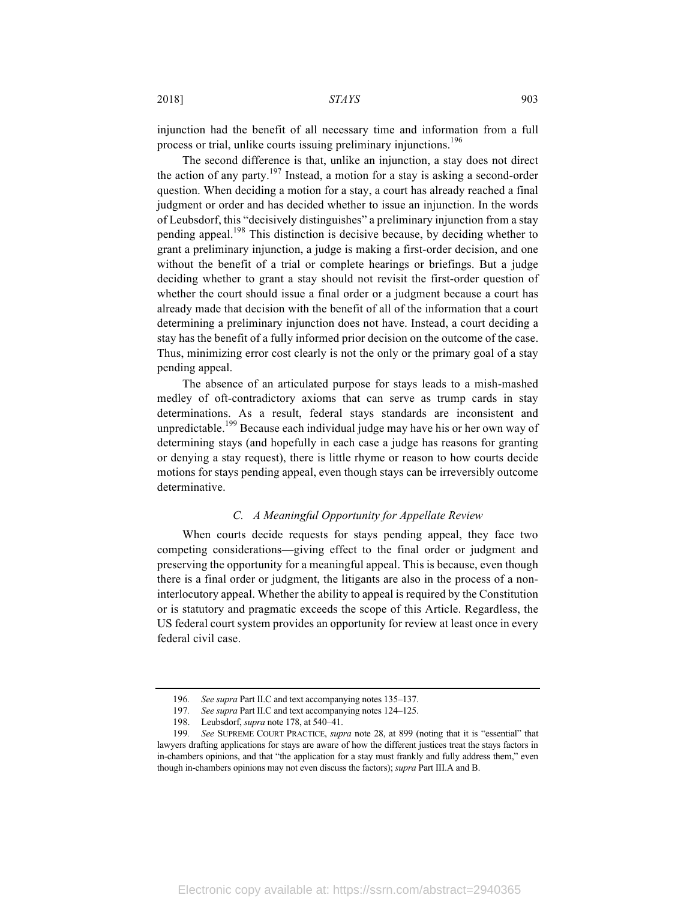injunction had the benefit of all necessary time and information from a full process or trial, unlike courts issuing preliminary injunctions.<sup>196</sup>

The second difference is that, unlike an injunction, a stay does not direct the action of any party.<sup>197</sup> Instead, a motion for a stay is asking a second-order question. When deciding a motion for a stay, a court has already reached a final judgment or order and has decided whether to issue an injunction. In the words of Leubsdorf, this "decisively distinguishes" a preliminary injunction from a stay pending appeal.<sup>198</sup> This distinction is decisive because, by deciding whether to grant a preliminary injunction, a judge is making a first-order decision, and one without the benefit of a trial or complete hearings or briefings. But a judge deciding whether to grant a stay should not revisit the first-order question of whether the court should issue a final order or a judgment because a court has already made that decision with the benefit of all of the information that a court determining a preliminary injunction does not have. Instead, a court deciding a stay has the benefit of a fully informed prior decision on the outcome of the case. Thus, minimizing error cost clearly is not the only or the primary goal of a stay pending appeal.

The absence of an articulated purpose for stays leads to a mish-mashed medley of oft-contradictory axioms that can serve as trump cards in stay determinations. As a result, federal stays standards are inconsistent and unpredictable.<sup>199</sup> Because each individual judge may have his or her own way of determining stays (and hopefully in each case a judge has reasons for granting or denying a stay request), there is little rhyme or reason to how courts decide motions for stays pending appeal, even though stays can be irreversibly outcome determinative.

## *C. A Meaningful Opportunity for Appellate Review*

When courts decide requests for stays pending appeal, they face two competing considerations—giving effect to the final order or judgment and preserving the opportunity for a meaningful appeal. This is because, even though there is a final order or judgment, the litigants are also in the process of a noninterlocutory appeal. Whether the ability to appeal is required by the Constitution or is statutory and pragmatic exceeds the scope of this Article. Regardless, the US federal court system provides an opportunity for review at least once in every federal civil case.

<sup>196</sup>*. See supra* Part II.C and text accompanying notes 135–137.

<sup>197</sup>*. See supra* Part II.C and text accompanying notes 124–125.

<sup>198.</sup> Leubsdorf, *supra* note 178, at 540–41.

<sup>199</sup>*. See* SUPREME COURT PRACTICE, *supra* note 28, at 899 (noting that it is "essential" that lawyers drafting applications for stays are aware of how the different justices treat the stays factors in in-chambers opinions, and that "the application for a stay must frankly and fully address them," even though in-chambers opinions may not even discuss the factors); *supra* Part III.A and B.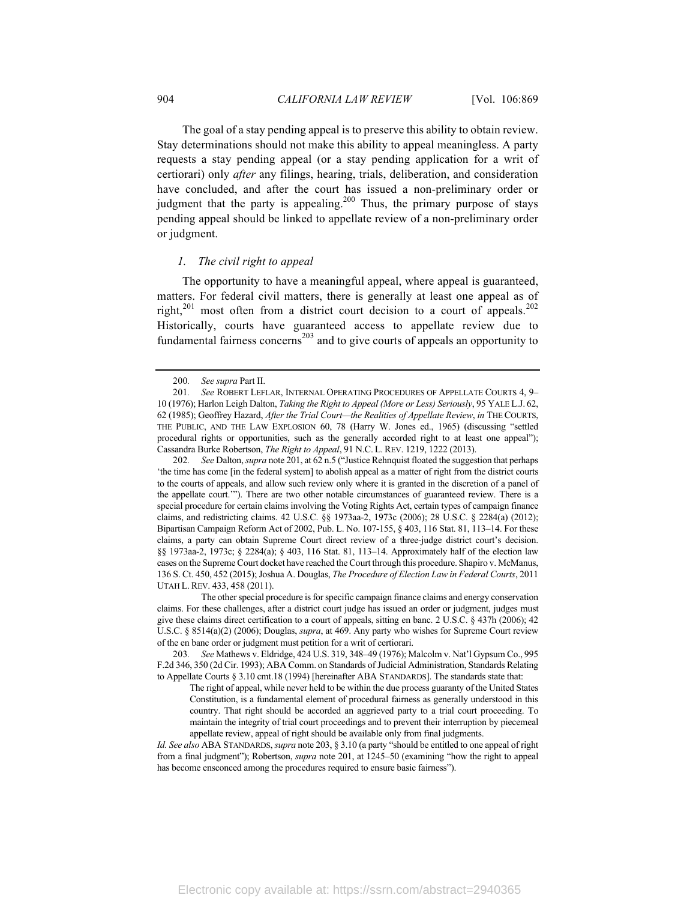The goal of a stay pending appeal is to preserve this ability to obtain review. Stay determinations should not make this ability to appeal meaningless. A party requests a stay pending appeal (or a stay pending application for a writ of certiorari) only *after* any filings, hearing, trials, deliberation, and consideration have concluded, and after the court has issued a non-preliminary order or judgment that the party is appealing.<sup>200</sup> Thus, the primary purpose of stays pending appeal should be linked to appellate review of a non-preliminary order or judgment.

#### *1. The civil right to appeal*

The opportunity to have a meaningful appeal, where appeal is guaranteed, matters. For federal civil matters, there is generally at least one appeal as of right,<sup>201</sup> most often from a district court decision to a court of appeals.<sup>202</sup> Historically, courts have guaranteed access to appellate review due to fundamental fairness concerns<sup>203</sup> and to give courts of appeals an opportunity to

202*. See* Dalton, *supra* note 201, at 62 n.5 ("Justice Rehnquist floated the suggestion that perhaps 'the time has come [in the federal system] to abolish appeal as a matter of right from the district courts to the courts of appeals, and allow such review only where it is granted in the discretion of a panel of the appellate court.'"). There are two other notable circumstances of guaranteed review. There is a special procedure for certain claims involving the Voting Rights Act, certain types of campaign finance claims, and redistricting claims. 42 U.S.C. §§ 1973aa-2, 1973c (2006); 28 U.S.C. § 2284(a) (2012); Bipartisan Campaign Reform Act of 2002, Pub. L. No. 107-155, § 403, 116 Stat. 81, 113–14. For these claims, a party can obtain Supreme Court direct review of a three-judge district court's decision. §§ 1973aa-2, 1973c; § 2284(a); § 403, 116 Stat. 81, 113–14. Approximately half of the election law cases on the Supreme Court docket have reached the Court through this procedure. Shapiro v. McManus, 136 S. Ct. 450, 452 (2015); Joshua A. Douglas, *The Procedure of Election Law in Federal Courts*, 2011 UTAH L. REV. 433, 458 (2011).

<sup>200</sup>*. See supra* Part II.

<sup>201</sup>*. See* ROBERT LEFLAR, INTERNAL OPERATING PROCEDURES OF APPELLATE COURTS 4, 9– 10 (1976); Harlon Leigh Dalton, *Taking the Right to Appeal (More or Less) Seriously*, 95 YALE L.J. 62, 62 (1985); Geoffrey Hazard, *After the Trial Court—the Realities of Appellate Review*, *in* THE COURTS, THE PUBLIC, AND THE LAW EXPLOSION 60, 78 (Harry W. Jones ed., 1965) (discussing "settled procedural rights or opportunities, such as the generally accorded right to at least one appeal"); Cassandra Burke Robertson, *The Right to Appeal*, 91 N.C. L. REV. 1219, 1222 (2013).

The other special procedure is for specific campaign finance claims and energy conservation claims. For these challenges, after a district court judge has issued an order or judgment, judges must give these claims direct certification to a court of appeals, sitting en banc. 2 U.S.C. § 437h (2006); 42 U.S.C. § 8514(a)(2) (2006); Douglas, *supra*, at 469. Any party who wishes for Supreme Court review of the en banc order or judgment must petition for a writ of certiorari.

<sup>203</sup>*. See* Mathews v. Eldridge, 424 U.S. 319, 348–49 (1976); Malcolm v. Nat'l Gypsum Co., 995 F.2d 346, 350 (2d Cir. 1993); ABA Comm. on Standards of Judicial Administration, Standards Relating to Appellate Courts § 3.10 cmt.18 (1994) [hereinafter ABA STANDARDS]. The standards state that:

The right of appeal, while never held to be within the due process guaranty of the United States Constitution, is a fundamental element of procedural fairness as generally understood in this country. That right should be accorded an aggrieved party to a trial court proceeding. To maintain the integrity of trial court proceedings and to prevent their interruption by piecemeal appellate review, appeal of right should be available only from final judgments.

*Id. See also* ABA STANDARDS, *supra* note 203, § 3.10 (a party "should be entitled to one appeal of right from a final judgment"); Robertson, *supra* note 201, at 1245–50 (examining "how the right to appeal has become ensconced among the procedures required to ensure basic fairness").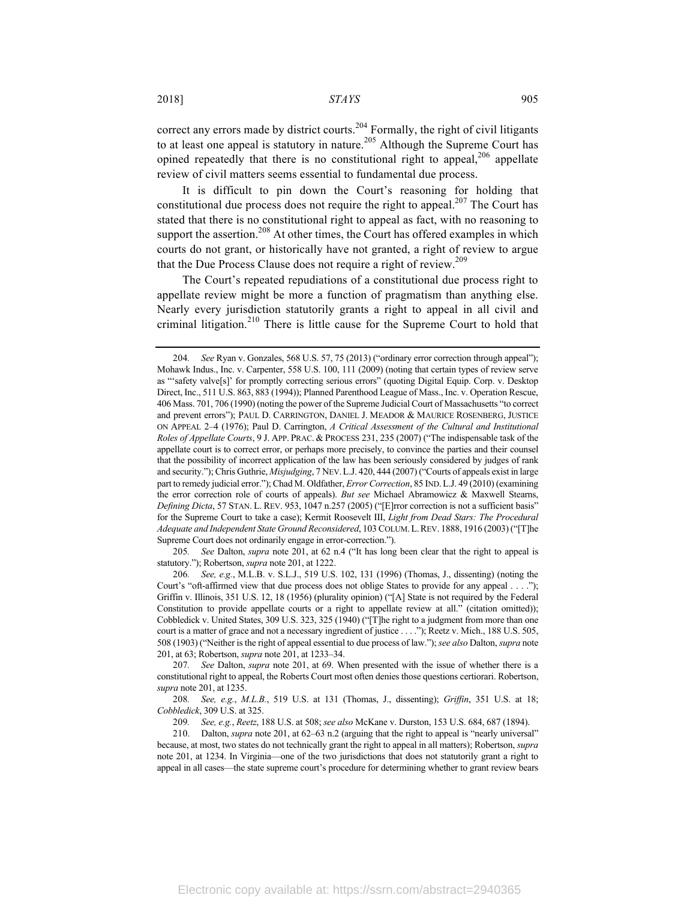correct any errors made by district courts.<sup>204</sup> Formally, the right of civil litigants to at least one appeal is statutory in nature.<sup>205</sup> Although the Supreme Court has opined repeatedly that there is no constitutional right to appeal,<sup>206</sup> appellate review of civil matters seems essential to fundamental due process.

It is difficult to pin down the Court's reasoning for holding that constitutional due process does not require the right to appeal.<sup>207</sup> The Court has stated that there is no constitutional right to appeal as fact, with no reasoning to support the assertion.<sup>208</sup> At other times, the Court has offered examples in which courts do not grant, or historically have not granted, a right of review to argue that the Due Process Clause does not require a right of review.<sup>209</sup>

The Court's repeated repudiations of a constitutional due process right to appellate review might be more a function of pragmatism than anything else. Nearly every jurisdiction statutorily grants a right to appeal in all civil and criminal litigation.<sup>210</sup> There is little cause for the Supreme Court to hold that

205*. See* Dalton, *supra* note 201, at 62 n.4 ("It has long been clear that the right to appeal is statutory."); Robertson, *supra* note 201, at 1222.

206*. See, e.g.*, M.L.B. v. S.L.J., 519 U.S. 102, 131 (1996) (Thomas, J., dissenting) (noting the Court's "oft-affirmed view that due process does not oblige States to provide for any appeal . . . ."); Griffin v. Illinois, 351 U.S. 12, 18 (1956) (plurality opinion) ("[A] State is not required by the Federal Constitution to provide appellate courts or a right to appellate review at all." (citation omitted)); Cobbledick v. United States, 309 U.S. 323, 325 (1940) ("[T]he right to a judgment from more than one court is a matter of grace and not a necessary ingredient of justice . . . ."); Reetz v. Mich., 188 U.S. 505, 508 (1903) ("Neither is the right of appeal essential to due process of law."); *see also* Dalton, *supra* note 201, at 63; Robertson, *supra* note 201, at 1233–34.

207*. See* Dalton, *supra* note 201, at 69. When presented with the issue of whether there is a constitutional right to appeal, the Roberts Court most often denies those questions certiorari. Robertson, *supra* note 201, at 1235.

208*. See, e.g.*, *M.L.B.*, 519 U.S. at 131 (Thomas, J., dissenting); *Griffin*, 351 U.S. at 18; *Cobbledick*, 309 U.S. at 325.

209*. See, e.g.*, *Reetz*, 188 U.S. at 508; *see also* McKane v. Durston, 153 U.S. 684, 687 (1894).

210. Dalton, *supra* note 201, at 62–63 n.2 (arguing that the right to appeal is "nearly universal" because, at most, two states do not technically grant the right to appeal in all matters); Robertson, *supra* note 201, at 1234. In Virginia—one of the two jurisdictions that does not statutorily grant a right to appeal in all cases—the state supreme court's procedure for determining whether to grant review bears

<sup>204</sup>*. See* Ryan v. Gonzales, 568 U.S. 57, 75 (2013) ("ordinary error correction through appeal"); Mohawk Indus., Inc. v. Carpenter, 558 U.S. 100, 111 (2009) (noting that certain types of review serve as "'safety valve[s]' for promptly correcting serious errors" (quoting Digital Equip. Corp. v. Desktop Direct, Inc., 511 U.S. 863, 883 (1994)); Planned Parenthood League of Mass., Inc. v. Operation Rescue, 406 Mass. 701, 706 (1990) (noting the power of the Supreme Judicial Court of Massachusetts "to correct and prevent errors"); PAUL D. CARRINGTON, DANIEL J. MEADOR & MAURICE ROSENBERG, JUSTICE ON APPEAL 2–4 (1976); Paul D. Carrington, *A Critical Assessment of the Cultural and Institutional Roles of Appellate Courts*, 9 J. APP. PRAC. & PROCESS 231, 235 (2007) ("The indispensable task of the appellate court is to correct error, or perhaps more precisely, to convince the parties and their counsel that the possibility of incorrect application of the law has been seriously considered by judges of rank and security."); Chris Guthrie, *Misjudging*, 7 NEV.L.J. 420, 444 (2007) ("Courts of appeals exist in large part to remedy judicial error."); Chad M. Oldfather, *Error Correction*, 85 IND.L.J. 49 (2010) (examining the error correction role of courts of appeals). *But see* Michael Abramowicz & Maxwell Stearns, *Defining Dicta*, 57 STAN. L. REV. 953, 1047 n.257 (2005) ("[E]rror correction is not a sufficient basis" for the Supreme Court to take a case); Kermit Roosevelt III, *Light from Dead Stars: The Procedural Adequate and Independent State Ground Reconsidered*, 103 COLUM.L.REV. 1888, 1916 (2003) ("[T]he Supreme Court does not ordinarily engage in error-correction.").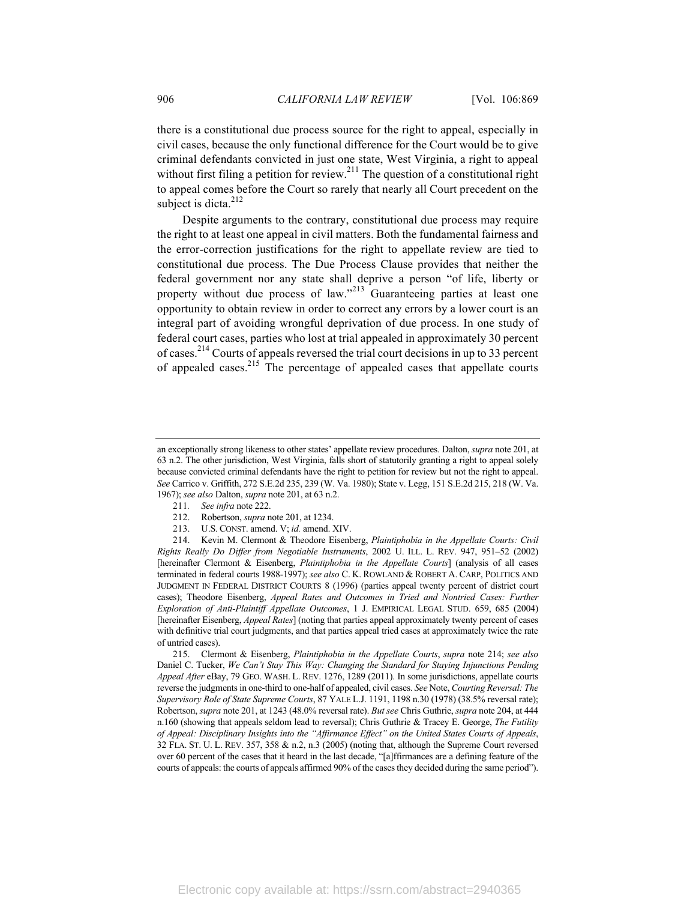there is a constitutional due process source for the right to appeal, especially in civil cases, because the only functional difference for the Court would be to give criminal defendants convicted in just one state, West Virginia, a right to appeal without first filing a petition for review.<sup>211</sup> The question of a constitutional right to appeal comes before the Court so rarely that nearly all Court precedent on the subject is dicta. $212$ 

Despite arguments to the contrary, constitutional due process may require the right to at least one appeal in civil matters. Both the fundamental fairness and the error-correction justifications for the right to appellate review are tied to constitutional due process. The Due Process Clause provides that neither the federal government nor any state shall deprive a person "of life, liberty or property without due process of law. $12^{213}$  Guaranteeing parties at least one opportunity to obtain review in order to correct any errors by a lower court is an integral part of avoiding wrongful deprivation of due process. In one study of federal court cases, parties who lost at trial appealed in approximately 30 percent of cases.214 Courts of appeals reversed the trial court decisions in up to 33 percent of appealed cases.215 The percentage of appealed cases that appellate courts

- 211*. See infra* note 222.
- 212. Robertson, *supra* note 201, at 1234.
- 213. U.S. CONST. amend. V; *id.* amend. XIV.

214. Kevin M. Clermont & Theodore Eisenberg, *Plaintiphobia in the Appellate Courts: Civil Rights Really Do Differ from Negotiable Instruments*, 2002 U. ILL. L. REV. 947, 951–52 (2002) [hereinafter Clermont & Eisenberg, *Plaintiphobia in the Appellate Courts*] (analysis of all cases terminated in federal courts 1988-1997); *see also* C. K. ROWLAND & ROBERT A. CARP, POLITICS AND JUDGMENT IN FEDERAL DISTRICT COURTS 8 (1996) (parties appeal twenty percent of district court cases); Theodore Eisenberg, *Appeal Rates and Outcomes in Tried and Nontried Cases: Further Exploration of Anti-Plaintiff Appellate Outcomes*, 1 J. EMPIRICAL LEGAL STUD. 659, 685 (2004) [hereinafter Eisenberg, *Appeal Rates*] (noting that parties appeal approximately twenty percent of cases with definitive trial court judgments, and that parties appeal tried cases at approximately twice the rate of untried cases).

215. Clermont & Eisenberg, *Plaintiphobia in the Appellate Courts*, *supra* note 214; *see also* Daniel C. Tucker, *We Can't Stay This Way: Changing the Standard for Staying Injunctions Pending Appeal After* eBay, 79 GEO. WASH. L. REV. 1276, 1289 (2011). In some jurisdictions, appellate courts reverse the judgments in one-third to one-half of appealed, civil cases. *See* Note, *Courting Reversal: The Supervisory Role of State Supreme Courts*, 87 YALE L.J. 1191, 1198 n.30 (1978) (38.5% reversal rate); Robertson, *supra* note 201, at 1243 (48.0% reversal rate). *But see* Chris Guthrie, *supra* note 204, at 444 n.160 (showing that appeals seldom lead to reversal); Chris Guthrie & Tracey E. George, *The Futility of Appeal: Disciplinary Insights into the "Affirmance Effect" on the United States Courts of Appeals*, 32 FLA. ST. U. L. REV. 357, 358 & n.2, n.3 (2005) (noting that, although the Supreme Court reversed over 60 percent of the cases that it heard in the last decade, "[a]ffirmances are a defining feature of the courts of appeals: the courts of appeals affirmed 90% of the cases they decided during the same period").

an exceptionally strong likeness to other states' appellate review procedures. Dalton, *supra* note 201, at 63 n.2. The other jurisdiction, West Virginia, falls short of statutorily granting a right to appeal solely because convicted criminal defendants have the right to petition for review but not the right to appeal. *See* Carrico v. Griffith, 272 S.E.2d 235, 239 (W. Va. 1980); State v. Legg, 151 S.E.2d 215, 218 (W. Va. 1967); *see also* Dalton, *supra* note 201, at 63 n.2.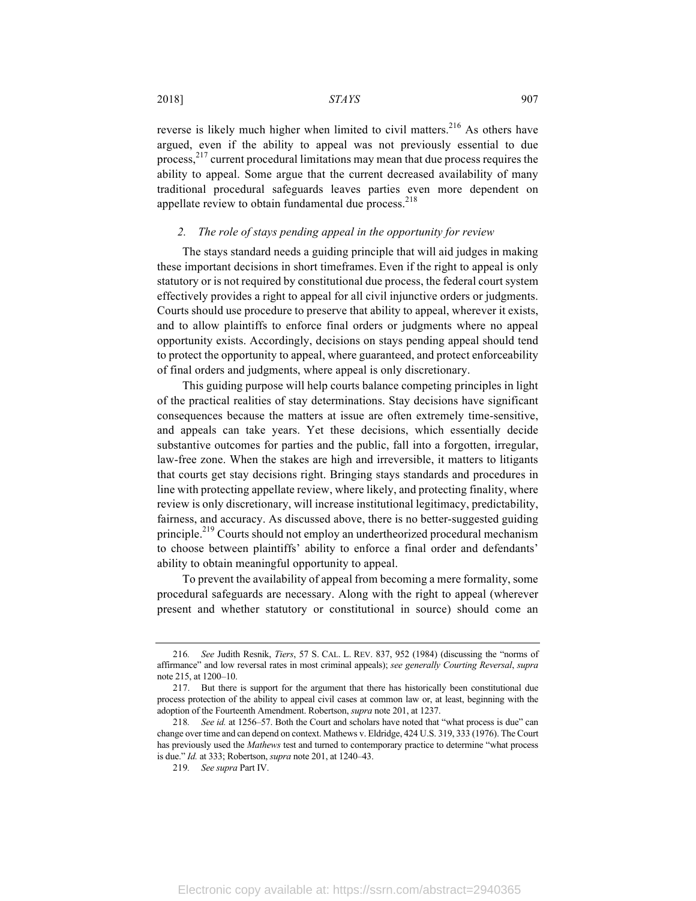reverse is likely much higher when limited to civil matters.<sup>216</sup> As others have argued, even if the ability to appeal was not previously essential to due process, $2^{17}$  current procedural limitations may mean that due process requires the ability to appeal. Some argue that the current decreased availability of many traditional procedural safeguards leaves parties even more dependent on appellate review to obtain fundamental due process.<sup>218</sup>

#### *2. The role of stays pending appeal in the opportunity for review*

The stays standard needs a guiding principle that will aid judges in making these important decisions in short timeframes. Even if the right to appeal is only statutory or is not required by constitutional due process, the federal court system effectively provides a right to appeal for all civil injunctive orders or judgments. Courts should use procedure to preserve that ability to appeal, wherever it exists, and to allow plaintiffs to enforce final orders or judgments where no appeal opportunity exists. Accordingly, decisions on stays pending appeal should tend to protect the opportunity to appeal, where guaranteed, and protect enforceability of final orders and judgments, where appeal is only discretionary.

This guiding purpose will help courts balance competing principles in light of the practical realities of stay determinations. Stay decisions have significant consequences because the matters at issue are often extremely time-sensitive, and appeals can take years. Yet these decisions, which essentially decide substantive outcomes for parties and the public, fall into a forgotten, irregular, law-free zone. When the stakes are high and irreversible, it matters to litigants that courts get stay decisions right. Bringing stays standards and procedures in line with protecting appellate review, where likely, and protecting finality, where review is only discretionary, will increase institutional legitimacy, predictability, fairness, and accuracy. As discussed above, there is no better-suggested guiding principle.<sup>219</sup> Courts should not employ an undertheorized procedural mechanism to choose between plaintiffs' ability to enforce a final order and defendants' ability to obtain meaningful opportunity to appeal.

To prevent the availability of appeal from becoming a mere formality, some procedural safeguards are necessary. Along with the right to appeal (wherever present and whether statutory or constitutional in source) should come an

<sup>216</sup>*. See* Judith Resnik, *Tiers*, 57 S. CAL. L. REV. 837, 952 (1984) (discussing the "norms of affirmance" and low reversal rates in most criminal appeals); *see generally Courting Reversal*, *supra* note 215, at 1200–10.

<sup>217.</sup> But there is support for the argument that there has historically been constitutional due process protection of the ability to appeal civil cases at common law or, at least, beginning with the adoption of the Fourteenth Amendment. Robertson, *supra* note 201, at 1237.

<sup>218</sup>*. See id.* at 1256–57. Both the Court and scholars have noted that "what process is due" can change over time and can depend on context. Mathews v. Eldridge, 424 U.S. 319, 333 (1976). The Court has previously used the *Mathews* test and turned to contemporary practice to determine "what process is due." *Id.* at 333; Robertson, *supra* note 201, at 1240–43.

<sup>219</sup>*. See supra* Part IV.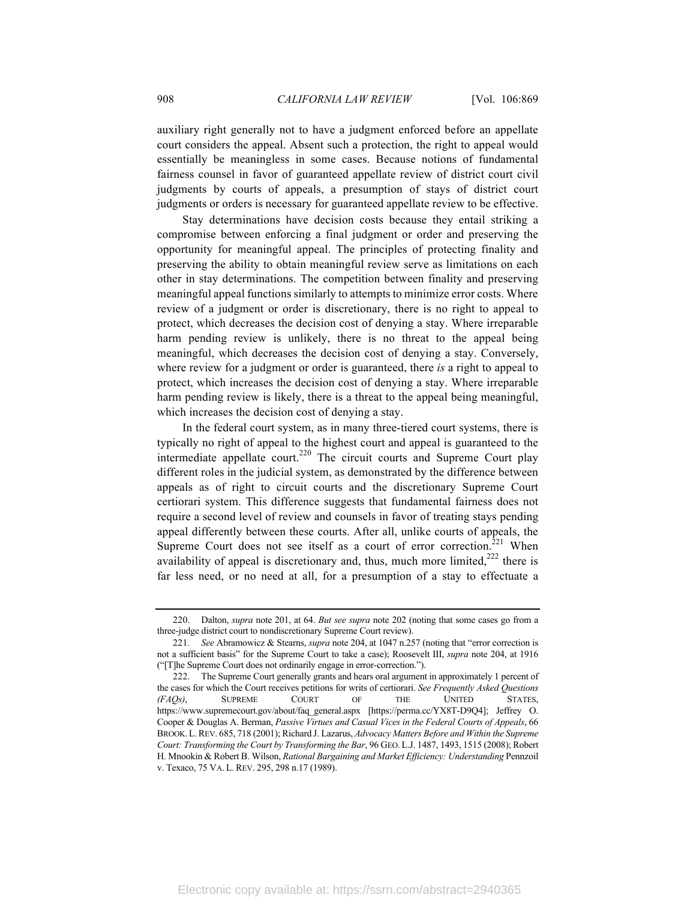auxiliary right generally not to have a judgment enforced before an appellate court considers the appeal. Absent such a protection, the right to appeal would essentially be meaningless in some cases. Because notions of fundamental fairness counsel in favor of guaranteed appellate review of district court civil judgments by courts of appeals, a presumption of stays of district court judgments or orders is necessary for guaranteed appellate review to be effective.

Stay determinations have decision costs because they entail striking a compromise between enforcing a final judgment or order and preserving the opportunity for meaningful appeal. The principles of protecting finality and preserving the ability to obtain meaningful review serve as limitations on each other in stay determinations. The competition between finality and preserving meaningful appeal functions similarly to attempts to minimize error costs. Where review of a judgment or order is discretionary, there is no right to appeal to protect, which decreases the decision cost of denying a stay. Where irreparable harm pending review is unlikely, there is no threat to the appeal being meaningful, which decreases the decision cost of denying a stay. Conversely, where review for a judgment or order is guaranteed, there *is* a right to appeal to protect, which increases the decision cost of denying a stay. Where irreparable harm pending review is likely, there is a threat to the appeal being meaningful, which increases the decision cost of denying a stay.

In the federal court system, as in many three-tiered court systems, there is typically no right of appeal to the highest court and appeal is guaranteed to the intermediate appellate court.<sup>220</sup> The circuit courts and Supreme Court play different roles in the judicial system, as demonstrated by the difference between appeals as of right to circuit courts and the discretionary Supreme Court certiorari system. This difference suggests that fundamental fairness does not require a second level of review and counsels in favor of treating stays pending appeal differently between these courts. After all, unlike courts of appeals, the Supreme Court does not see itself as a court of error correction.<sup>221</sup> When availability of appeal is discretionary and, thus, much more limited, $222$  there is far less need, or no need at all, for a presumption of a stay to effectuate a

<sup>220.</sup> Dalton, *supra* note 201, at 64. *But see supra* note 202 (noting that some cases go from a three-judge district court to nondiscretionary Supreme Court review).

<sup>221</sup>*. See* Abramowicz & Stearns, *supra* note 204, at 1047 n.257 (noting that "error correction is not a sufficient basis" for the Supreme Court to take a case); Roosevelt III, *supra* note 204, at 1916 ("[T]he Supreme Court does not ordinarily engage in error-correction.").

<sup>222.</sup> The Supreme Court generally grants and hears oral argument in approximately 1 percent of the cases for which the Court receives petitions for writs of certiorari. *See Frequently Asked Questions (FAQs)*, SUPREME COURT OF THE UNITED STATES, https://www.supremecourt.gov/about/faq\_general.aspx [https://perma.cc/YX8T-D9Q4]; Jeffrey O. Cooper & Douglas A. Berman, *Passive Virtues and Casual Vices in the Federal Courts of Appeals*, 66 BROOK.L.REV. 685, 718 (2001); Richard J. Lazarus, *Advocacy Matters Before and Within the Supreme Court: Transforming the Court by Transforming the Bar*, 96 GEO. L.J. 1487, 1493, 1515 (2008); Robert H. Mnookin & Robert B. Wilson, *Rational Bargaining and Market Efficiency: Understanding* Pennzoil v. Texaco, 75 VA. L. REV. 295, 298 n.17 (1989).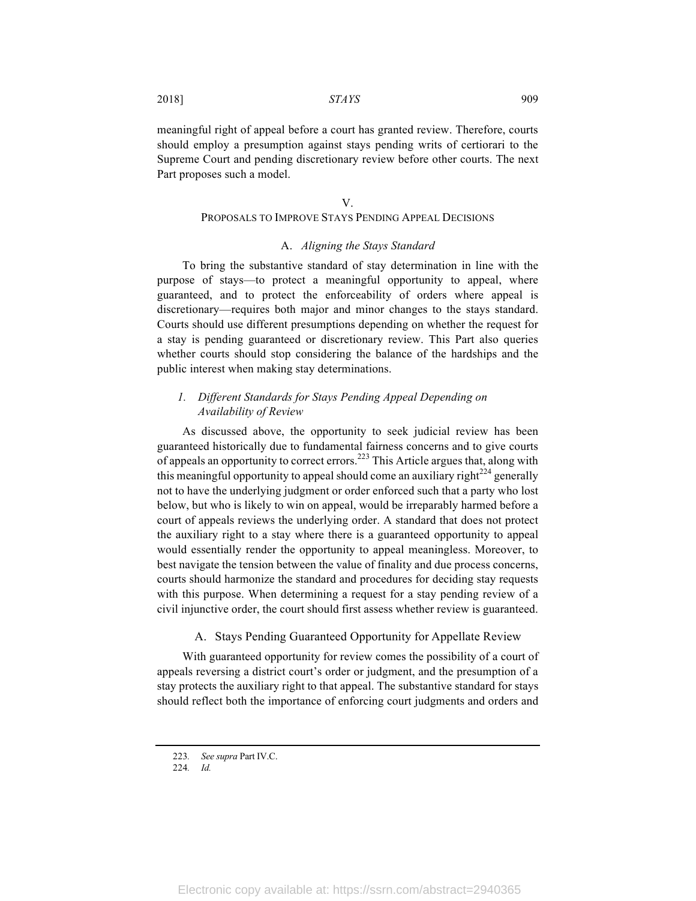2018] *STAYS* 909

meaningful right of appeal before a court has granted review. Therefore, courts should employ a presumption against stays pending writs of certiorari to the Supreme Court and pending discretionary review before other courts. The next Part proposes such a model.

#### V.

## PROPOSALS TO IMPROVE STAYS PENDING APPEAL DECISIONS

#### A. *Aligning the Stays Standard*

To bring the substantive standard of stay determination in line with the purpose of stays—to protect a meaningful opportunity to appeal, where guaranteed, and to protect the enforceability of orders where appeal is discretionary—requires both major and minor changes to the stays standard. Courts should use different presumptions depending on whether the request for a stay is pending guaranteed or discretionary review. This Part also queries whether courts should stop considering the balance of the hardships and the public interest when making stay determinations.

## *1. Different Standards for Stays Pending Appeal Depending on Availability of Review*

As discussed above, the opportunity to seek judicial review has been guaranteed historically due to fundamental fairness concerns and to give courts of appeals an opportunity to correct errors.<sup>223</sup> This Article argues that, along with this meaningful opportunity to appeal should come an auxiliary right<sup>224</sup> generally not to have the underlying judgment or order enforced such that a party who lost below, but who is likely to win on appeal, would be irreparably harmed before a court of appeals reviews the underlying order. A standard that does not protect the auxiliary right to a stay where there is a guaranteed opportunity to appeal would essentially render the opportunity to appeal meaningless. Moreover, to best navigate the tension between the value of finality and due process concerns, courts should harmonize the standard and procedures for deciding stay requests with this purpose. When determining a request for a stay pending review of a civil injunctive order, the court should first assess whether review is guaranteed.

#### A. Stays Pending Guaranteed Opportunity for Appellate Review

With guaranteed opportunity for review comes the possibility of a court of appeals reversing a district court's order or judgment, and the presumption of a stay protects the auxiliary right to that appeal. The substantive standard for stays should reflect both the importance of enforcing court judgments and orders and

<sup>223</sup>*. See supra* Part IV.C.

<sup>224</sup>*. Id.*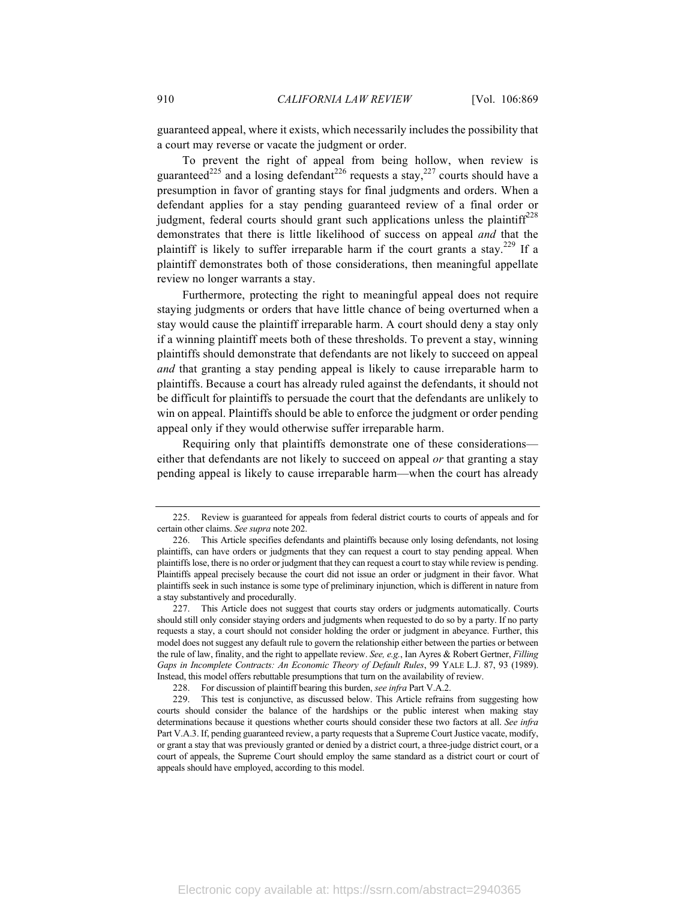guaranteed appeal, where it exists, which necessarily includes the possibility that a court may reverse or vacate the judgment or order.

To prevent the right of appeal from being hollow, when review is guaranteed<sup>225</sup> and a losing defendant<sup>226</sup> requests a stay,<sup>227</sup> courts should have a presumption in favor of granting stays for final judgments and orders. When a defendant applies for a stay pending guaranteed review of a final order or judgment, federal courts should grant such applications unless the plaintiff<sup>228</sup> demonstrates that there is little likelihood of success on appeal *and* that the plaintiff is likely to suffer irreparable harm if the court grants a stay.<sup>229</sup> If a plaintiff demonstrates both of those considerations, then meaningful appellate review no longer warrants a stay.

Furthermore, protecting the right to meaningful appeal does not require staying judgments or orders that have little chance of being overturned when a stay would cause the plaintiff irreparable harm. A court should deny a stay only if a winning plaintiff meets both of these thresholds. To prevent a stay, winning plaintiffs should demonstrate that defendants are not likely to succeed on appeal *and* that granting a stay pending appeal is likely to cause irreparable harm to plaintiffs. Because a court has already ruled against the defendants, it should not be difficult for plaintiffs to persuade the court that the defendants are unlikely to win on appeal. Plaintiffs should be able to enforce the judgment or order pending appeal only if they would otherwise suffer irreparable harm.

Requiring only that plaintiffs demonstrate one of these considerations either that defendants are not likely to succeed on appeal *or* that granting a stay pending appeal is likely to cause irreparable harm—when the court has already

<sup>225.</sup> Review is guaranteed for appeals from federal district courts to courts of appeals and for certain other claims. *See supra* note 202.

<sup>226.</sup> This Article specifies defendants and plaintiffs because only losing defendants, not losing plaintiffs, can have orders or judgments that they can request a court to stay pending appeal. When plaintiffs lose, there is no order or judgment that they can request a court to stay while review is pending. Plaintiffs appeal precisely because the court did not issue an order or judgment in their favor. What plaintiffs seek in such instance is some type of preliminary injunction, which is different in nature from a stay substantively and procedurally.

<sup>227.</sup> This Article does not suggest that courts stay orders or judgments automatically. Courts should still only consider staying orders and judgments when requested to do so by a party. If no party requests a stay, a court should not consider holding the order or judgment in abeyance. Further, this model does not suggest any default rule to govern the relationship either between the parties or between the rule of law, finality, and the right to appellate review. *See, e.g.*, Ian Ayres & Robert Gertner, *Filling Gaps in Incomplete Contracts: An Economic Theory of Default Rules*, 99 YALE L.J. 87, 93 (1989). Instead, this model offers rebuttable presumptions that turn on the availability of review.

<sup>228.</sup> For discussion of plaintiff bearing this burden, *see infra* Part V.A.2.

<sup>229.</sup> This test is conjunctive, as discussed below. This Article refrains from suggesting how courts should consider the balance of the hardships or the public interest when making stay determinations because it questions whether courts should consider these two factors at all. *See infra* Part V.A.3. If, pending guaranteed review, a party requests that a Supreme Court Justice vacate, modify, or grant a stay that was previously granted or denied by a district court, a three-judge district court, or a court of appeals, the Supreme Court should employ the same standard as a district court or court of appeals should have employed, according to this model.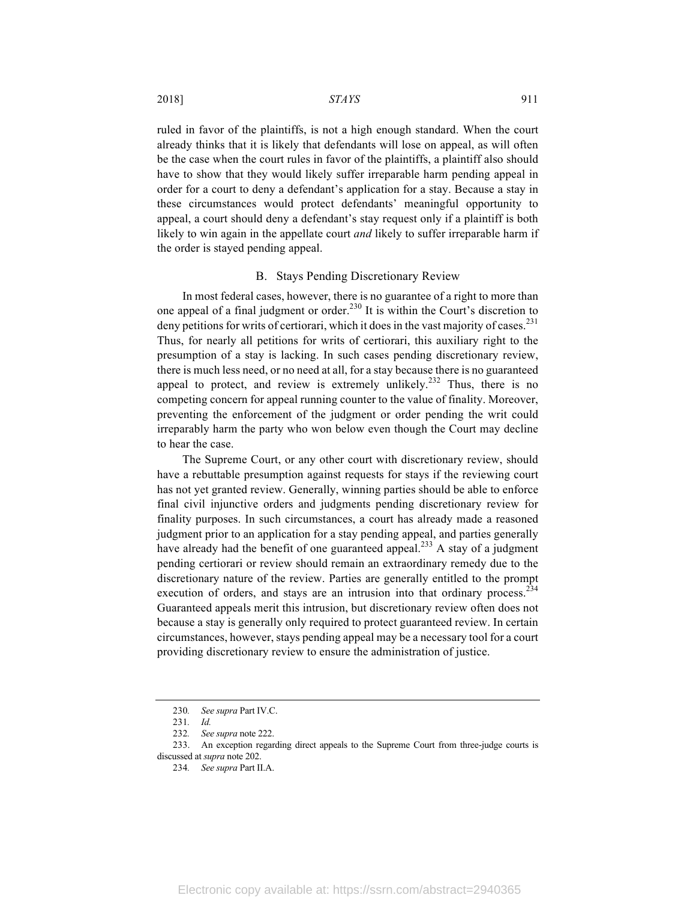ruled in favor of the plaintiffs, is not a high enough standard. When the court already thinks that it is likely that defendants will lose on appeal, as will often be the case when the court rules in favor of the plaintiffs, a plaintiff also should have to show that they would likely suffer irreparable harm pending appeal in order for a court to deny a defendant's application for a stay. Because a stay in these circumstances would protect defendants' meaningful opportunity to appeal, a court should deny a defendant's stay request only if a plaintiff is both likely to win again in the appellate court *and* likely to suffer irreparable harm if the order is stayed pending appeal.

#### B. Stays Pending Discretionary Review

In most federal cases, however, there is no guarantee of a right to more than one appeal of a final judgment or order.<sup>230</sup> It is within the Court's discretion to deny petitions for writs of certiorari, which it does in the vast majority of cases.<sup>231</sup> Thus, for nearly all petitions for writs of certiorari, this auxiliary right to the presumption of a stay is lacking. In such cases pending discretionary review, there is much less need, or no need at all, for a stay because there is no guaranteed appeal to protect, and review is extremely unlikely.<sup>232</sup> Thus, there is no competing concern for appeal running counter to the value of finality. Moreover, preventing the enforcement of the judgment or order pending the writ could irreparably harm the party who won below even though the Court may decline to hear the case.

The Supreme Court, or any other court with discretionary review, should have a rebuttable presumption against requests for stays if the reviewing court has not yet granted review. Generally, winning parties should be able to enforce final civil injunctive orders and judgments pending discretionary review for finality purposes. In such circumstances, a court has already made a reasoned judgment prior to an application for a stay pending appeal, and parties generally have already had the benefit of one guaranteed appeal.<sup>233</sup> A stay of a judgment pending certiorari or review should remain an extraordinary remedy due to the discretionary nature of the review. Parties are generally entitled to the prompt execution of orders, and stays are an intrusion into that ordinary process.<sup>234</sup> Guaranteed appeals merit this intrusion, but discretionary review often does not because a stay is generally only required to protect guaranteed review. In certain circumstances, however, stays pending appeal may be a necessary tool for a court providing discretionary review to ensure the administration of justice.

<sup>230</sup>*. See supra* Part IV.C.

<sup>231</sup>*. Id.*

<sup>232</sup>*. See supra* note 222.

<sup>233.</sup> An exception regarding direct appeals to the Supreme Court from three-judge courts is discussed at *supra* note 202.

<sup>234</sup>*. See supra* Part II.A.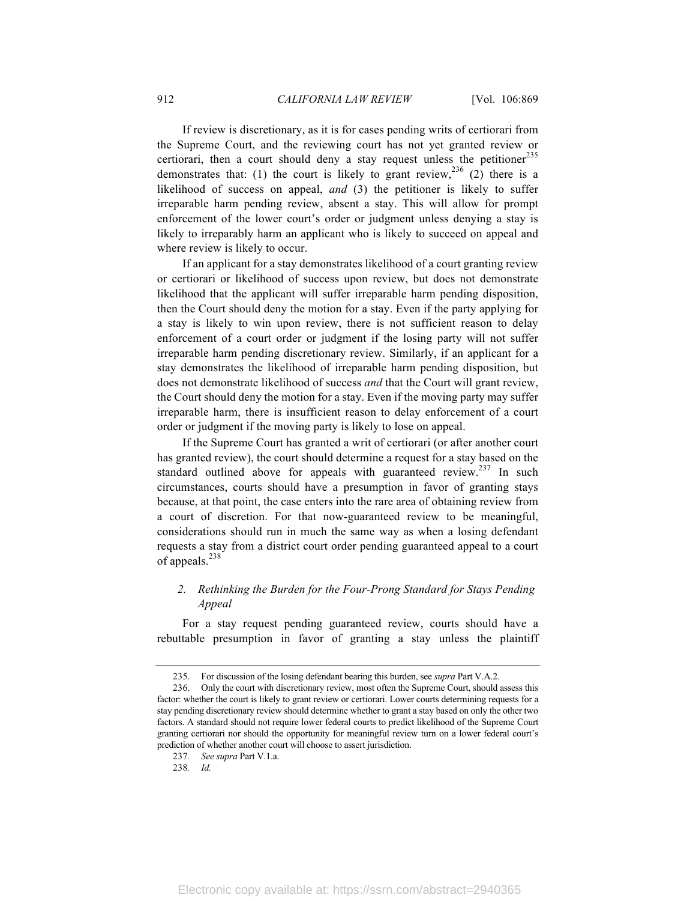If review is discretionary, as it is for cases pending writs of certiorari from the Supreme Court, and the reviewing court has not yet granted review or certiorari, then a court should deny a stay request unless the petitioner<sup>235</sup> demonstrates that: (1) the court is likely to grant review,  $236$  (2) there is a likelihood of success on appeal, *and* (3) the petitioner is likely to suffer irreparable harm pending review, absent a stay. This will allow for prompt enforcement of the lower court's order or judgment unless denying a stay is likely to irreparably harm an applicant who is likely to succeed on appeal and where review is likely to occur.

If an applicant for a stay demonstrates likelihood of a court granting review or certiorari or likelihood of success upon review, but does not demonstrate likelihood that the applicant will suffer irreparable harm pending disposition, then the Court should deny the motion for a stay. Even if the party applying for a stay is likely to win upon review, there is not sufficient reason to delay enforcement of a court order or judgment if the losing party will not suffer irreparable harm pending discretionary review. Similarly, if an applicant for a stay demonstrates the likelihood of irreparable harm pending disposition, but does not demonstrate likelihood of success *and* that the Court will grant review, the Court should deny the motion for a stay. Even if the moving party may suffer irreparable harm, there is insufficient reason to delay enforcement of a court order or judgment if the moving party is likely to lose on appeal.

If the Supreme Court has granted a writ of certiorari (or after another court has granted review), the court should determine a request for a stay based on the standard outlined above for appeals with guaranteed review.<sup>237</sup> In such circumstances, courts should have a presumption in favor of granting stays because, at that point, the case enters into the rare area of obtaining review from a court of discretion. For that now-guaranteed review to be meaningful, considerations should run in much the same way as when a losing defendant requests a stay from a district court order pending guaranteed appeal to a court of appeals.<sup>238</sup>

## *2. Rethinking the Burden for the Four-Prong Standard for Stays Pending Appeal*

For a stay request pending guaranteed review, courts should have a rebuttable presumption in favor of granting a stay unless the plaintiff

<sup>235.</sup> For discussion of the losing defendant bearing this burden, see *supra* Part V.A.2.

<sup>236.</sup> Only the court with discretionary review, most often the Supreme Court, should assess this factor: whether the court is likely to grant review or certiorari. Lower courts determining requests for a stay pending discretionary review should determine whether to grant a stay based on only the other two factors. A standard should not require lower federal courts to predict likelihood of the Supreme Court granting certiorari nor should the opportunity for meaningful review turn on a lower federal court's prediction of whether another court will choose to assert jurisdiction.

<sup>237</sup>*. See supra* Part V.1.a.

<sup>238</sup>*. Id.*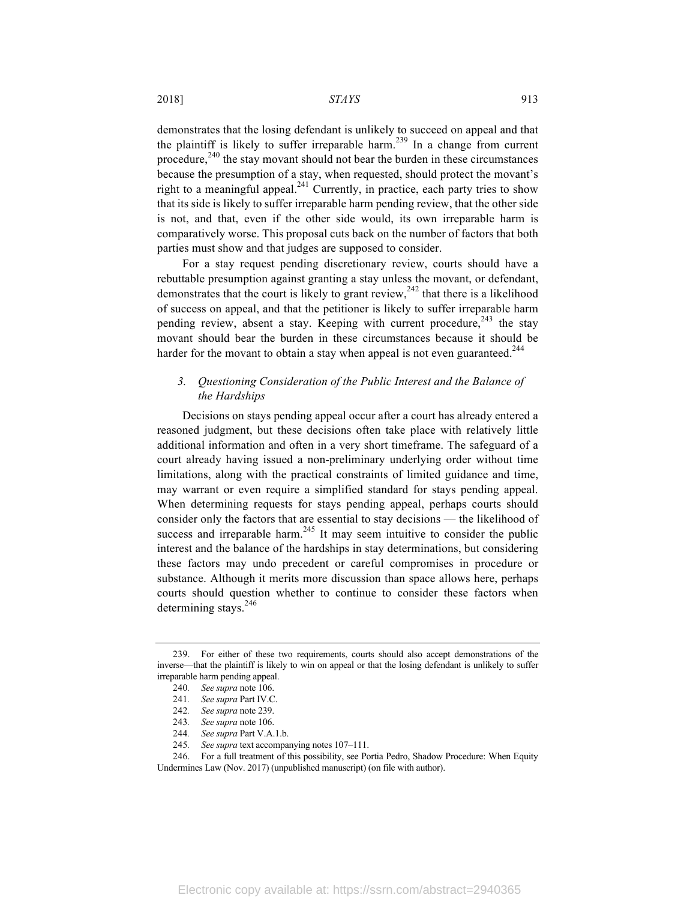demonstrates that the losing defendant is unlikely to succeed on appeal and that the plaintiff is likely to suffer irreparable harm.<sup>239</sup> In a change from current procedure, $240$  the stay movant should not bear the burden in these circumstances because the presumption of a stay, when requested, should protect the movant's right to a meaningful appeal. $^{241}$  Currently, in practice, each party tries to show that its side is likely to suffer irreparable harm pending review, that the other side is not, and that, even if the other side would, its own irreparable harm is comparatively worse. This proposal cuts back on the number of factors that both parties must show and that judges are supposed to consider.

For a stay request pending discretionary review, courts should have a rebuttable presumption against granting a stay unless the movant, or defendant, demonstrates that the court is likely to grant review,  $242$  that there is a likelihood of success on appeal, and that the petitioner is likely to suffer irreparable harm pending review, absent a stay. Keeping with current procedure,  $243$  the stay movant should bear the burden in these circumstances because it should be harder for the movant to obtain a stay when appeal is not even guaranteed.<sup>244</sup>

## *3. Questioning Consideration of the Public Interest and the Balance of the Hardships*

Decisions on stays pending appeal occur after a court has already entered a reasoned judgment, but these decisions often take place with relatively little additional information and often in a very short timeframe. The safeguard of a court already having issued a non-preliminary underlying order without time limitations, along with the practical constraints of limited guidance and time, may warrant or even require a simplified standard for stays pending appeal. When determining requests for stays pending appeal, perhaps courts should consider only the factors that are essential to stay decisions — the likelihood of success and irreparable harm.<sup>245</sup> It may seem intuitive to consider the public interest and the balance of the hardships in stay determinations, but considering these factors may undo precedent or careful compromises in procedure or substance. Although it merits more discussion than space allows here, perhaps courts should question whether to continue to consider these factors when determining stays. $246$ 

<sup>239.</sup> For either of these two requirements, courts should also accept demonstrations of the inverse—that the plaintiff is likely to win on appeal or that the losing defendant is unlikely to suffer irreparable harm pending appeal.

<sup>240</sup>*. See supra* note 106.

<sup>241</sup>*. See supra* Part IV.C.

<sup>242</sup>*. See supra* note 239.

<sup>243</sup>*. See supra* note 106.

<sup>244</sup>*. See supra* Part V.A.1.b.

<sup>245</sup>*. See supra* text accompanying notes 107–111.

<sup>246.</sup> For a full treatment of this possibility, see Portia Pedro, Shadow Procedure: When Equity Undermines Law (Nov. 2017) (unpublished manuscript) (on file with author).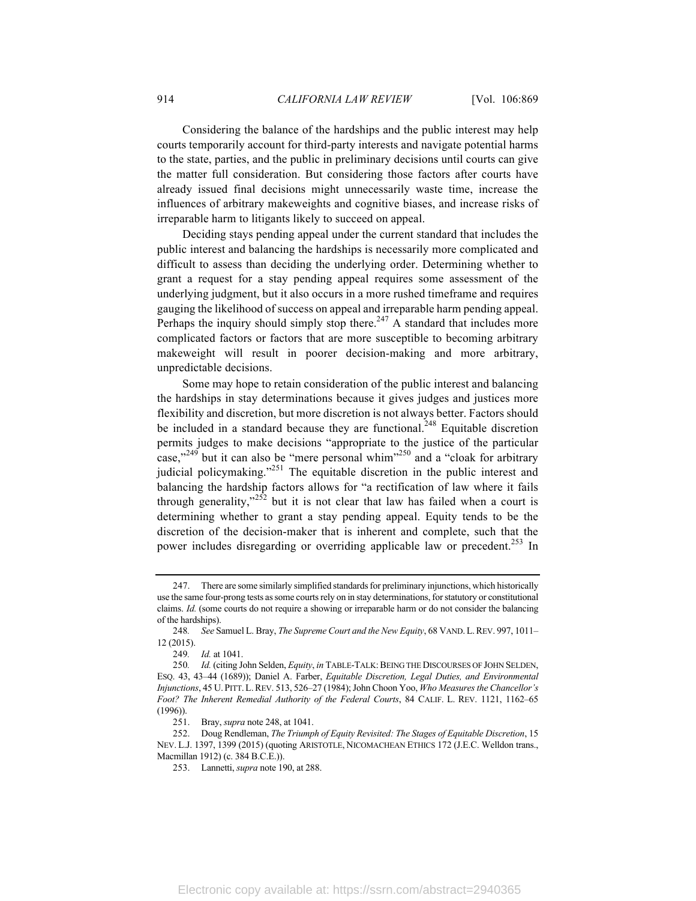Considering the balance of the hardships and the public interest may help courts temporarily account for third-party interests and navigate potential harms to the state, parties, and the public in preliminary decisions until courts can give the matter full consideration. But considering those factors after courts have already issued final decisions might unnecessarily waste time, increase the influences of arbitrary makeweights and cognitive biases, and increase risks of irreparable harm to litigants likely to succeed on appeal.

Deciding stays pending appeal under the current standard that includes the public interest and balancing the hardships is necessarily more complicated and difficult to assess than deciding the underlying order. Determining whether to grant a request for a stay pending appeal requires some assessment of the underlying judgment, but it also occurs in a more rushed timeframe and requires gauging the likelihood of success on appeal and irreparable harm pending appeal. Perhaps the inquiry should simply stop there.<sup>247</sup> A standard that includes more complicated factors or factors that are more susceptible to becoming arbitrary makeweight will result in poorer decision-making and more arbitrary, unpredictable decisions.

Some may hope to retain consideration of the public interest and balancing the hardships in stay determinations because it gives judges and justices more flexibility and discretion, but more discretion is not always better. Factors should be included in a standard because they are functional.<sup>248</sup> Equitable discretion permits judges to make decisions "appropriate to the justice of the particular case,"<sup>249</sup> but it can also be "mere personal whim"<sup>250</sup> and a "cloak for arbitrary" judicial policymaking."<sup>251</sup> The equitable discretion in the public interest and balancing the hardship factors allows for "a rectification of law where it fails through generality," $252$  but it is not clear that law has failed when a court is determining whether to grant a stay pending appeal. Equity tends to be the discretion of the decision-maker that is inherent and complete, such that the power includes disregarding or overriding applicable law or precedent.<sup>253</sup> In

<sup>247.</sup> There are some similarly simplified standards for preliminary injunctions, which historically use the same four-prong tests as some courts rely on in stay determinations, for statutory or constitutional claims. *Id.* (some courts do not require a showing or irreparable harm or do not consider the balancing of the hardships).

<sup>248</sup>*. See* Samuel L. Bray, *The Supreme Court and the New Equity*, 68 VAND.L.REV. 997, 1011– 12 (2015).

<sup>249</sup>*. Id.* at 1041.

<sup>250.</sup> *Id.* (citing John Selden, *Equity, in* TABLE-TALK: BEING THE DISCOURSES OF JOHN SELDEN, ESQ. 43, 43–44 (1689)); Daniel A. Farber, *Equitable Discretion, Legal Duties, and Environmental Injunctions*, 45 U. PITT.L.REV. 513, 526–27 (1984); John Choon Yoo, *Who Measures the Chancellor's Foot? The Inherent Remedial Authority of the Federal Courts*, 84 CALIF. L. REV. 1121, 1162–65 (1996)).

<sup>251.</sup> Bray, *supra* note 248, at 1041.

<sup>252.</sup> Doug Rendleman, *The Triumph of Equity Revisited: The Stages of Equitable Discretion*, 15 NEV. L.J. 1397, 1399 (2015) (quoting ARISTOTLE, NICOMACHEAN ETHICS 172 (J.E.C. Welldon trans., Macmillan 1912) (c. 384 B.C.E.)).

<sup>253.</sup> Lannetti, *supra* note 190, at 288.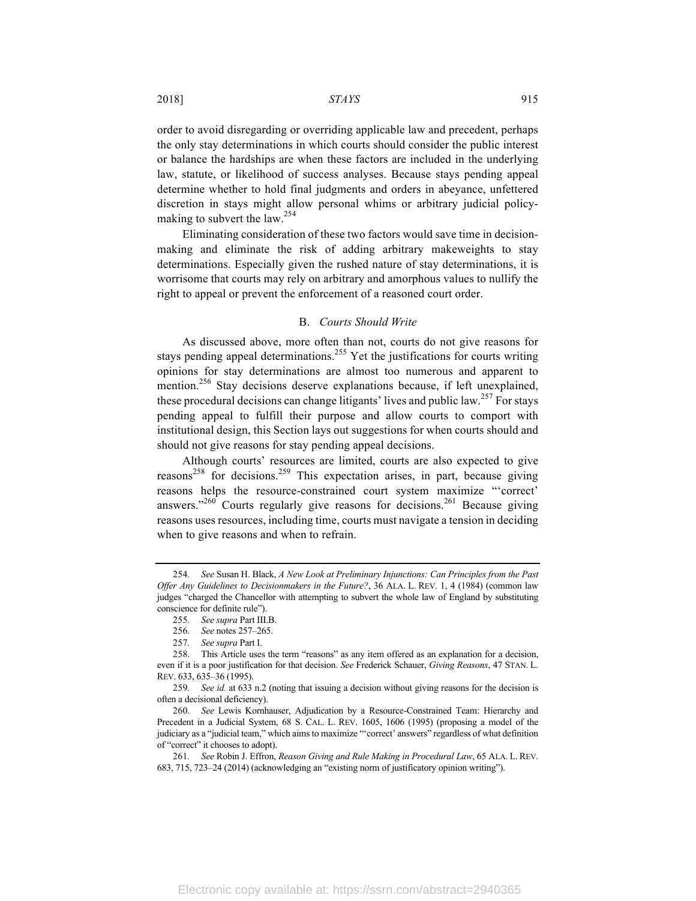order to avoid disregarding or overriding applicable law and precedent, perhaps the only stay determinations in which courts should consider the public interest or balance the hardships are when these factors are included in the underlying law, statute, or likelihood of success analyses. Because stays pending appeal determine whether to hold final judgments and orders in abeyance, unfettered discretion in stays might allow personal whims or arbitrary judicial policymaking to subvert the law.<sup>254</sup>

Eliminating consideration of these two factors would save time in decisionmaking and eliminate the risk of adding arbitrary makeweights to stay determinations. Especially given the rushed nature of stay determinations, it is worrisome that courts may rely on arbitrary and amorphous values to nullify the right to appeal or prevent the enforcement of a reasoned court order.

#### B. *Courts Should Write*

As discussed above, more often than not, courts do not give reasons for stays pending appeal determinations.<sup>255</sup> Yet the justifications for courts writing opinions for stay determinations are almost too numerous and apparent to mention.<sup>256</sup> Stay decisions deserve explanations because, if left unexplained, these procedural decisions can change litigants' lives and public law.<sup>257</sup> For stays pending appeal to fulfill their purpose and allow courts to comport with institutional design, this Section lays out suggestions for when courts should and should not give reasons for stay pending appeal decisions.

Although courts' resources are limited, courts are also expected to give reasons<sup>258</sup> for decisions.<sup>259</sup> This expectation arises, in part, because giving reasons helps the resource-constrained court system maximize "'correct' answers."<sup>260</sup> Courts regularly give reasons for decisions.<sup>261</sup> Because giving reasons uses resources, including time, courts must navigate a tension in deciding when to give reasons and when to refrain.

<sup>254</sup>*. See* Susan H. Black, *A New Look at Preliminary Injunctions: Can Principles from the Past Offer Any Guidelines to Decisionmakers in the Future?*, 36 ALA. L. REV. 1, 4 (1984) (common law judges "charged the Chancellor with attempting to subvert the whole law of England by substituting conscience for definite rule").

<sup>255</sup>*. See supra* Part III.B.

<sup>256</sup>*. See* notes 257–265.

<sup>257</sup>*. See supra* Part I.

<sup>258.</sup> This Article uses the term "reasons" as any item offered as an explanation for a decision, even if it is a poor justification for that decision. *See* Frederick Schauer, *Giving Reasons*, 47 STAN. L. REV. 633, 635–36 (1995).

<sup>259</sup>*. See id.* at 633 n.2 (noting that issuing a decision without giving reasons for the decision is often a decisional deficiency).

<sup>260</sup>*. See* Lewis Kornhauser, Adjudication by a Resource-Constrained Team: Hierarchy and Precedent in a Judicial System, 68 S. CAL. L. REV. 1605, 1606 (1995) (proposing a model of the judiciary as a "judicial team," which aims to maximize "'correct' answers" regardless of what definition of "correct" it chooses to adopt).

<sup>261</sup>*. See* Robin J. Effron, *Reason Giving and Rule Making in Procedural Law*, 65 ALA. L. REV. 683, 715, 723–24 (2014) (acknowledging an "existing norm of justificatory opinion writing").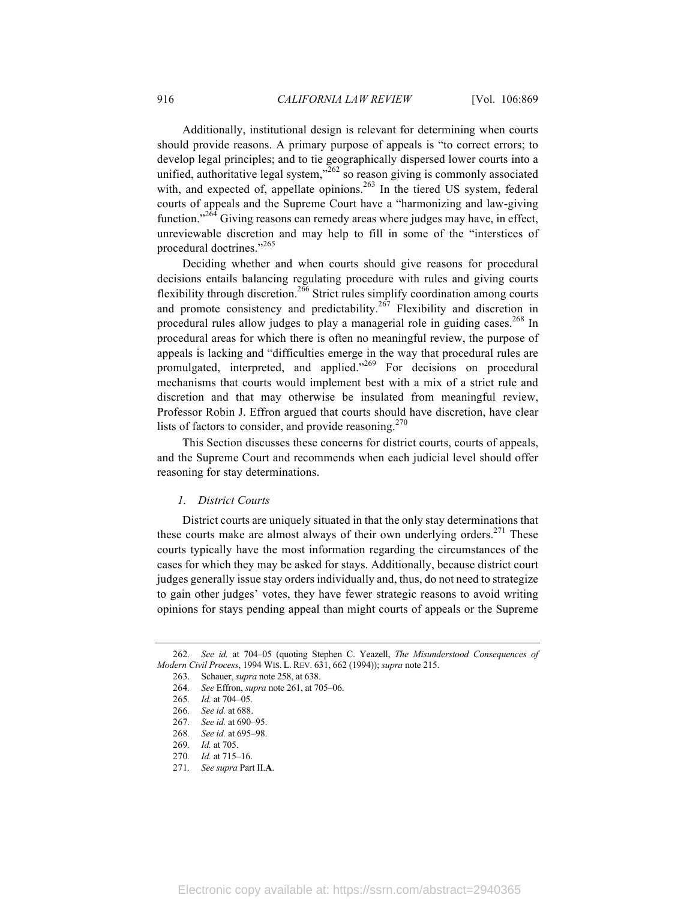Additionally, institutional design is relevant for determining when courts should provide reasons. A primary purpose of appeals is "to correct errors; to develop legal principles; and to tie geographically dispersed lower courts into a unified, authoritative legal system, $\frac{1}{262}$  so reason giving is commonly associated with, and expected of, appellate opinions.<sup>263</sup> In the tiered US system, federal courts of appeals and the Supreme Court have a "harmonizing and law-giving function."<sup>264</sup> Giving reasons can remedy areas where judges may have, in effect, unreviewable discretion and may help to fill in some of the "interstices of procedural doctrines."<sup>265</sup>

Deciding whether and when courts should give reasons for procedural decisions entails balancing regulating procedure with rules and giving courts flexibility through discretion.<sup>266</sup> Strict rules simplify coordination among courts and promote consistency and predictability.<sup>267</sup> Flexibility and discretion in procedural rules allow judges to play a managerial role in guiding cases.<sup>268</sup> In procedural areas for which there is often no meaningful review, the purpose of appeals is lacking and "difficulties emerge in the way that procedural rules are promulgated, interpreted, and applied."<sup>269</sup> For decisions on procedural mechanisms that courts would implement best with a mix of a strict rule and discretion and that may otherwise be insulated from meaningful review, Professor Robin J. Effron argued that courts should have discretion, have clear lists of factors to consider, and provide reasoning.<sup>270</sup>

This Section discusses these concerns for district courts, courts of appeals, and the Supreme Court and recommends when each judicial level should offer reasoning for stay determinations.

#### *1. District Courts*

District courts are uniquely situated in that the only stay determinations that these courts make are almost always of their own underlying orders.<sup>271</sup> These courts typically have the most information regarding the circumstances of the cases for which they may be asked for stays. Additionally, because district court judges generally issue stay orders individually and, thus, do not need to strategize to gain other judges' votes, they have fewer strategic reasons to avoid writing opinions for stays pending appeal than might courts of appeals or the Supreme

<sup>262</sup>*. See id.* at 704–05 (quoting Stephen C. Yeazell, *The Misunderstood Consequences of Modern Civil Process*, 1994 WIS. L. REV. 631, 662 (1994)); *supra* note 215.

<sup>263.</sup> Schauer, *supra* note 258, at 638.

<sup>264</sup>*. See* Effron, *supra* note 261, at 705–06.

<sup>265</sup>*. Id.* at 704–05.

<sup>266</sup>*. See id.* at 688.

<sup>267</sup>*. See id.* at 690–95.

<sup>268</sup>*. See id.* at 695–98.

<sup>269</sup>*. Id.* at 705.

<sup>270</sup>*. Id.* at 715–16.

<sup>271</sup>*. See supra* Part II.**A**.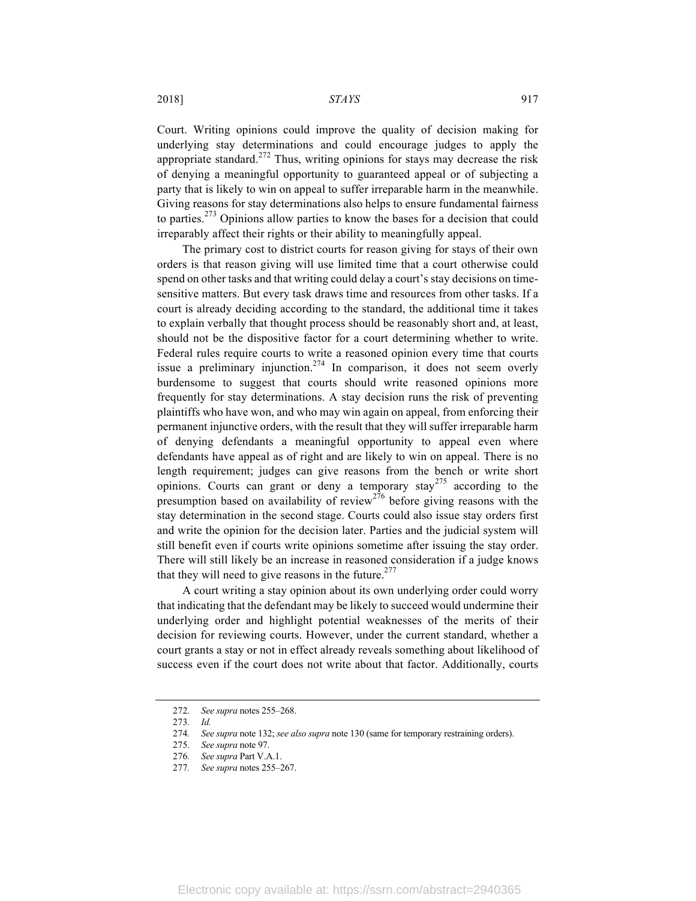2018] *STAYS* 917

Court. Writing opinions could improve the quality of decision making for underlying stay determinations and could encourage judges to apply the appropriate standard.<sup>272</sup> Thus, writing opinions for stays may decrease the risk of denying a meaningful opportunity to guaranteed appeal or of subjecting a party that is likely to win on appeal to suffer irreparable harm in the meanwhile. Giving reasons for stay determinations also helps to ensure fundamental fairness to parties.<sup>273</sup> Opinions allow parties to know the bases for a decision that could irreparably affect their rights or their ability to meaningfully appeal.

The primary cost to district courts for reason giving for stays of their own orders is that reason giving will use limited time that a court otherwise could spend on other tasks and that writing could delay a court's stay decisions on timesensitive matters. But every task draws time and resources from other tasks. If a court is already deciding according to the standard, the additional time it takes to explain verbally that thought process should be reasonably short and, at least, should not be the dispositive factor for a court determining whether to write. Federal rules require courts to write a reasoned opinion every time that courts issue a preliminary injunction.<sup>274</sup> In comparison, it does not seem overly burdensome to suggest that courts should write reasoned opinions more frequently for stay determinations. A stay decision runs the risk of preventing plaintiffs who have won, and who may win again on appeal, from enforcing their permanent injunctive orders, with the result that they will suffer irreparable harm of denying defendants a meaningful opportunity to appeal even where defendants have appeal as of right and are likely to win on appeal. There is no length requirement; judges can give reasons from the bench or write short opinions. Courts can grant or deny a temporary stay<sup>275</sup> according to the presumption based on availability of review<sup>276</sup> before giving reasons with the stay determination in the second stage. Courts could also issue stay orders first and write the opinion for the decision later. Parties and the judicial system will still benefit even if courts write opinions sometime after issuing the stay order. There will still likely be an increase in reasoned consideration if a judge knows that they will need to give reasons in the future. $277$ 

A court writing a stay opinion about its own underlying order could worry that indicating that the defendant may be likely to succeed would undermine their underlying order and highlight potential weaknesses of the merits of their decision for reviewing courts. However, under the current standard, whether a court grants a stay or not in effect already reveals something about likelihood of success even if the court does not write about that factor. Additionally, courts

<sup>272</sup>*. See supra* notes 255–268.

<sup>273</sup>*. Id.* 274*. See supra* note 132; *see also supra* note 130 (same for temporary restraining orders).

<sup>275</sup>*. See supra* note 97.

<sup>276</sup>*. See supra* Part V.A.1.

<sup>277</sup>*. See supra* notes 255–267.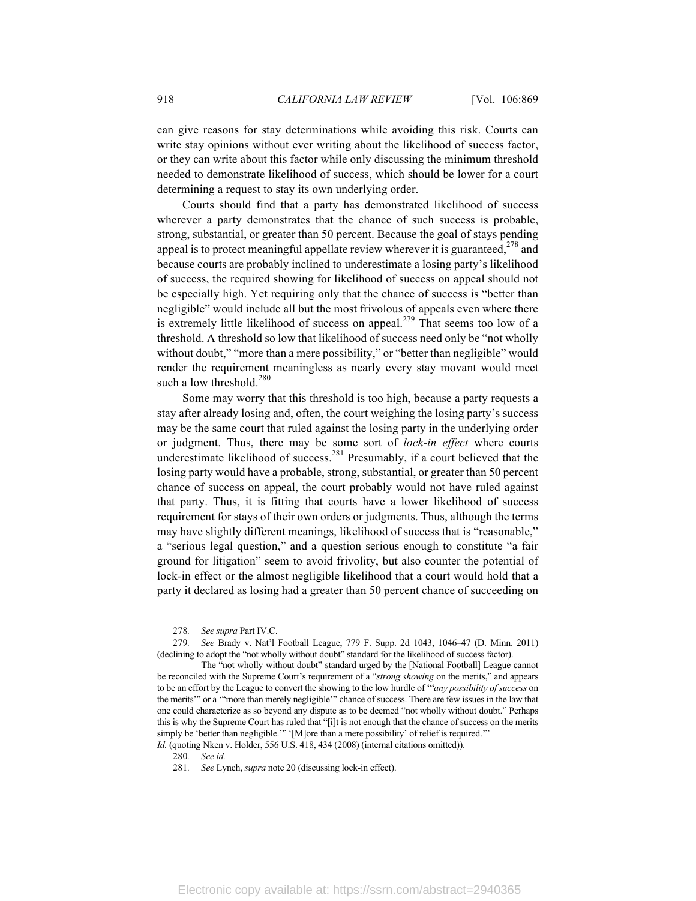can give reasons for stay determinations while avoiding this risk. Courts can write stay opinions without ever writing about the likelihood of success factor, or they can write about this factor while only discussing the minimum threshold needed to demonstrate likelihood of success, which should be lower for a court determining a request to stay its own underlying order.

Courts should find that a party has demonstrated likelihood of success wherever a party demonstrates that the chance of such success is probable, strong, substantial, or greater than 50 percent. Because the goal of stays pending appeal is to protect meaningful appellate review wherever it is guaranteed, $278$  and because courts are probably inclined to underestimate a losing party's likelihood of success, the required showing for likelihood of success on appeal should not be especially high. Yet requiring only that the chance of success is "better than negligible" would include all but the most frivolous of appeals even where there is extremely little likelihood of success on appeal.<sup>279</sup> That seems too low of a threshold. A threshold so low that likelihood of success need only be "not wholly without doubt," "more than a mere possibility," or "better than negligible" would render the requirement meaningless as nearly every stay movant would meet such a low threshold. $280$ 

Some may worry that this threshold is too high, because a party requests a stay after already losing and, often, the court weighing the losing party's success may be the same court that ruled against the losing party in the underlying order or judgment. Thus, there may be some sort of *lock-in effect* where courts underestimate likelihood of success.<sup>281</sup> Presumably, if a court believed that the losing party would have a probable, strong, substantial, or greater than 50 percent chance of success on appeal, the court probably would not have ruled against that party. Thus, it is fitting that courts have a lower likelihood of success requirement for stays of their own orders or judgments. Thus, although the terms may have slightly different meanings, likelihood of success that is "reasonable," a "serious legal question," and a question serious enough to constitute "a fair ground for litigation" seem to avoid frivolity, but also counter the potential of lock-in effect or the almost negligible likelihood that a court would hold that a party it declared as losing had a greater than 50 percent chance of succeeding on

<sup>278</sup>*. See supra* Part IV.C.

<sup>279</sup>*. See* Brady v. Nat'l Football League, 779 F. Supp. 2d 1043, 1046–47 (D. Minn. 2011) (declining to adopt the "not wholly without doubt" standard for the likelihood of success factor).

The "not wholly without doubt" standard urged by the [National Football] League cannot be reconciled with the Supreme Court's requirement of a "*strong showing* on the merits," and appears to be an effort by the League to convert the showing to the low hurdle of '"*any possibility of success* on the merits'" or a '"more than merely negligible'" chance of success. There are few issues in the law that one could characterize as so beyond any dispute as to be deemed "not wholly without doubt." Perhaps this is why the Supreme Court has ruled that "[i]t is not enough that the chance of success on the merits simply be 'better than negligible.'" '[M]ore than a mere possibility' of relief is required." *Id.* (quoting Nken v. Holder, 556 U.S. 418, 434 (2008) (internal citations omitted)).

<sup>280</sup>*. See id.*

<sup>281</sup>*. See* Lynch, *supra* note 20 (discussing lock-in effect).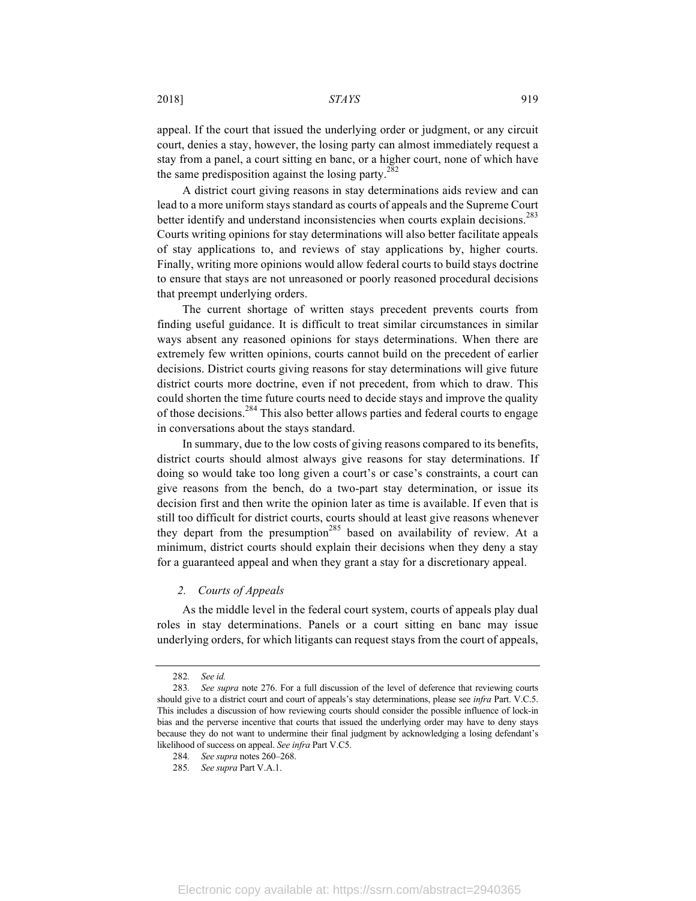appeal. If the court that issued the underlying order or judgment, or any circuit court, denies a stay, however, the losing party can almost immediately request a stay from a panel, a court sitting en banc, or a higher court, none of which have the same predisposition against the losing party.<sup>282</sup>

A district court giving reasons in stay determinations aids review and can lead to a more uniform stays standard as courts of appeals and the Supreme Court better identify and understand inconsistencies when courts explain decisions.<sup>283</sup> Courts writing opinions for stay determinations will also better facilitate appeals of stay applications to, and reviews of stay applications by, higher courts. Finally, writing more opinions would allow federal courts to build stays doctrine to ensure that stays are not unreasoned or poorly reasoned procedural decisions that preempt underlying orders.

The current shortage of written stays precedent prevents courts from finding useful guidance. It is difficult to treat similar circumstances in similar ways absent any reasoned opinions for stays determinations. When there are extremely few written opinions, courts cannot build on the precedent of earlier decisions. District courts giving reasons for stay determinations will give future district courts more doctrine, even if not precedent, from which to draw. This could shorten the time future courts need to decide stays and improve the quality of those decisions.<sup>284</sup> This also better allows parties and federal courts to engage in conversations about the stays standard.

In summary, due to the low costs of giving reasons compared to its benefits, district courts should almost always give reasons for stay determinations. If doing so would take too long given a court's or case's constraints, a court can give reasons from the bench, do a two-part stay determination, or issue its decision first and then write the opinion later as time is available. If even that is still too difficult for district courts, courts should at least give reasons whenever they depart from the presumption<sup>285</sup> based on availability of review. At a minimum, district courts should explain their decisions when they deny a stay for a guaranteed appeal and when they grant a stay for a discretionary appeal.

## *2. Courts of Appeals*

As the middle level in the federal court system, courts of appeals play dual roles in stay determinations. Panels or a court sitting en banc may issue underlying orders, for which litigants can request stays from the court of appeals,

<sup>282</sup>*. See id.*

<sup>283</sup>*. See supra* note 276. For a full discussion of the level of deference that reviewing courts should give to a district court and court of appeals's stay determinations, please see *infra* Part. V.C.5. This includes a discussion of how reviewing courts should consider the possible influence of lock-in bias and the perverse incentive that courts that issued the underlying order may have to deny stays because they do not want to undermine their final judgment by acknowledging a losing defendant's likelihood of success on appeal. *See infra* Part V.C5.

<sup>284</sup>*. See supra* notes 260–268.

<sup>285</sup>*. See supra* Part V.A.1.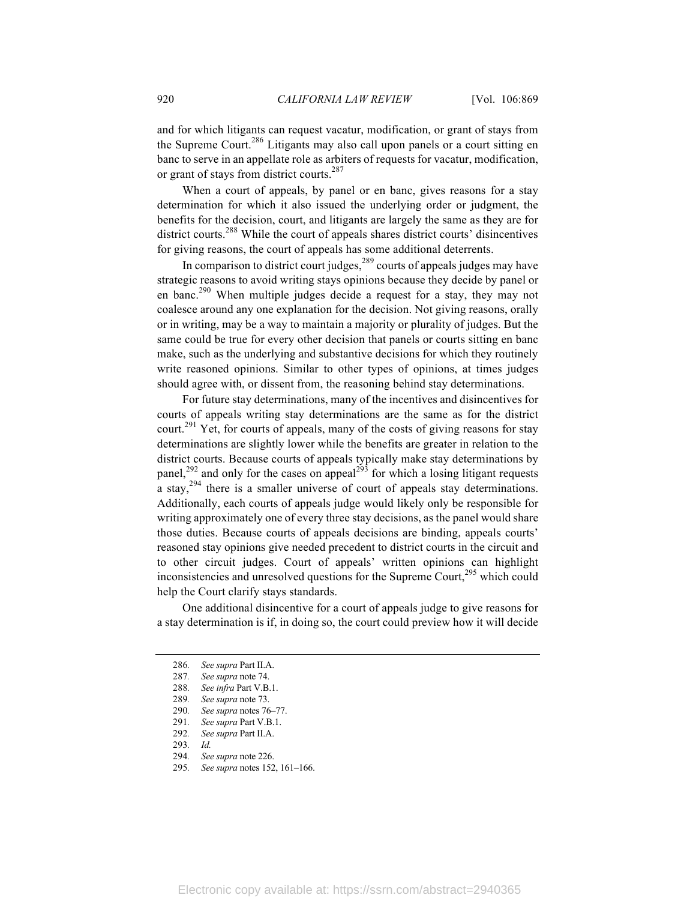and for which litigants can request vacatur, modification, or grant of stays from the Supreme Court.<sup>286</sup> Litigants may also call upon panels or a court sitting en banc to serve in an appellate role as arbiters of requests for vacatur, modification, or grant of stays from district courts.<sup>287</sup>

When a court of appeals, by panel or en banc, gives reasons for a stay determination for which it also issued the underlying order or judgment, the benefits for the decision, court, and litigants are largely the same as they are for district courts.<sup>288</sup> While the court of appeals shares district courts' disincentives for giving reasons, the court of appeals has some additional deterrents.

In comparison to district court judges,<sup>289</sup> courts of appeals judges may have strategic reasons to avoid writing stays opinions because they decide by panel or en banc.<sup>290</sup> When multiple judges decide a request for a stay, they may not coalesce around any one explanation for the decision. Not giving reasons, orally or in writing, may be a way to maintain a majority or plurality of judges. But the same could be true for every other decision that panels or courts sitting en banc make, such as the underlying and substantive decisions for which they routinely write reasoned opinions. Similar to other types of opinions, at times judges should agree with, or dissent from, the reasoning behind stay determinations.

For future stay determinations, many of the incentives and disincentives for courts of appeals writing stay determinations are the same as for the district court.<sup>291</sup> Yet, for courts of appeals, many of the costs of giving reasons for stay determinations are slightly lower while the benefits are greater in relation to the district courts. Because courts of appeals typically make stay determinations by panel,<sup>292</sup> and only for the cases on appeal<sup>293</sup> for which a losing litigant requests a stay,<sup>294</sup> there is a smaller universe of court of appeals stay determinations. Additionally, each courts of appeals judge would likely only be responsible for writing approximately one of every three stay decisions, as the panel would share those duties. Because courts of appeals decisions are binding, appeals courts' reasoned stay opinions give needed precedent to district courts in the circuit and to other circuit judges. Court of appeals' written opinions can highlight inconsistencies and unresolved questions for the Supreme Court,<sup>295</sup> which could help the Court clarify stays standards.

One additional disincentive for a court of appeals judge to give reasons for a stay determination is if, in doing so, the court could preview how it will decide

<sup>286</sup>*. See supra* Part II.A.

<sup>287</sup>*. See supra* note 74.

<sup>288</sup>*. See infra* Part V.B.1.

<sup>289</sup>*. See supra* note 73.

<sup>290</sup>*. See supra* notes 76–77.

<sup>291</sup>*. See supra* Part V.B.1.

<sup>292</sup>*. See supra* Part II.A.

<sup>293</sup>*. Id.*

<sup>294</sup>*. See supra* note 226.

<sup>295</sup>*. See supra* notes 152, 161–166.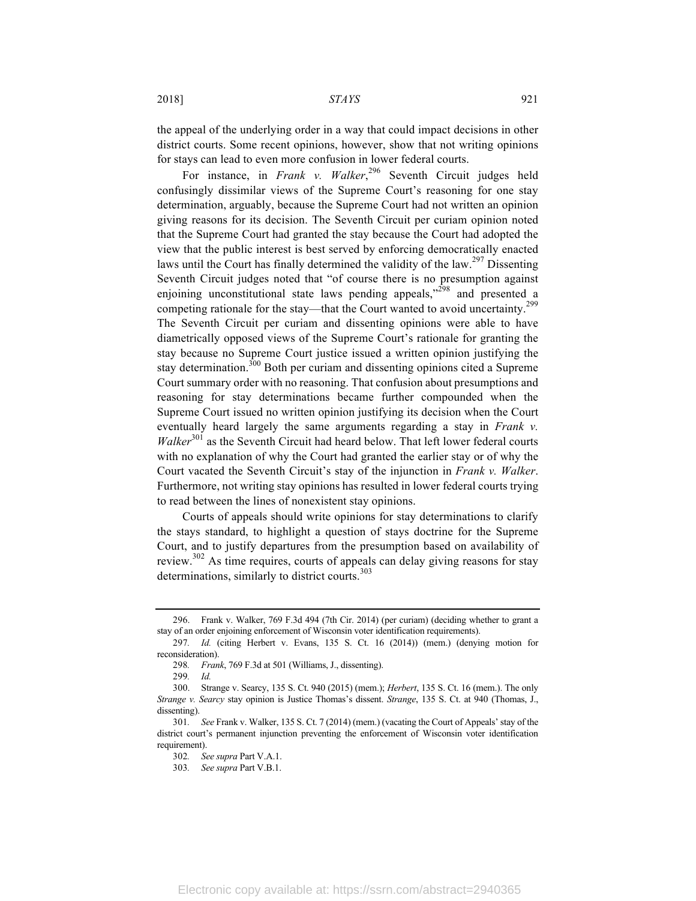the appeal of the underlying order in a way that could impact decisions in other district courts. Some recent opinions, however, show that not writing opinions for stays can lead to even more confusion in lower federal courts.

For instance, in *Frank v. Walker*, <sup>296</sup> Seventh Circuit judges held confusingly dissimilar views of the Supreme Court's reasoning for one stay determination, arguably, because the Supreme Court had not written an opinion giving reasons for its decision. The Seventh Circuit per curiam opinion noted that the Supreme Court had granted the stay because the Court had adopted the view that the public interest is best served by enforcing democratically enacted laws until the Court has finally determined the validity of the law.<sup>297</sup> Dissenting Seventh Circuit judges noted that "of course there is no presumption against enjoining unconstitutional state laws pending appeals,"<sup>298</sup> and presented a competing rationale for the stay—that the Court wanted to avoid uncertainty.<sup>299</sup> The Seventh Circuit per curiam and dissenting opinions were able to have diametrically opposed views of the Supreme Court's rationale for granting the stay because no Supreme Court justice issued a written opinion justifying the stay determination.<sup>300</sup> Both per curiam and dissenting opinions cited a Supreme Court summary order with no reasoning. That confusion about presumptions and reasoning for stay determinations became further compounded when the Supreme Court issued no written opinion justifying its decision when the Court eventually heard largely the same arguments regarding a stay in *Frank v. Walker*<sup>301</sup> as the Seventh Circuit had heard below. That left lower federal courts with no explanation of why the Court had granted the earlier stay or of why the Court vacated the Seventh Circuit's stay of the injunction in *Frank v. Walker*. Furthermore, not writing stay opinions has resulted in lower federal courts trying to read between the lines of nonexistent stay opinions.

Courts of appeals should write opinions for stay determinations to clarify the stays standard, to highlight a question of stays doctrine for the Supreme Court, and to justify departures from the presumption based on availability of review.<sup>302</sup> As time requires, courts of appeals can delay giving reasons for stay determinations, similarly to district courts. $303$ 

<sup>296.</sup> Frank v. Walker, 769 F.3d 494 (7th Cir. 2014) (per curiam) (deciding whether to grant a stay of an order enjoining enforcement of Wisconsin voter identification requirements).

<sup>297</sup>*. Id.* (citing Herbert v. Evans, 135 S. Ct. 16 (2014)) (mem.) (denying motion for reconsideration).

<sup>298</sup>*. Frank*, 769 F.3d at 501 (Williams, J., dissenting).

<sup>299</sup>*. Id.*

<sup>300.</sup> Strange v. Searcy, 135 S. Ct. 940 (2015) (mem.); *Herbert*, 135 S. Ct. 16 (mem.). The only *Strange v. Searcy* stay opinion is Justice Thomas's dissent. *Strange*, 135 S. Ct. at 940 (Thomas, J., dissenting).

<sup>301</sup>*. See* Frank v. Walker, 135 S. Ct. 7 (2014) (mem.) (vacating the Court of Appeals' stay of the district court's permanent injunction preventing the enforcement of Wisconsin voter identification requirement).

<sup>302</sup>*. See supra* Part V.A.1.

<sup>303</sup>*. See supra* Part V.B.1.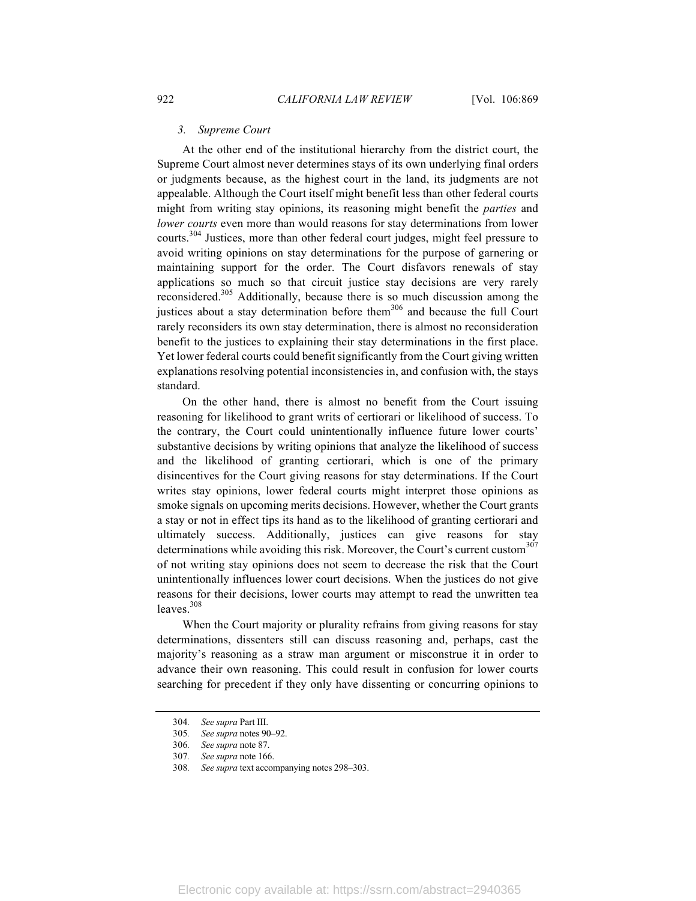#### *3. Supreme Court*

At the other end of the institutional hierarchy from the district court, the Supreme Court almost never determines stays of its own underlying final orders or judgments because, as the highest court in the land, its judgments are not appealable. Although the Court itself might benefit less than other federal courts might from writing stay opinions, its reasoning might benefit the *parties* and *lower courts* even more than would reasons for stay determinations from lower courts.<sup>304</sup> Justices, more than other federal court judges, might feel pressure to avoid writing opinions on stay determinations for the purpose of garnering or maintaining support for the order. The Court disfavors renewals of stay applications so much so that circuit justice stay decisions are very rarely reconsidered.305 Additionally, because there is so much discussion among the justices about a stay determination before them<sup>306</sup> and because the full Court rarely reconsiders its own stay determination, there is almost no reconsideration benefit to the justices to explaining their stay determinations in the first place. Yet lower federal courts could benefit significantly from the Court giving written explanations resolving potential inconsistencies in, and confusion with, the stays standard.

On the other hand, there is almost no benefit from the Court issuing reasoning for likelihood to grant writs of certiorari or likelihood of success. To the contrary, the Court could unintentionally influence future lower courts' substantive decisions by writing opinions that analyze the likelihood of success and the likelihood of granting certiorari, which is one of the primary disincentives for the Court giving reasons for stay determinations. If the Court writes stay opinions, lower federal courts might interpret those opinions as smoke signals on upcoming merits decisions. However, whether the Court grants a stay or not in effect tips its hand as to the likelihood of granting certiorari and ultimately success. Additionally, justices can give reasons for stay determinations while avoiding this risk. Moreover, the Court's current custom $307$ of not writing stay opinions does not seem to decrease the risk that the Court unintentionally influences lower court decisions. When the justices do not give reasons for their decisions, lower courts may attempt to read the unwritten tea leaves.<sup>308</sup>

When the Court majority or plurality refrains from giving reasons for stay determinations, dissenters still can discuss reasoning and, perhaps, cast the majority's reasoning as a straw man argument or misconstrue it in order to advance their own reasoning. This could result in confusion for lower courts searching for precedent if they only have dissenting or concurring opinions to

<sup>304</sup>*. See supra* Part III.

<sup>305</sup>*. See supra* notes 90–92.

<sup>306</sup>*. See supra* note 87.

<sup>307</sup>*. See supra* note 166.

<sup>308</sup>*. See supra* text accompanying notes 298–303.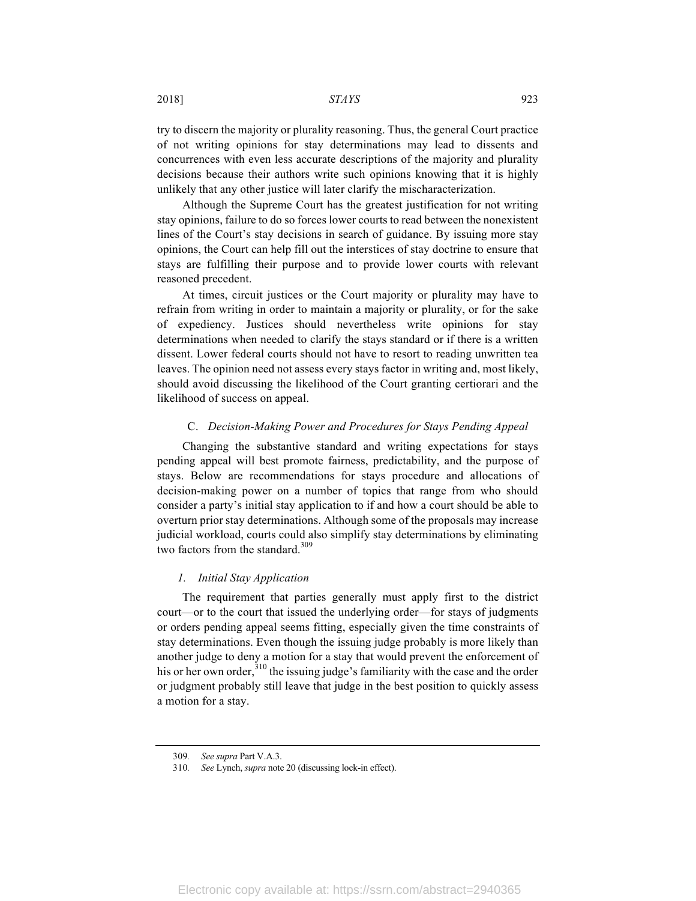2018] *STAYS* 923

try to discern the majority or plurality reasoning. Thus, the general Court practice of not writing opinions for stay determinations may lead to dissents and concurrences with even less accurate descriptions of the majority and plurality decisions because their authors write such opinions knowing that it is highly unlikely that any other justice will later clarify the mischaracterization.

Although the Supreme Court has the greatest justification for not writing stay opinions, failure to do so forces lower courts to read between the nonexistent lines of the Court's stay decisions in search of guidance. By issuing more stay opinions, the Court can help fill out the interstices of stay doctrine to ensure that stays are fulfilling their purpose and to provide lower courts with relevant reasoned precedent.

At times, circuit justices or the Court majority or plurality may have to refrain from writing in order to maintain a majority or plurality, or for the sake of expediency. Justices should nevertheless write opinions for stay determinations when needed to clarify the stays standard or if there is a written dissent. Lower federal courts should not have to resort to reading unwritten tea leaves. The opinion need not assess every stays factor in writing and, most likely, should avoid discussing the likelihood of the Court granting certiorari and the likelihood of success on appeal.

#### C. *Decision-Making Power and Procedures for Stays Pending Appeal*

Changing the substantive standard and writing expectations for stays pending appeal will best promote fairness, predictability, and the purpose of stays. Below are recommendations for stays procedure and allocations of decision-making power on a number of topics that range from who should consider a party's initial stay application to if and how a court should be able to overturn prior stay determinations. Although some of the proposals may increase judicial workload, courts could also simplify stay determinations by eliminating two factors from the standard.<sup>309</sup>

#### *1. Initial Stay Application*

The requirement that parties generally must apply first to the district court—or to the court that issued the underlying order—for stays of judgments or orders pending appeal seems fitting, especially given the time constraints of stay determinations. Even though the issuing judge probably is more likely than another judge to deny a motion for a stay that would prevent the enforcement of his or her own order,  $310$  the issuing judge's familiarity with the case and the order or judgment probably still leave that judge in the best position to quickly assess a motion for a stay.

<sup>309</sup>*. See supra* Part V.A.3.

<sup>310</sup>*. See* Lynch, *supra* note 20 (discussing lock-in effect).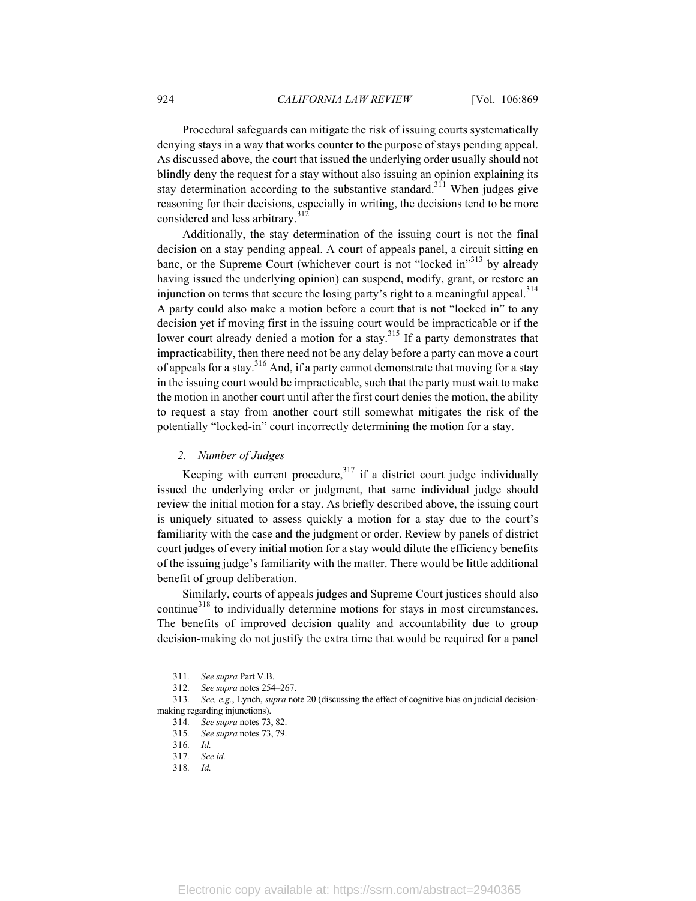Procedural safeguards can mitigate the risk of issuing courts systematically denying stays in a way that works counter to the purpose of stays pending appeal. As discussed above, the court that issued the underlying order usually should not blindly deny the request for a stay without also issuing an opinion explaining its stay determination according to the substantive standard.<sup>311</sup> When judges give reasoning for their decisions, especially in writing, the decisions tend to be more considered and less arbitrary.<sup>312</sup>

Additionally, the stay determination of the issuing court is not the final decision on a stay pending appeal. A court of appeals panel, a circuit sitting en banc, or the Supreme Court (whichever court is not "locked in"<sup>313</sup> by already having issued the underlying opinion) can suspend, modify, grant, or restore an injunction on terms that secure the losing party's right to a meaningful appeal.<sup>314</sup> A party could also make a motion before a court that is not "locked in" to any decision yet if moving first in the issuing court would be impracticable or if the lower court already denied a motion for a stay.<sup>315</sup> If a party demonstrates that impracticability, then there need not be any delay before a party can move a court of appeals for a stay.<sup>316</sup> And, if a party cannot demonstrate that moving for a stay in the issuing court would be impracticable, such that the party must wait to make the motion in another court until after the first court denies the motion, the ability to request a stay from another court still somewhat mitigates the risk of the potentially "locked-in" court incorrectly determining the motion for a stay.

#### *2. Number of Judges*

Keeping with current procedure, $317$  if a district court judge individually issued the underlying order or judgment, that same individual judge should review the initial motion for a stay. As briefly described above, the issuing court is uniquely situated to assess quickly a motion for a stay due to the court's familiarity with the case and the judgment or order. Review by panels of district court judges of every initial motion for a stay would dilute the efficiency benefits of the issuing judge's familiarity with the matter. There would be little additional benefit of group deliberation.

Similarly, courts of appeals judges and Supreme Court justices should also continue<sup>318</sup> to individually determine motions for stays in most circumstances. The benefits of improved decision quality and accountability due to group decision-making do not justify the extra time that would be required for a panel

<sup>311</sup>*. See supra* Part V.B.

<sup>312</sup>*. See supra* notes 254–267.

<sup>313</sup>*. See, e.g.*, Lynch, *supra* note 20 (discussing the effect of cognitive bias on judicial decisionmaking regarding injunctions).

<sup>314</sup>*. See supra* notes 73, 82.

<sup>315</sup>*. See supra* notes 73, 79.

<sup>316</sup>*. Id.*

<sup>317</sup>*. See id.*

<sup>318</sup>*. Id.*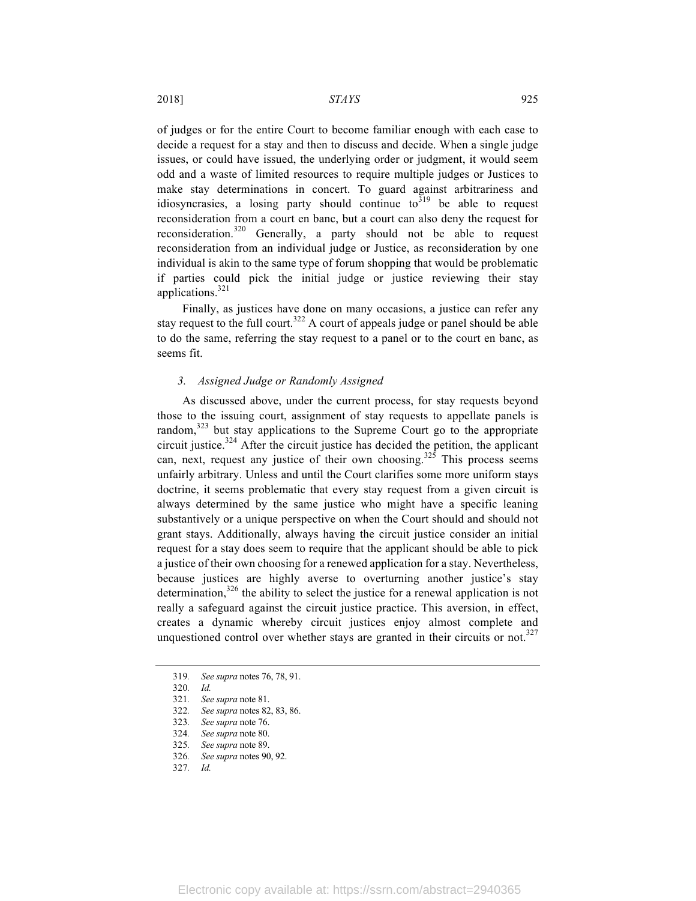of judges or for the entire Court to become familiar enough with each case to decide a request for a stay and then to discuss and decide. When a single judge issues, or could have issued, the underlying order or judgment, it would seem odd and a waste of limited resources to require multiple judges or Justices to make stay determinations in concert. To guard against arbitrariness and idiosyncrasies, a losing party should continue to<sup>319</sup> be able to request reconsideration from a court en banc, but a court can also deny the request for reconsideration.<sup>320</sup> Generally, a party should not be able to request reconsideration from an individual judge or Justice, as reconsideration by one individual is akin to the same type of forum shopping that would be problematic if parties could pick the initial judge or justice reviewing their stay applications.<sup>321</sup>

Finally, as justices have done on many occasions, a justice can refer any stay request to the full court.<sup>322</sup> A court of appeals judge or panel should be able to do the same, referring the stay request to a panel or to the court en banc, as seems fit.

#### *3. Assigned Judge or Randomly Assigned*

As discussed above, under the current process, for stay requests beyond those to the issuing court, assignment of stay requests to appellate panels is random, $323$  but stay applications to the Supreme Court go to the appropriate circuit justice. $324$  After the circuit justice has decided the petition, the applicant can, next, request any justice of their own choosing.<sup>325</sup> This process seems unfairly arbitrary. Unless and until the Court clarifies some more uniform stays doctrine, it seems problematic that every stay request from a given circuit is always determined by the same justice who might have a specific leaning substantively or a unique perspective on when the Court should and should not grant stays. Additionally, always having the circuit justice consider an initial request for a stay does seem to require that the applicant should be able to pick a justice of their own choosing for a renewed application for a stay. Nevertheless, because justices are highly averse to overturning another justice's stay determination,  $326$  the ability to select the justice for a renewal application is not really a safeguard against the circuit justice practice. This aversion, in effect, creates a dynamic whereby circuit justices enjoy almost complete and unquestioned control over whether stays are granted in their circuits or not.<sup>327</sup>

<sup>319</sup>*. See supra* notes 76, 78, 91.

<sup>320</sup>*. Id.*

<sup>321</sup>*. See supra* note 81.

<sup>322</sup>*. See supra* notes 82, 83, 86.

<sup>323</sup>*. See supra* note 76.

<sup>324</sup>*. See supra* note 80.

<sup>325</sup>*. See supra* note 89.

<sup>326</sup>*. See supra* notes 90, 92.

<sup>327</sup>*. Id.*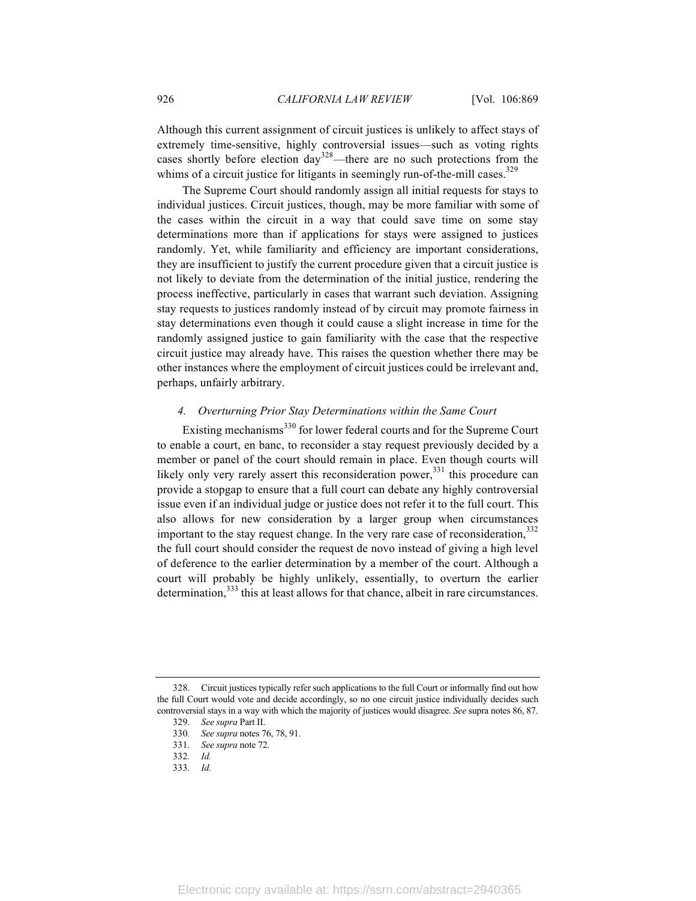Although this current assignment of circuit justices is unlikely to affect stays of extremely time-sensitive, highly controversial issues—such as voting rights cases shortly before election  $\frac{day^{328}}{2}$ —there are no such protections from the whims of a circuit justice for litigants in seemingly run-of-the-mill cases.<sup>329</sup>

The Supreme Court should randomly assign all initial requests for stays to individual justices. Circuit justices, though, may be more familiar with some of the cases within the circuit in a way that could save time on some stay determinations more than if applications for stays were assigned to justices randomly. Yet, while familiarity and efficiency are important considerations, they are insufficient to justify the current procedure given that a circuit justice is not likely to deviate from the determination of the initial justice, rendering the process ineffective, particularly in cases that warrant such deviation. Assigning stay requests to justices randomly instead of by circuit may promote fairness in stay determinations even though it could cause a slight increase in time for the randomly assigned justice to gain familiarity with the case that the respective circuit justice may already have. This raises the question whether there may be other instances where the employment of circuit justices could be irrelevant and, perhaps, unfairly arbitrary.

## *4. Overturning Prior Stay Determinations within the Same Court*

Existing mechanisms<sup>330</sup> for lower federal courts and for the Supreme Court to enable a court, en banc, to reconsider a stay request previously decided by a member or panel of the court should remain in place. Even though courts will likely only very rarely assert this reconsideration power,<sup>331</sup> this procedure can provide a stopgap to ensure that a full court can debate any highly controversial issue even if an individual judge or justice does not refer it to the full court. This also allows for new consideration by a larger group when circumstances important to the stay request change. In the very rare case of reconsideration,  $332$ the full court should consider the request de novo instead of giving a high level of deference to the earlier determination by a member of the court. Although a court will probably be highly unlikely, essentially, to overturn the earlier determination,<sup>333</sup> this at least allows for that chance, albeit in rare circumstances.

<sup>328.</sup> Circuit justices typically refer such applications to the full Court or informally find out how the full Court would vote and decide accordingly, so no one circuit justice individually decides such controversial stays in a way with which the majority of justices would disagree. *See* supra notes 86, 87.

<sup>329</sup>*. See supra* Part II. 330*. See supra* notes 76, 78, 91.

<sup>331</sup>*. See supra* note 72.

<sup>332</sup>*. Id.*

<sup>333</sup>*. Id.*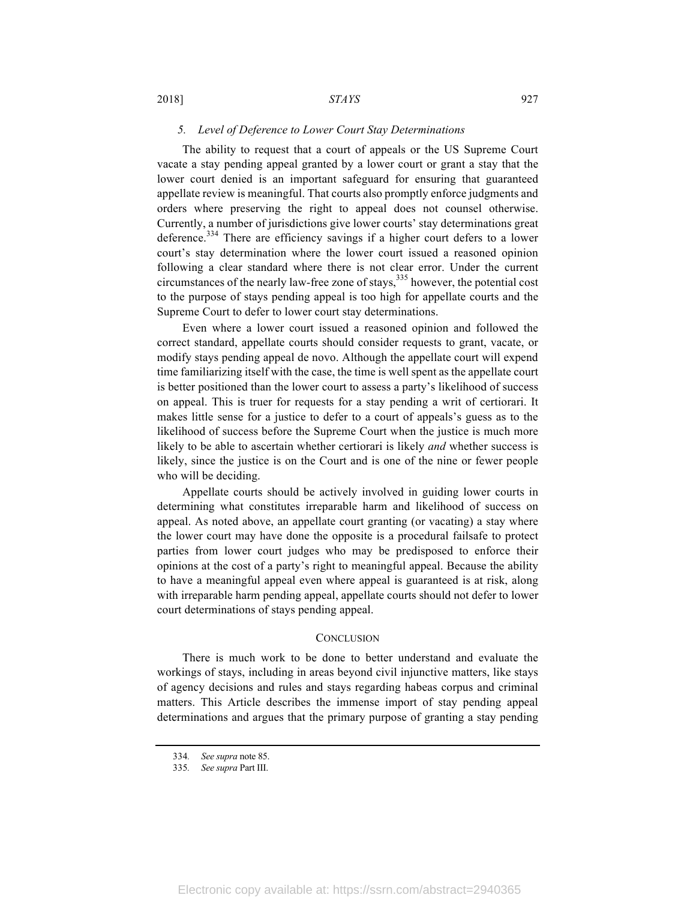#### *5. Level of Deference to Lower Court Stay Determinations*

The ability to request that a court of appeals or the US Supreme Court vacate a stay pending appeal granted by a lower court or grant a stay that the lower court denied is an important safeguard for ensuring that guaranteed appellate review is meaningful. That courts also promptly enforce judgments and orders where preserving the right to appeal does not counsel otherwise. Currently, a number of jurisdictions give lower courts' stay determinations great deference.<sup>334</sup> There are efficiency savings if a higher court defers to a lower court's stay determination where the lower court issued a reasoned opinion following a clear standard where there is not clear error. Under the current circumstances of the nearly law-free zone of stays,335 however, the potential cost to the purpose of stays pending appeal is too high for appellate courts and the Supreme Court to defer to lower court stay determinations.

Even where a lower court issued a reasoned opinion and followed the correct standard, appellate courts should consider requests to grant, vacate, or modify stays pending appeal de novo. Although the appellate court will expend time familiarizing itself with the case, the time is well spent as the appellate court is better positioned than the lower court to assess a party's likelihood of success on appeal. This is truer for requests for a stay pending a writ of certiorari. It makes little sense for a justice to defer to a court of appeals's guess as to the likelihood of success before the Supreme Court when the justice is much more likely to be able to ascertain whether certiorari is likely *and* whether success is likely, since the justice is on the Court and is one of the nine or fewer people who will be deciding.

Appellate courts should be actively involved in guiding lower courts in determining what constitutes irreparable harm and likelihood of success on appeal. As noted above, an appellate court granting (or vacating) a stay where the lower court may have done the opposite is a procedural failsafe to protect parties from lower court judges who may be predisposed to enforce their opinions at the cost of a party's right to meaningful appeal. Because the ability to have a meaningful appeal even where appeal is guaranteed is at risk, along with irreparable harm pending appeal, appellate courts should not defer to lower court determinations of stays pending appeal.

#### **CONCLUSION**

There is much work to be done to better understand and evaluate the workings of stays, including in areas beyond civil injunctive matters, like stays of agency decisions and rules and stays regarding habeas corpus and criminal matters. This Article describes the immense import of stay pending appeal determinations and argues that the primary purpose of granting a stay pending

<sup>334</sup>*. See supra* note 85.

<sup>335</sup>*. See supra* Part III.